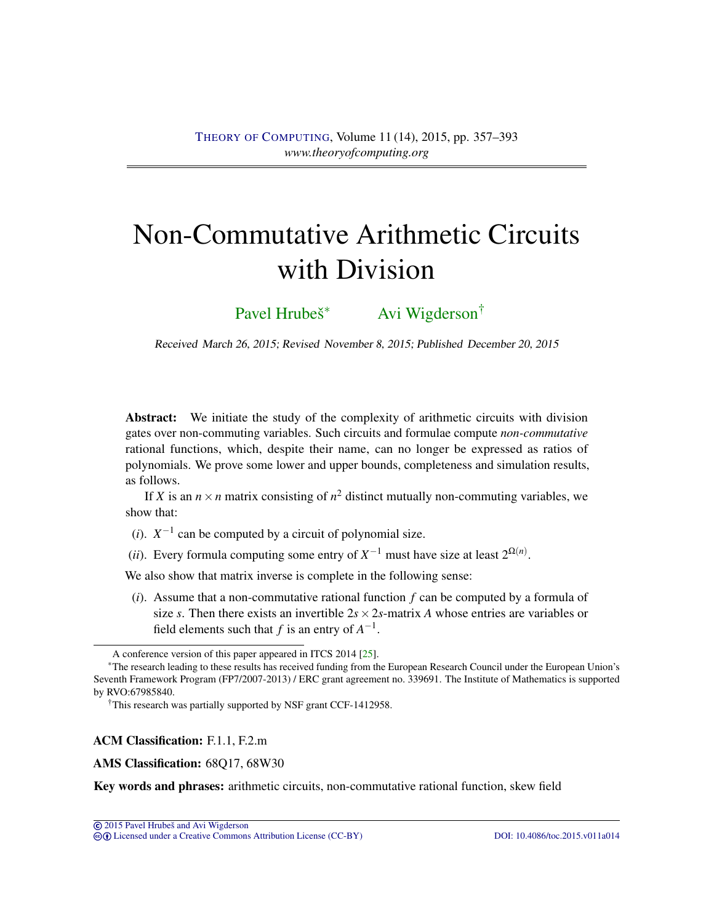# <span id="page-0-0"></span>Non-Commutative Arithmetic Circuits with Division

[Pavel Hrubeš](#page-35-0)<sup>∗</sup> [Avi Wigderson](#page-36-0)<sup>†</sup>

Received March 26, 2015; Revised November 8, 2015; Published December 20, 2015

Abstract: We initiate the study of the complexity of arithmetic circuits with division gates over non-commuting variables. Such circuits and formulae compute *non-commutative* rational functions, which, despite their name, can no longer be expressed as ratios of polynomials. We prove some lower and upper bounds, completeness and simulation results, as follows.

If *X* is an  $n \times n$  matrix consisting of  $n^2$  distinct mutually non-commuting variables, we show that:

(*i*).  $X^{-1}$  can be computed by a circuit of polynomial size.

(*ii*). Every formula computing some entry of  $X^{-1}$  must have size at least  $2^{\Omega(n)}$ .

We also show that matrix inverse is complete in the following sense:

(*i*). Assume that a non-commutative rational function *f* can be computed by a formula of size *s*. Then there exists an invertible  $2s \times 2s$ -matrix *A* whose entries are variables or field elements such that *f* is an entry of  $A^{-1}$ .

## ACM Classification: F.1.1, F.2.m

## AMS Classification: 68Q17, 68W30

Key words and phrases: arithmetic circuits, non-commutative rational function, skew field

cb [Licensed under a Creative Commons Attribution License \(CC-BY\)](http://creativecommons.org/licenses/by/3.0/) [DOI: 10.4086/toc.2015.v011a014](http://dx.doi.org/10.4086/toc.2015.v011a014)

A conference version of this paper appeared in ITCS 2014 [\[25\]](#page-34-0).

<sup>∗</sup>The research leading to these results has received funding from the European Research Council under the European Union's Seventh Framework Program (FP7/2007-2013) / ERC grant agreement no. 339691. The Institute of Mathematics is supported by RVO:67985840.

<sup>†</sup>This research was partially supported by NSF grant CCF-1412958.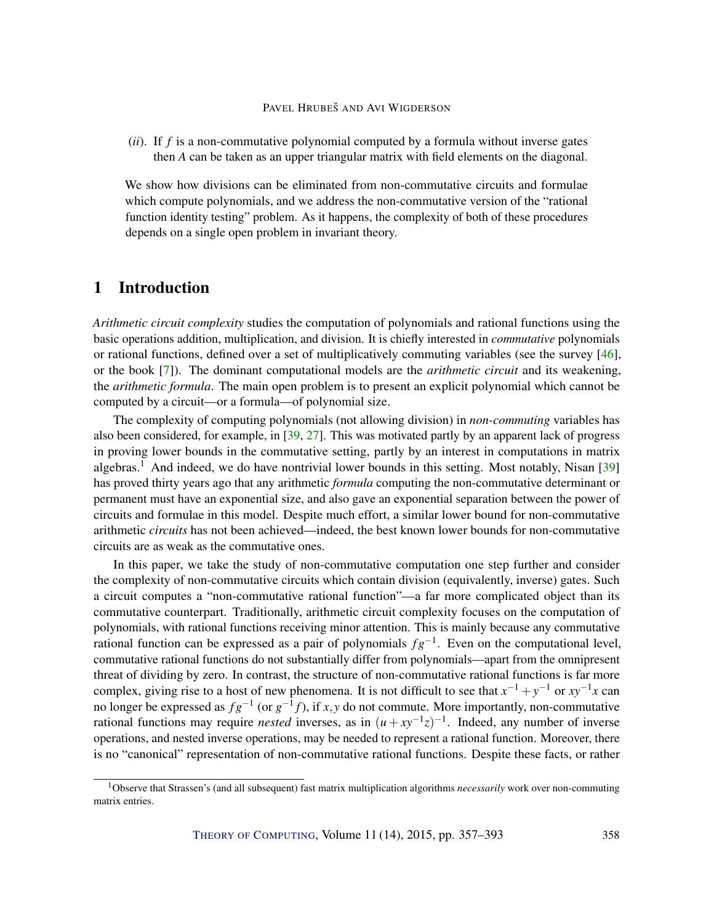<span id="page-1-0"></span>(*ii*). If *f* is a non-commutative polynomial computed by a formula without inverse gates then *A* can be taken as an upper triangular matrix with field elements on the diagonal.

We show how divisions can be eliminated from non-commutative circuits and formulae which compute polynomials, and we address the non-commutative version of the "rational function identity testing" problem. As it happens, the complexity of both of these procedures depends on a single open problem in invariant theory.

# 1 Introduction

*Arithmetic circuit complexity* studies the computation of polynomials and rational functions using the basic operations addition, multiplication, and division. It is chiefly interested in *commutative* polynomials or rational functions, defined over a set of multiplicatively commuting variables (see the survey [\[46\]](#page-35-1), or the book [\[7\]](#page-32-0)). The dominant computational models are the *arithmetic circuit* and its weakening, the *arithmetic formula*. The main open problem is to present an explicit polynomial which cannot be computed by a circuit—or a formula—of polynomial size.

The complexity of computing polynomials (not allowing division) in *non-commuting* variables has also been considered, for example, in [\[39,](#page-35-2) [27\]](#page-34-1). This was motivated partly by an apparent lack of progress in proving lower bounds in the commutative setting, partly by an interest in computations in matrix algebras.<sup>1</sup> And indeed, we do have nontrivial lower bounds in this setting. Most notably, Nisan [\[39\]](#page-35-2) has proved thirty years ago that any arithmetic *formula* computing the non-commutative determinant or permanent must have an exponential size, and also gave an exponential separation between the power of circuits and formulae in this model. Despite much effort, a similar lower bound for non-commutative arithmetic *circuits* has not been achieved—indeed, the best known lower bounds for non-commutative circuits are as weak as the commutative ones.

In this paper, we take the study of non-commutative computation one step further and consider the complexity of non-commutative circuits which contain division (equivalently, inverse) gates. Such a circuit computes a "non-commutative rational function"—a far more complicated object than its commutative counterpart. Traditionally, arithmetic circuit complexity focuses on the computation of polynomials, with rational functions receiving minor attention. This is mainly because any commutative rational function can be expressed as a pair of polynomials *f g*−<sup>1</sup> . Even on the computational level, commutative rational functions do not substantially differ from polynomials—apart from the omnipresent threat of dividing by zero. In contrast, the structure of non-commutative rational functions is far more complex, giving rise to a host of new phenomena. It is not difficult to see that  $x^{-1} + y^{-1}$  or  $xy^{-1}x$  can no longer be expressed as  $fg^{-1}$  (or  $g^{-1}f$ ), if *x*, *y* do not commute. More importantly, non-commutative rational functions may require *nested* inverses, as in  $(u + xy^{-1}z)^{-1}$ . Indeed, any number of inverse operations, and nested inverse operations, may be needed to represent a rational function. Moreover, there is no "canonical" representation of non-commutative rational functions. Despite these facts, or rather

<sup>1</sup>Observe that Strassen's (and all subsequent) fast matrix multiplication algorithms *necessarily* work over non-commuting matrix entries.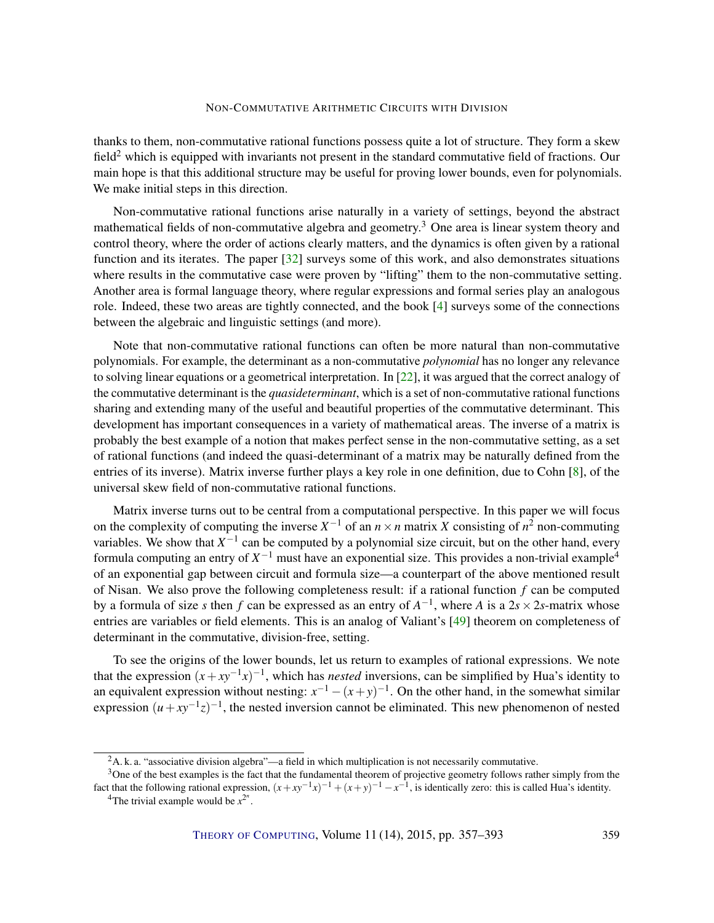<span id="page-2-0"></span>thanks to them, non-commutative rational functions possess quite a lot of structure. They form a skew field<sup>2</sup> which is equipped with invariants not present in the standard commutative field of fractions. Our main hope is that this additional structure may be useful for proving lower bounds, even for polynomials. We make initial steps in this direction.

Non-commutative rational functions arise naturally in a variety of settings, beyond the abstract mathematical fields of non-commutative algebra and geometry.<sup>3</sup> One area is linear system theory and control theory, where the order of actions clearly matters, and the dynamics is often given by a rational function and its iterates. The paper [\[32\]](#page-34-2) surveys some of this work, and also demonstrates situations where results in the commutative case were proven by "lifting" them to the non-commutative setting. Another area is formal language theory, where regular expressions and formal series play an analogous role. Indeed, these two areas are tightly connected, and the book [\[4\]](#page-32-1) surveys some of the connections between the algebraic and linguistic settings (and more).

Note that non-commutative rational functions can often be more natural than non-commutative polynomials. For example, the determinant as a non-commutative *polynomial* has no longer any relevance to solving linear equations or a geometrical interpretation. In [\[22\]](#page-33-0), it was argued that the correct analogy of the commutative determinant is the *quasideterminant*, which is a set of non-commutative rational functions sharing and extending many of the useful and beautiful properties of the commutative determinant. This development has important consequences in a variety of mathematical areas. The inverse of a matrix is probably the best example of a notion that makes perfect sense in the non-commutative setting, as a set of rational functions (and indeed the quasi-determinant of a matrix may be naturally defined from the entries of its inverse). Matrix inverse further plays a key role in one definition, due to Cohn [\[8\]](#page-32-2), of the universal skew field of non-commutative rational functions.

Matrix inverse turns out to be central from a computational perspective. In this paper we will focus on the complexity of computing the inverse  $X^{-1}$  of an  $n \times n$  matrix *X* consisting of  $n^2$  non-commuting variables. We show that  $X^{-1}$  can be computed by a polynomial size circuit, but on the other hand, every formula computing an entry of  $X^{-1}$  must have an exponential size. This provides a non-trivial example<sup>4</sup> of an exponential gap between circuit and formula size—a counterpart of the above mentioned result of Nisan. We also prove the following completeness result: if a rational function *f* can be computed by a formula of size *s* then *f* can be expressed as an entry of  $A^{-1}$ , where *A* is a 2*s* × 2*s*-matrix whose entries are variables or field elements. This is an analog of Valiant's [\[49\]](#page-35-3) theorem on completeness of determinant in the commutative, division-free, setting.

To see the origins of the lower bounds, let us return to examples of rational expressions. We note that the expression  $(x+xy^{-1}x)^{-1}$ , which has *nested* inversions, can be simplified by Hua's identity to an equivalent expression without nesting:  $x^{-1} - (x + y)^{-1}$ . On the other hand, in the somewhat similar expression  $(u+xy^{-1}z)^{-1}$ , the nested inversion cannot be eliminated. This new phenomenon of nested

 ${}^{2}$ A. k. a. "associative division algebra"—a field in which multiplication is not necessarily commutative.

 $3$ One of the best examples is the fact that the fundamental theorem of projective geometry follows rather simply from the fact that the following rational expression,  $(x+xy^{-1}x)^{-1} + (x+y)^{-1} - x^{-1}$ , is identically zero: this is called Hua's identity.

<sup>&</sup>lt;sup>4</sup>The trivial example would be  $x^{2^n}$ .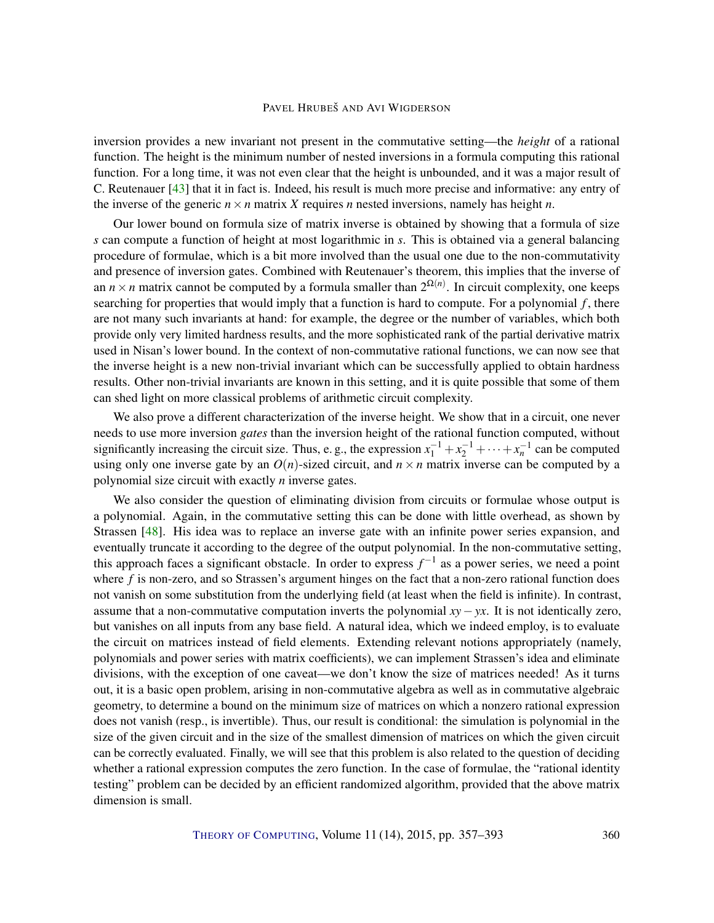<span id="page-3-0"></span>inversion provides a new invariant not present in the commutative setting—the *height* of a rational function. The height is the minimum number of nested inversions in a formula computing this rational function. For a long time, it was not even clear that the height is unbounded, and it was a major result of C. Reutenauer [\[43\]](#page-35-4) that it in fact is. Indeed, his result is much more precise and informative: any entry of the inverse of the generic  $n \times n$  matrix *X* requires *n* nested inversions, namely has height *n*.

Our lower bound on formula size of matrix inverse is obtained by showing that a formula of size *s* can compute a function of height at most logarithmic in *s*. This is obtained via a general balancing procedure of formulae, which is a bit more involved than the usual one due to the non-commutativity and presence of inversion gates. Combined with Reutenauer's theorem, this implies that the inverse of an  $n \times n$  matrix cannot be computed by a formula smaller than  $2^{\Omega(n)}$ . In circuit complexity, one keeps searching for properties that would imply that a function is hard to compute. For a polynomial *f* , there are not many such invariants at hand: for example, the degree or the number of variables, which both provide only very limited hardness results, and the more sophisticated rank of the partial derivative matrix used in Nisan's lower bound. In the context of non-commutative rational functions, we can now see that the inverse height is a new non-trivial invariant which can be successfully applied to obtain hardness results. Other non-trivial invariants are known in this setting, and it is quite possible that some of them can shed light on more classical problems of arithmetic circuit complexity.

We also prove a different characterization of the inverse height. We show that in a circuit, one never needs to use more inversion *gates* than the inversion height of the rational function computed, without significantly increasing the circuit size. Thus, e.g., the expression  $x_1^{-1} + x_2^{-1} + \cdots + x_n^{-1}$  can be computed using only one inverse gate by an  $O(n)$ -sized circuit, and  $n \times n$  matrix inverse can be computed by a polynomial size circuit with exactly *n* inverse gates.

We also consider the question of eliminating division from circuits or formulae whose output is a polynomial. Again, in the commutative setting this can be done with little overhead, as shown by Strassen [\[48\]](#page-35-5). His idea was to replace an inverse gate with an infinite power series expansion, and eventually truncate it according to the degree of the output polynomial. In the non-commutative setting, this approach faces a significant obstacle. In order to express  $f^{-1}$  as a power series, we need a point where *f* is non-zero, and so Strassen's argument hinges on the fact that a non-zero rational function does not vanish on some substitution from the underlying field (at least when the field is infinite). In contrast, assume that a non-commutative computation inverts the polynomial *xy*−*yx*. It is not identically zero, but vanishes on all inputs from any base field. A natural idea, which we indeed employ, is to evaluate the circuit on matrices instead of field elements. Extending relevant notions appropriately (namely, polynomials and power series with matrix coefficients), we can implement Strassen's idea and eliminate divisions, with the exception of one caveat—we don't know the size of matrices needed! As it turns out, it is a basic open problem, arising in non-commutative algebra as well as in commutative algebraic geometry, to determine a bound on the minimum size of matrices on which a nonzero rational expression does not vanish (resp., is invertible). Thus, our result is conditional: the simulation is polynomial in the size of the given circuit and in the size of the smallest dimension of matrices on which the given circuit can be correctly evaluated. Finally, we will see that this problem is also related to the question of deciding whether a rational expression computes the zero function. In the case of formulae, the "rational identity" testing" problem can be decided by an efficient randomized algorithm, provided that the above matrix dimension is small.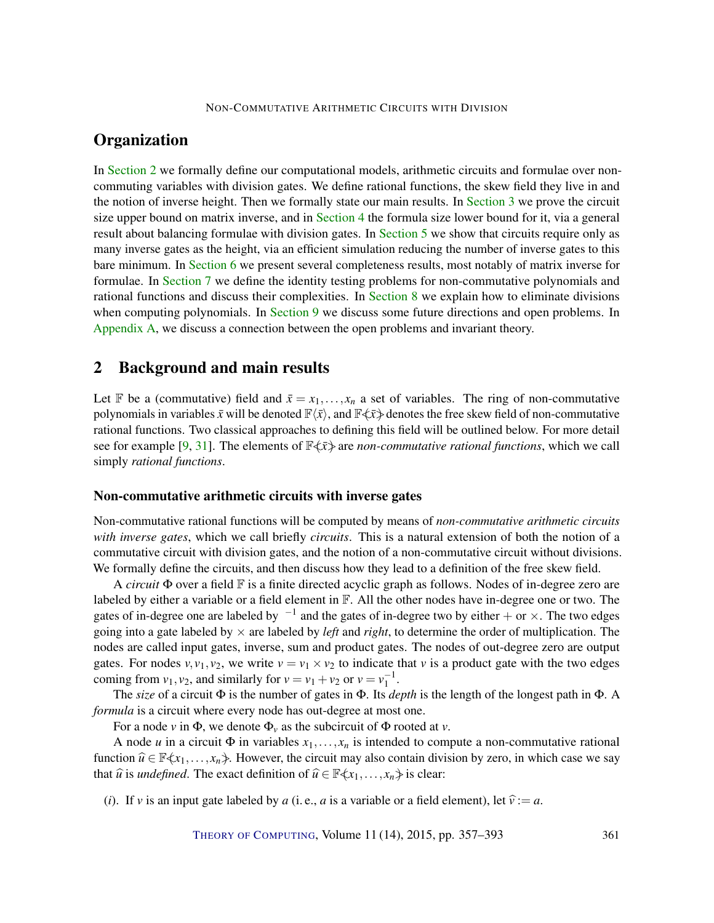# <span id="page-4-1"></span>**Organization**

In [Section](#page-4-0) [2](#page-4-0) we formally define our computational models, arithmetic circuits and formulae over noncommuting variables with division gates. We define rational functions, the skew field they live in and the notion of inverse height. Then we formally state our main results. In [Section](#page-8-0) [3](#page-8-0) we prove the circuit size upper bound on matrix inverse, and in [Section](#page-9-0) [4](#page-9-0) the formula size lower bound for it, via a general result about balancing formulae with division gates. In [Section](#page-12-0) [5](#page-12-0) we show that circuits require only as many inverse gates as the height, via an efficient simulation reducing the number of inverse gates to this bare minimum. In [Section](#page-13-0) [6](#page-13-0) we present several completeness results, most notably of matrix inverse for formulae. In [Section](#page-19-0) [7](#page-19-0) we define the identity testing problems for non-commutative polynomials and rational functions and discuss their complexities. In [Section](#page-25-0) [8](#page-25-0) we explain how to eliminate divisions when computing polynomials. In [Section](#page-28-0) [9](#page-28-0) we discuss some future directions and open problems. In [Appendix](#page-29-0) [A,](#page-29-0) we discuss a connection between the open problems and invariant theory.

# <span id="page-4-0"></span>2 Background and main results

Let F be a (commutative) field and  $\bar{x} = x_1, \ldots, x_n$  a set of variables. The ring of non-commutative polynomials in variables  $\bar{x}$  will be denoted  $\mathbb{F}\langle \bar{x} \rangle$ , and  $\mathbb{F}\langle \bar{x} \rangle$  denotes the free skew field of non-commutative rational functions. Two classical approaches to defining this field will be outlined below. For more detail see for example [\[9,](#page-32-3) [31\]](#page-34-3). The elements of  $\mathbb{F}\langle \bar{x} \rangle$  are *non-commutative rational functions*, which we call simply *rational functions*.

## Non-commutative arithmetic circuits with inverse gates

Non-commutative rational functions will be computed by means of *non-commutative arithmetic circuits with inverse gates*, which we call briefly *circuits*. This is a natural extension of both the notion of a commutative circuit with division gates, and the notion of a non-commutative circuit without divisions. We formally define the circuits, and then discuss how they lead to a definition of the free skew field.

A *circuit* Φ over a field F is a finite directed acyclic graph as follows. Nodes of in-degree zero are labeled by either a variable or a field element in F. All the other nodes have in-degree one or two. The gates of in-degree one are labeled by  $^{-1}$  and the gates of in-degree two by either  $+$  or  $\times$ . The two edges going into a gate labeled by  $\times$  are labeled by *left* and *right*, to determine the order of multiplication. The nodes are called input gates, inverse, sum and product gates. The nodes of out-degree zero are output gates. For nodes  $v, v_1, v_2$ , we write  $v = v_1 \times v_2$  to indicate that *v* is a product gate with the two edges coming from  $v_1$ ,  $v_2$ , and similarly for  $v = v_1 + v_2$  or  $v = v_1^{-1}$ .

The *size* of a circuit Φ is the number of gates in Φ. Its *depth* is the length of the longest path in Φ. A *formula* is a circuit where every node has out-degree at most one.

For a node *v* in  $\Phi$ , we denote  $\Phi$ <sub>*v*</sub> as the subcircuit of  $\Phi$  rooted at *v*.

A node *u* in a circuit  $\Phi$  in variables  $x_1, \ldots, x_n$  is intended to compute a non-commutative rational function  $\hat{u} \in \mathbb{F}\langle x_1,...,x_n\rangle$ . However, the circuit may also contain division by zero, in which case we say that  $\hat{u}$  is *undefined*. The exact definition of  $\hat{u} \in \mathbb{F}\langle x_1, \ldots, x_n \rangle$  is clear:

(*i*). If *v* is an input gate labeled by *a* (i.e., *a* is a variable or a field element), let  $\hat{v} := a$ .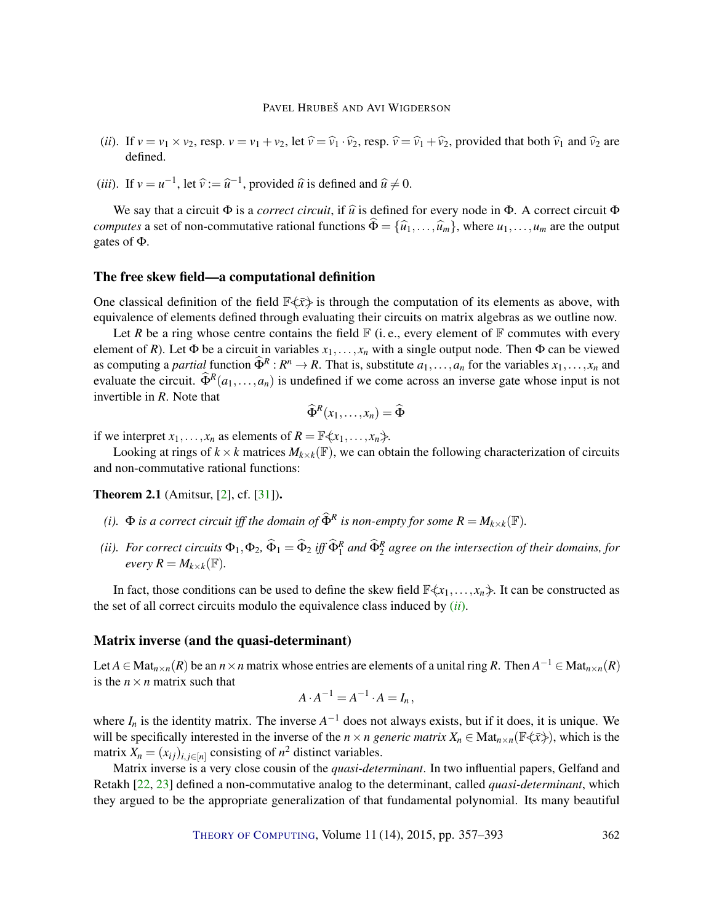- <span id="page-5-3"></span>(*ii*). If  $v = v_1 \times v_2$ , resp.  $v = v_1 + v_2$ , let  $\hat{v} = \hat{v}_1 \cdot \hat{v}_2$ , resp.  $\hat{v} = \hat{v}_1 + \hat{v}_2$ , provided that both  $\hat{v}_1$  and  $\hat{v}_2$  are defined.
- (*iii*). If  $v = u^{-1}$ , let  $\hat{v} := \hat{u}^{-1}$ , provided  $\hat{u}$  is defined and  $\hat{u} \neq 0$ .

We say that a circuit  $\Phi$  is a *correct circuit*, if  $\hat{u}$  is defined for every node in  $\Phi$ . A correct circuit  $\Phi$ *computes* a set of non-commutative rational functions  $\widehat{\Phi} = {\widehat{u}_1, \ldots, \widehat{u}_m}$ , where  $u_1, \ldots, u_m$  are the output gates of Φ.

#### The free skew field—a computational definition

One classical definition of the field  $\mathbb{F}\langle \bar{x}\rangle$  is through the computation of its elements as above, with equivalence of elements defined through evaluating their circuits on matrix algebras as we outline now.

Let *R* be a ring whose centre contains the field  $\mathbb{F}$  (i.e., every element of  $\mathbb{F}$  commutes with every element of *R*). Let  $\Phi$  be a circuit in variables  $x_1, \ldots, x_n$  with a single output node. Then  $\Phi$  can be viewed as computing a *partial* function  $\widehat{\Phi}^R: R^n \to R$ . That is, substitute  $a_1, \ldots, a_n$  for the variables  $x_1, \ldots, x_n$  and evaluate the circuit.  $\hat{\Phi}^R(a_1,...,a_n)$  is undefined if we come across an inverse gate whose input is not invertible in *R*. Note that

$$
\widehat{\Phi}^R(x_1,\ldots,x_n)=\widehat{\Phi}
$$

if we interpret  $x_1, \ldots, x_n$  as elements of  $R = \mathbb{F}\langle x_1, \ldots, x_n \rangle$ .

Looking at rings of  $k \times k$  matrices  $M_{k \times k}(\mathbb{F})$ , we can obtain the following characterization of circuits and non-commutative rational functions:

<span id="page-5-1"></span>**Theorem 2.1** (Amitsur, [\[2\]](#page-32-4), cf. [\[31\]](#page-34-3)).

- <span id="page-5-2"></span>*(i).*  $\Phi$  *is a correct circuit iff the domain of*  $\widehat{\Phi}^R$  *is non-empty for some*  $R = M_{k \times k}(\mathbb{F})$ *.*
- <span id="page-5-0"></span>(*ii*). For correct circuits  $\Phi_1, \Phi_2, \hat{\Phi}_1 = \hat{\Phi}_2$  iff  $\hat{\Phi}_1^R$  and  $\hat{\Phi}_2^R$  agree on the intersection of their domains, for *every*  $R = M_{k \times k}(\mathbb{F})$ *.*

In fact, those conditions can be used to define the skew field  $\mathbb{F}\langle x_1,\ldots,x_n\rangle$ . It can be constructed as the set of all correct circuits modulo the equivalence class induced by (*[ii](#page-5-0)*).

## Matrix inverse (and the quasi-determinant)

Let  $A \in Mat_{n \times n}(R)$  be an  $n \times n$  matrix whose entries are elements of a unital ring R. Then  $A^{-1} \in Mat_{n \times n}(R)$ is the  $n \times n$  matrix such that

$$
A \cdot A^{-1} = A^{-1} \cdot A = I_n,
$$

where  $I_n$  is the identity matrix. The inverse  $A^{-1}$  does not always exists, but if it does, it is unique. We will be specifically interested in the inverse of the  $n \times n$  generic matrix  $X_n \in \text{Mat}_{n \times n}(\mathbb{F}\left\langle x\right\rangle)$ , which is the matrix  $X_n = (x_{ij})_{i,j \in [n]}$  consisting of  $n^2$  distinct variables.

Matrix inverse is a very close cousin of the *quasi-determinant*. In two influential papers, Gelfand and Retakh [\[22,](#page-33-0) [23\]](#page-33-1) defined a non-commutative analog to the determinant, called *quasi-determinant*, which they argued to be the appropriate generalization of that fundamental polynomial. Its many beautiful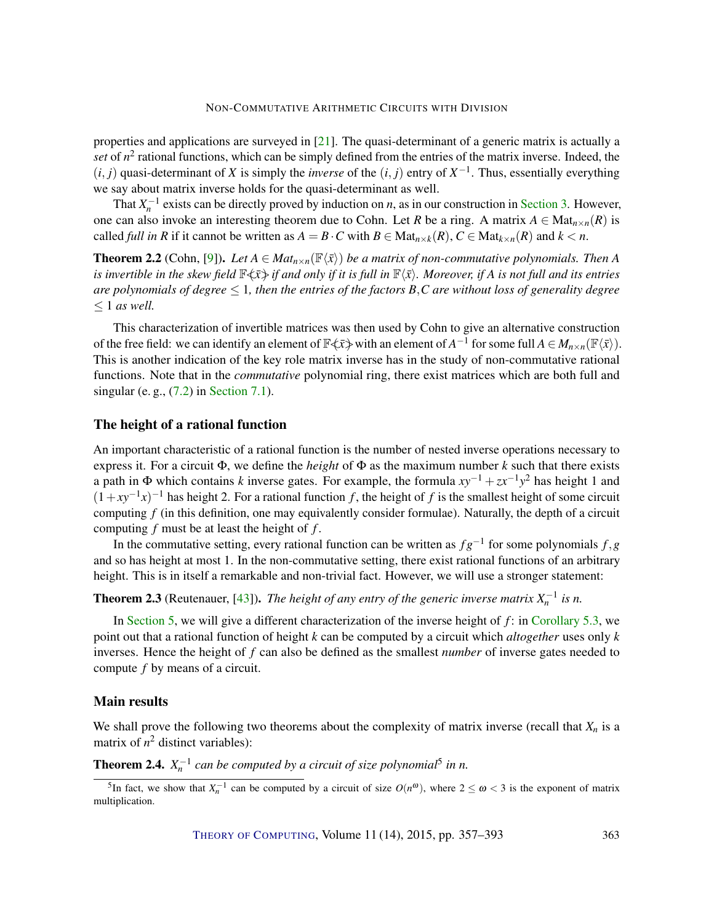<span id="page-6-3"></span>properties and applications are surveyed in [\[21\]](#page-33-2). The quasi-determinant of a generic matrix is actually a set of  $n^2$  rational functions, which can be simply defined from the entries of the matrix inverse. Indeed, the  $(i, j)$  quasi-determinant of *X* is simply the *inverse* of the  $(i, j)$  entry of  $X^{-1}$ . Thus, essentially everything we say about matrix inverse holds for the quasi-determinant as well.

That  $X_n^{-1}$  exists can be directly proved by induction on *n*, as in our construction in [Section](#page-8-0) [3.](#page-8-0) However, one can also invoke an interesting theorem due to Cohn. Let *R* be a ring. A matrix  $A \in Mat_{n \times n}(R)$  is called *full in R* if it cannot be written as  $A = B \cdot C$  with  $B \in Mat_{n \times k}(R)$ ,  $C \in Mat_{k \times n}(R)$  and  $k < n$ .

<span id="page-6-2"></span>**Theorem 2.2** (Cohn, [\[9\]](#page-32-3)). Let  $A \in Mat_{n \times n}(\mathbb{F}\langle \bar{x}\rangle)$  be a matrix of non-commutative polynomials. Then A *is invertible in the skew field*  $\mathbb{F}\langle \bar{x}\rangle$  *if and only if it is full in*  $\mathbb{F}\langle \bar{x}\rangle$ *. Moreover, if A is not full and its entries are polynomials of degree* ≤ 1*, then the entries of the factors B*,*C are without loss of generality degree* ≤ 1 *as well.*

This characterization of invertible matrices was then used by Cohn to give an alternative construction of the free field: we can identify an element of  $\mathbb{F}\leftarrow\bar{x}$  with an element of  $A^{-1}$  for some full  $A\in M_{n\times n}(\mathbb{F}\left\langle \bar{x}\right\rangle ).$ This is another indication of the key role matrix inverse has in the study of non-commutative rational functions. Note that in the *commutative* polynomial ring, there exist matrices which are both full and singular (e.g.,  $(7.2)$  in [Section](#page-23-0) [7.1\)](#page-23-0).

## The height of a rational function

An important characteristic of a rational function is the number of nested inverse operations necessary to express it. For a circuit  $\Phi$ , we define the *height* of  $\Phi$  as the maximum number *k* such that there exists a path in Φ which contains *k* inverse gates. For example, the formula *xy*−<sup>1</sup> +*zx*−<sup>1</sup> *y* <sup>2</sup> has height 1 and  $(1+xy^{-1}x)^{-1}$  has height 2. For a rational function *f*, the height of *f* is the smallest height of some circuit computing *f* (in this definition, one may equivalently consider formulae). Naturally, the depth of a circuit computing *f* must be at least the height of *f* .

In the commutative setting, every rational function can be written as *f g*−<sup>1</sup> for some polynomials *f*,*g* and so has height at most 1. In the non-commutative setting, there exist rational functions of an arbitrary height. This is in itself a remarkable and non-trivial fact. However, we will use a stronger statement:

<span id="page-6-1"></span>**Theorem 2.3** (Reutenauer, [\[43\]](#page-35-4)). *The height of any entry of the generic inverse matrix*  $X_n^{-1}$  *is n.* 

In [Section](#page-12-0) [5,](#page-12-0) we will give a different characterization of the inverse height of *f* : in [Corollary](#page-13-1) [5.3,](#page-13-1) we point out that a rational function of height *k* can be computed by a circuit which *altogether* uses only *k* inverses. Hence the height of *f* can also be defined as the smallest *number* of inverse gates needed to compute *f* by means of a circuit.

## Main results

We shall prove the following two theorems about the complexity of matrix inverse (recall that  $X_n$  is a matrix of  $n^2$  distinct variables):

<span id="page-6-0"></span>**Theorem 2.4.**  $X_n^{-1}$  can be computed by a circuit of size polynomial<sup>5</sup> in n.

<sup>&</sup>lt;sup>5</sup>In fact, we show that  $X_n^{-1}$  can be computed by a circuit of size  $O(n^{\omega})$ , where  $2 \le \omega < 3$  is the exponent of matrix multiplication.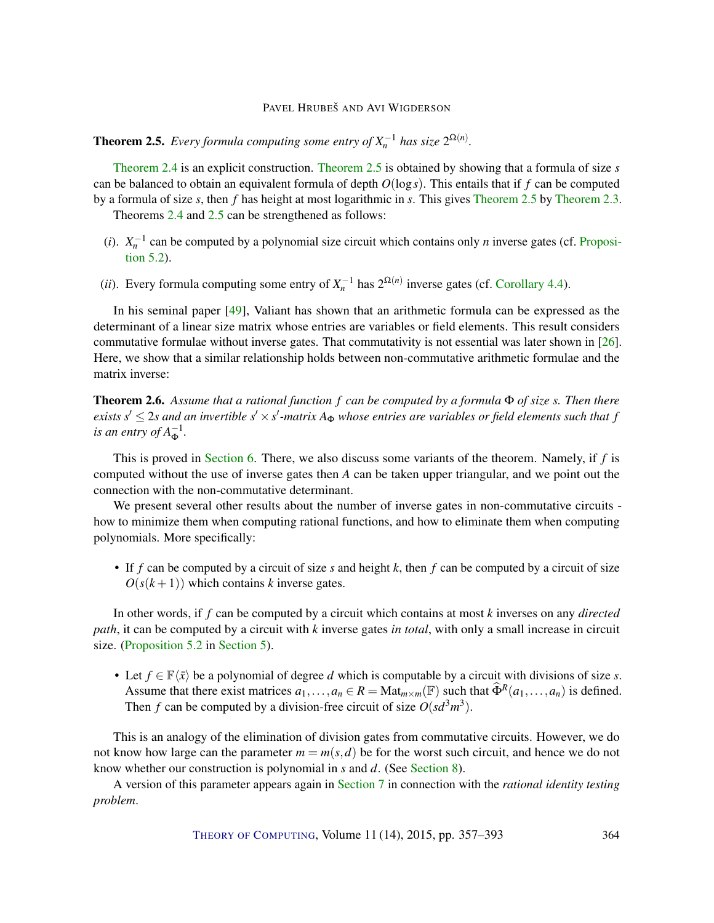<span id="page-7-2"></span><span id="page-7-0"></span>**Theorem 2.5.** Every formula computing some entry of  $X_n^{-1}$  has size  $2^{\Omega(n)}$ .

[Theorem](#page-6-0) [2.4](#page-6-0) is an explicit construction. [Theorem](#page-7-0) [2.5](#page-7-0) is obtained by showing that a formula of size *s* can be balanced to obtain an equivalent formula of depth *O*(log*s*). This entails that if *f* can be computed by a formula of size *s*, then *f* has height at most logarithmic in *s*. This gives [Theorem](#page-7-0) [2.5](#page-7-0) by [Theorem](#page-6-1) [2.3.](#page-6-1)

Theorems [2.4](#page-6-0) and [2.5](#page-7-0) can be strengthened as follows:

- (*i*).  $X_n^{-1}$  can be computed by a polynomial size circuit which contains only *n* inverse gates (cf. [Proposi](#page-13-2)[tion](#page-13-2) [5.2\)](#page-13-2).
- (*ii*). Every formula computing some entry of  $X_n^{-1}$  has  $2^{\Omega(n)}$  inverse gates (cf. [Corollary](#page-11-0) [4.4\)](#page-11-0).

In his seminal paper [\[49\]](#page-35-3), Valiant has shown that an arithmetic formula can be expressed as the determinant of a linear size matrix whose entries are variables or field elements. This result considers commutative formulae without inverse gates. That commutativity is not essential was later shown in [\[26\]](#page-34-4). Here, we show that a similar relationship holds between non-commutative arithmetic formulae and the matrix inverse:

<span id="page-7-1"></span>Theorem 2.6. *Assume that a rational function f can be computed by a formula* Φ *of size s. Then there* exists  $s' \leq 2s$  and an invertible  $s' \times s'$ -matrix  $A_{\Phi}$  whose entries are variables or field elements such that  $f$ *is an entry of*  $A_{\Phi}^{-1}$ .

This is proved in [Section](#page-13-0) [6.](#page-13-0) There, we also discuss some variants of the theorem. Namely, if *f* is computed without the use of inverse gates then *A* can be taken upper triangular, and we point out the connection with the non-commutative determinant.

We present several other results about the number of inverse gates in non-commutative circuits how to minimize them when computing rational functions, and how to eliminate them when computing polynomials. More specifically:

• If *f* can be computed by a circuit of size *s* and height *k*, then *f* can be computed by a circuit of size  $O(s(k+1))$  which contains *k* inverse gates.

In other words, if *f* can be computed by a circuit which contains at most *k* inverses on any *directed path*, it can be computed by a circuit with *k* inverse gates *in total*, with only a small increase in circuit size. [\(Proposition](#page-13-2) [5.2](#page-13-2) in [Section](#page-12-0) [5\)](#page-12-0).

• Let  $f \in \mathbb{F}\langle \bar{x} \rangle$  be a polynomial of degree *d* which is computable by a circuit with divisions of size *s*. Assume that there exist matrices  $a_1, \ldots, a_n \in R = \text{Mat}_{m \times m}(\mathbb{F})$  such that  $\widehat{\Phi}^R(a_1, \ldots, a_n)$  is defined. Then *f* can be computed by a division-free circuit of size  $O(s d<sup>3</sup> m<sup>3</sup>)$ .

This is an analogy of the elimination of division gates from commutative circuits. However, we do not know how large can the parameter  $m = m(s, d)$  be for the worst such circuit, and hence we do not know whether our construction is polynomial in *s* and *d*. (See [Section](#page-25-0) [8\)](#page-25-0).

A version of this parameter appears again in [Section](#page-19-0) [7](#page-19-0) in connection with the *rational identity testing problem*.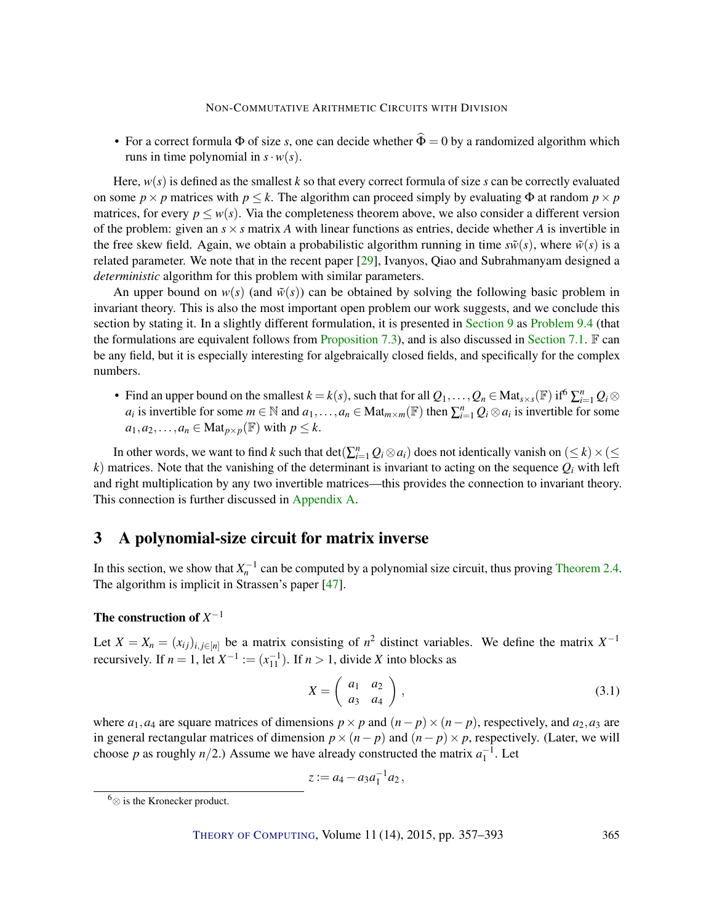<span id="page-8-2"></span>• For a correct formula  $\Phi$  of size *s*, one can decide whether  $\hat{\Phi} = 0$  by a randomized algorithm which runs in time polynomial in  $s \cdot w(s)$ .

Here,  $w(s)$  is defined as the smallest *k* so that every correct formula of size *s* can be correctly evaluated on some  $p \times p$  matrices with  $p \leq k$ . The algorithm can proceed simply by evaluating  $\Phi$  at random  $p \times p$ matrices, for every  $p \leq w(s)$ . Via the completeness theorem above, we also consider a different version of the problem: given an  $s \times s$  matrix *A* with linear functions as entries, decide whether *A* is invertible in the free skew field. Again, we obtain a probabilistic algorithm running in time  $s\tilde{w}(s)$ , where  $\tilde{w}(s)$  is a related parameter. We note that in the recent paper [\[29\]](#page-34-5), Ivanyos, Qiao and Subrahmanyam designed a *deterministic* algorithm for this problem with similar parameters.

An upper bound on  $w(s)$  (and  $\tilde{w}(s)$ ) can be obtained by solving the following basic problem in invariant theory. This is also the most important open problem our work suggests, and we conclude this section by stating it. In a slightly different formulation, it is presented in [Section](#page-28-0) [9](#page-28-0) as [Problem](#page-29-1) [9.4](#page-29-1) (that the formulations are equivalent follows from [Proposition](#page-21-0) [7.3\)](#page-21-0), and is also discussed in [Section](#page-23-0) [7.1.](#page-23-0)  $\mathbb F$  can be any field, but it is especially interesting for algebraically closed fields, and specifically for the complex numbers.

• Find an upper bound on the smallest  $k = k(s)$ , such that for all  $Q_1, \ldots, Q_n \in \text{Mat}_{s \times s}(\mathbb{F})$  if  $\Omega \geq_{i=1}^n Q_i \otimes \mathbb{F}$ *a*<sub>*i*</sub> is invertible for some  $m \in \mathbb{N}$  and  $a_1, \ldots, a_n \in \text{Mat}_{m \times m}(\mathbb{F})$  then  $\sum_{i=1}^n Q_i \otimes a_i$  is invertible for some  $a_1, a_2, \ldots, a_n \in \text{Mat}_{p \times p}(\mathbb{F})$  with  $p \leq k$ .

In other words, we want to find *k* such that  $\det(\sum_{i=1}^{n} Q_i \otimes a_i)$  does not identically vanish on  $(\leq k) \times (\leq k)$  $k$ ) matrices. Note that the vanishing of the determinant is invariant to acting on the sequence  $Q_i$  with left and right multiplication by any two invertible matrices—this provides the connection to invariant theory. This connection is further discussed in [Appendix](#page-29-0) [A.](#page-29-0)

# <span id="page-8-0"></span>3 A polynomial-size circuit for matrix inverse

In this section, we show that  $X_n^{-1}$  can be computed by a polynomial size circuit, thus proving [Theorem](#page-6-0) [2.4.](#page-6-0) The algorithm is implicit in Strassen's paper [\[47\]](#page-35-6).

# The construction of *X*<sup>−1</sup>

Let  $X = X_n = (x_{ij})_{i,j \in [n]}$  be a matrix consisting of  $n^2$  distinct variables. We define the matrix  $X^{-1}$ recursively. If  $n = 1$ , let  $X^{-1} := (x_{11}^{-1})$ . If  $n > 1$ , divide *X* into blocks as

<span id="page-8-1"></span>
$$
X = \left(\begin{array}{cc} a_1 & a_2 \\ a_3 & a_4 \end{array}\right),\tag{3.1}
$$

where  $a_1, a_4$  are square matrices of dimensions  $p \times p$  and  $(n-p) \times (n-p)$ , respectively, and  $a_2, a_3$  are in general rectangular matrices of dimension  $p \times (n - p)$  and  $(n - p) \times p$ , respectively. (Later, we will choose *p* as roughly  $n/2$ .) Assume we have already constructed the matrix  $a_1^{-1}$ . Let

$$
z := a_4 - a_3 a_1^{-1} a_2,
$$

<sup>6</sup>⊗ is the Kronecker product.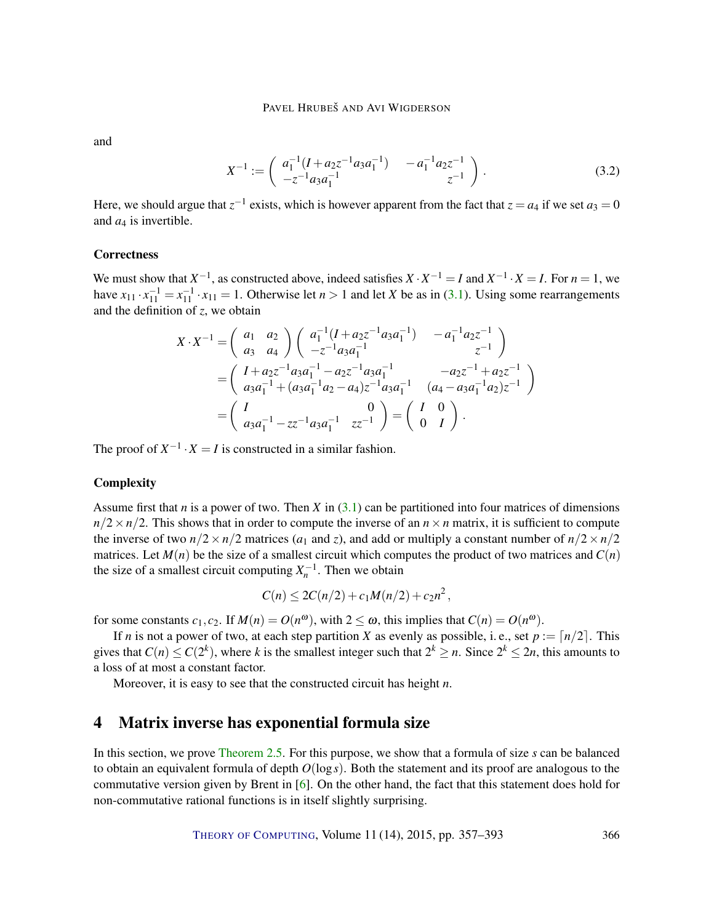<span id="page-9-2"></span>and

<span id="page-9-1"></span>
$$
X^{-1} := \begin{pmatrix} a_1^{-1} (I + a_2 z^{-1} a_3 a_1^{-1}) & -a_1^{-1} a_2 z^{-1} \\ -z^{-1} a_3 a_1^{-1} & z^{-1} \end{pmatrix}.
$$
 (3.2)

Here, we should argue that  $z^{-1}$  exists, which is however apparent from the fact that  $z = a_4$  if we set  $a_3 = 0$ and  $a_4$  is invertible.

#### **Correctness**

We must show that  $X^{-1}$ , as constructed above, indeed satisfies  $X \cdot X^{-1} = I$  and  $X^{-1} \cdot X = I$ . For  $n = 1$ , we have  $x_{11} \cdot x_{11}^{-1} = x_{11}^{-1} \cdot x_{11} = 1$ . Otherwise let  $n > 1$  and let *X* be as in [\(3.1\)](#page-8-1). Using some rearrangements and the definition of *z*, we obtain

$$
X \cdot X^{-1} = \begin{pmatrix} a_1 & a_2 \\ a_3 & a_4 \end{pmatrix} \begin{pmatrix} a_1^{-1} (I + a_2 z^{-1} a_3 a_1^{-1}) & -a_1^{-1} a_2 z^{-1} \\ -z^{-1} a_3 a_1^{-1} & z^{-1} \end{pmatrix}
$$
  
= 
$$
\begin{pmatrix} I + a_2 z^{-1} a_3 a_1^{-1} - a_2 z^{-1} a_3 a_1^{-1} & -a_2 z^{-1} + a_2 z^{-1} \\ a_3 a_1^{-1} + (a_3 a_1^{-1} a_2 - a_4) z^{-1} a_3 a_1^{-1} & (a_4 - a_3 a_1^{-1} a_2) z^{-1} \end{pmatrix}
$$
  
= 
$$
\begin{pmatrix} I & 0 \\ a_3 a_1^{-1} - z z^{-1} a_3 a_1^{-1} & z z^{-1} \end{pmatrix} = \begin{pmatrix} I & 0 \\ 0 & I \end{pmatrix}.
$$

The proof of  $X^{-1} \cdot X = I$  is constructed in a similar fashion.

#### **Complexity**

Assume first that *n* is a power of two. Then *X* in [\(3.1\)](#page-8-1) can be partitioned into four matrices of dimensions  $n/2 \times n/2$ . This shows that in order to compute the inverse of an  $n \times n$  matrix, it is sufficient to compute the inverse of two  $n/2 \times n/2$  matrices ( $a_1$  and  $z$ ), and add or multiply a constant number of  $n/2 \times n/2$ matrices. Let  $M(n)$  be the size of a smallest circuit which computes the product of two matrices and  $C(n)$ the size of a smallest circuit computing  $X_n^{-1}$ . Then we obtain

$$
C(n) \leq 2C(n/2) + c_1 M(n/2) + c_2 n^2,
$$

for some constants  $c_1, c_2$ . If  $M(n) = O(n^{\omega})$ , with  $2 \le \omega$ , this implies that  $C(n) = O(n^{\omega})$ .

If *n* is not a power of two, at each step partition *X* as evenly as possible, i.e., set  $p := \lfloor n/2 \rfloor$ . This gives that  $C(n) \leq C(2^k)$ , where k is the smallest integer such that  $2^k \geq n$ . Since  $2^k \leq 2n$ , this amounts to a loss of at most a constant factor.

Moreover, it is easy to see that the constructed circuit has height *n*.

# <span id="page-9-0"></span>4 Matrix inverse has exponential formula size

In this section, we prove [Theorem](#page-7-0) [2.5.](#page-7-0) For this purpose, we show that a formula of size *s* can be balanced to obtain an equivalent formula of depth *O*(log*s*). Both the statement and its proof are analogous to the commutative version given by Brent in [\[6\]](#page-32-5). On the other hand, the fact that this statement does hold for non-commutative rational functions is in itself slightly surprising.

THEORY OF C[OMPUTING](http://dx.doi.org/10.4086/toc), Volume 11 (14), 2015, pp. 357–393 366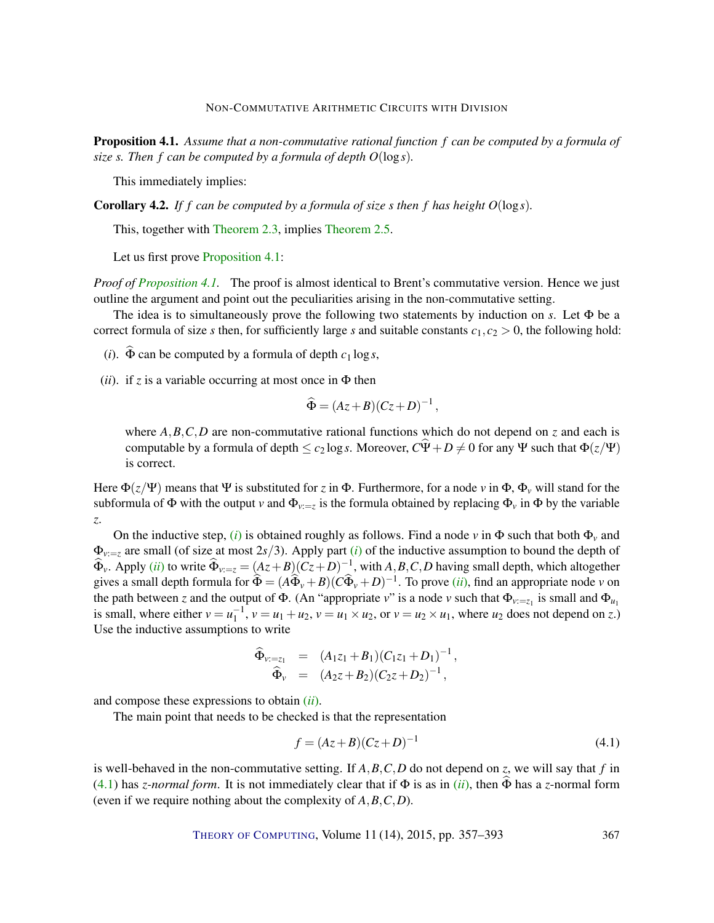<span id="page-10-0"></span>Proposition 4.1. *Assume that a non-commutative rational function f can be computed by a formula of size s. Then f can be computed by a formula of depth O*(log*s*)*.*

This immediately implies:

<span id="page-10-4"></span>Corollary 4.2. *If f can be computed by a formula of size s then f has height O*(log*s*)*.*

This, together with [Theorem](#page-6-1) [2.3,](#page-6-1) implies [Theorem](#page-7-0) [2.5.](#page-7-0)

Let us first prove [Proposition](#page-10-0) [4.1:](#page-10-0)

*Proof of [Proposition](#page-10-0) [4.1.](#page-10-0)* The proof is almost identical to Brent's commutative version. Hence we just outline the argument and point out the peculiarities arising in the non-commutative setting.

The idea is to simultaneously prove the following two statements by induction on *s*. Let  $\Phi$  be a correct formula of size *s* then, for sufficiently large *s* and suitable constants  $c_1$ ,  $c_2 > 0$ , the following hold:

- <span id="page-10-1"></span>(*i*).  $\widehat{\Phi}$  can be computed by a formula of depth  $c_1 \log s$ ,
- <span id="page-10-2"></span>(*ii*). if *z* is a variable occurring at most once in  $\Phi$  then

$$
\widehat{\Phi} = (Az + B)(Cz + D)^{-1},
$$

where  $A, B, C, D$  are non-commutative rational functions which do not depend on *z* and each is computable by a formula of depth  $\leq c_2 \log s$ . Moreover,  $C\Psi + D \neq 0$  for any  $\Psi$  such that  $\Phi(z/\Psi)$ is correct.

Here  $\Phi(z/\Psi)$  means that  $\Psi$  is substituted for *z* in  $\Phi$ . Furthermore, for a node *v* in  $\Phi$ ,  $\Phi$ <sub>*v*</sub> will stand for the subformula of  $\Phi$  with the output *v* and  $\Phi_{v:=z}$  is the formula obtained by replacing  $\Phi_v$  in  $\Phi$  by the variable *z*.

On the inductive step, [\(](#page-10-1)*i*) is obtained roughly as follows. Find a node *v* in  $\Phi$  such that both  $\Phi$ <sub>*v*</sub> and  $\Phi_{v:=z}$  are small [\(](#page-10-1)of size at most 2*s*/3). Apply part (*i*) of the inductive assumption to bound the depth of  $\widehat{\Phi}_{v}$ . Apply (*[ii](#page-10-2)*) to write  $\widehat{\Phi}_{v:=z} = (Az + B)(Cz + D)^{-1}$ , with *A*, *B*, *C*, *D* having small depth, which altogether gives a small depth formula for  $\widehat{\Phi} = (A\widehat{\Phi}_{\nu} + B)(C\widehat{\Phi}_{\nu} + D)^{-1}$ . To prove *([ii](#page-10-2))*, find an appropriate node *v* on the path between *z* and the output of  $\Phi$ . (An "appropriate *v*" is a node *v* such that  $\Phi_{v:=z_1}$  is small and  $\Phi_{u_1}$ is small, where either  $v = u_1^{-1}$ ,  $v = u_1 + u_2$ ,  $v = u_1 \times u_2$ , or  $v = u_2 \times u_1$ , where  $u_2$  does not depend on *z*.) Use the inductive assumptions to write

$$
\widehat{\Phi}_{\nu:=z_1} = (A_1z_1 + B_1)(C_1z_1 + D_1)^{-1}, \n\widehat{\Phi}_{\nu} = (A_2z + B_2)(C_2z + D_2)^{-1},
$$

and compose these expressions to obtain (*[ii](#page-10-2)*).

The main point that needs to be checked is that the representation

<span id="page-10-3"></span>
$$
f = (Az + B)(Cz + D)^{-1}
$$
\n(4.1)

is well-behaved in the non-commutative setting. If *A*,*B*,*C*,*D* do not depend on *z*, we will say that *f* in [\(4.1\)](#page-10-3) has *z*-normal form. It is not immediately clear that if  $\Phi$  is as in (*[ii](#page-10-2)*), then  $\widehat{\Phi}$  has a *z*-normal form (even if we require nothing about the complexity of *A*,*B*,*C*,*D*).

THEORY OF C[OMPUTING](http://dx.doi.org/10.4086/toc), Volume 11 (14), 2015, pp. 357–393 367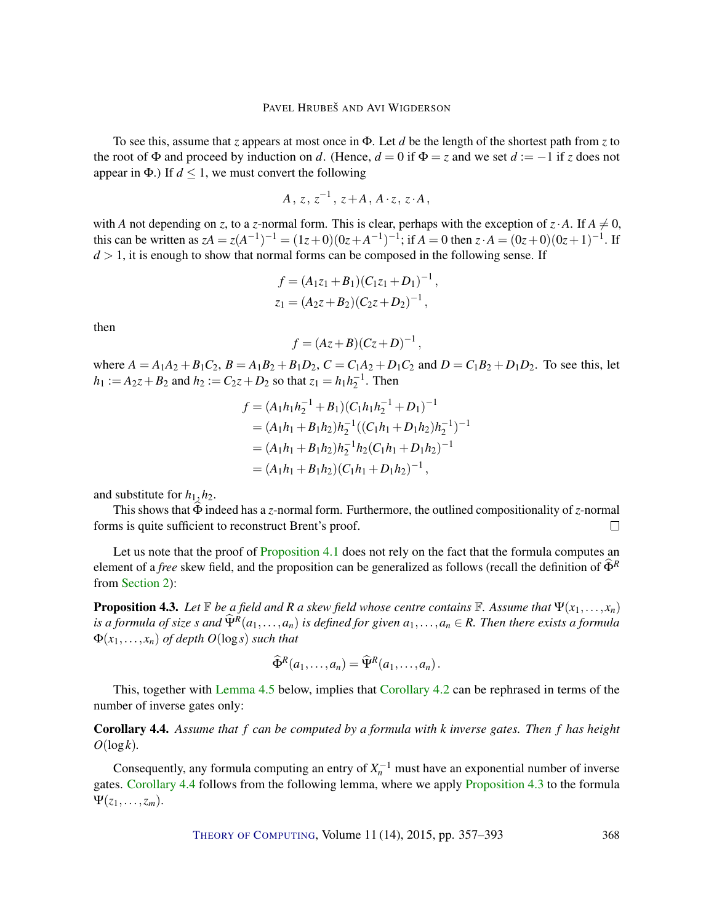To see this, assume that *z* appears at most once in Φ. Let *d* be the length of the shortest path from *z* to the root of  $\Phi$  and proceed by induction on *d*. (Hence,  $d = 0$  if  $\Phi = z$  and we set  $d := -1$  if *z* does not appear in  $\Phi$ .) If  $d \leq 1$ , we must convert the following

$$
A\,,\,z,\,z^{-1}\,,\,z\!+\!A\,,\,A\cdot z\,,\,z\cdot A\,,\,
$$

with *A* not depending on *z*, to a *z*-normal form. This is clear, perhaps with the exception of  $z \cdot A$ . If  $A \neq 0$ , this can be written as  $zA = z(A^{-1})^{-1} = (1z+0)(0z+A^{-1})^{-1}$ ; if  $A = 0$  then  $z \cdot A = (0z+0)(0z+1)^{-1}$ . If  $d > 1$ , it is enough to show that normal forms can be composed in the following sense. If

$$
f = (A_1z_1 + B_1)(C_1z_1 + D_1)^{-1},
$$
  

$$
z_1 = (A_2z + B_2)(C_2z + D_2)^{-1},
$$

then

$$
f = (Az+B)(Cz+D)^{-1},
$$

where  $A = A_1A_2 + B_1C_2$ ,  $B = A_1B_2 + B_1D_2$ ,  $C = C_1A_2 + D_1C_2$  and  $D = C_1B_2 + D_1D_2$ . To see this, let  $h_1 := A_2z + B_2$  and  $h_2 := C_2z + D_2$  so that  $z_1 = h_1h_2^{-1}$ . Then

$$
f = (A_1h_1h_2^{-1} + B_1)(C_1h_1h_2^{-1} + D_1)^{-1}
$$
  
=  $(A_1h_1 + B_1h_2)h_2^{-1}((C_1h_1 + D_1h_2)h_2^{-1})^{-1}$   
=  $(A_1h_1 + B_1h_2)h_2^{-1}h_2(C_1h_1 + D_1h_2)^{-1}$   
=  $(A_1h_1 + B_1h_2)(C_1h_1 + D_1h_2)^{-1}$ ,

and substitute for  $h_1$ ,  $h_2$ .

This shows that  $\widehat{\Phi}$  indeed has a *z*-normal form. Furthermore, the outlined compositionality of *z*-normal ms is quite sufficient to reconstruct Brent's proof. forms is quite sufficient to reconstruct Brent's proof.

Let us note that the proof of [Proposition](#page-10-0) [4.1](#page-10-0) does not rely on the fact that the formula computes an element of a *free* skew field, and the proposition can be generalized as follows (recall the definition of  $\Phi^R$ from [Section](#page-4-0) [2\)](#page-4-0):

<span id="page-11-1"></span>**Proposition 4.3.** Let  $\mathbb{F}$  be a field and R a skew field whose centre contains  $\mathbb{F}$ . Assume that  $\Psi(x_1,\ldots,x_n)$ *is a formula of size s* and  $\widehat{\Psi}^R(a_1,\ldots,a_n)$  *is defined for given*  $a_1,\ldots,a_n \in R$ . Then there exists a formula  $\Phi(x_1,...,x_n)$  *of depth O*(log *s*) *such that* 

$$
\widehat{\Phi}^R(a_1,\ldots,a_n)=\widehat{\Psi}^R(a_1,\ldots,a_n).
$$

This, together with [Lemma](#page-12-1) [4.5](#page-12-1) below, implies that [Corollary](#page-10-4) [4.2](#page-10-4) can be rephrased in terms of the number of inverse gates only:

<span id="page-11-0"></span>Corollary 4.4. *Assume that f can be computed by a formula with k inverse gates. Then f has height O*(log*k*)*.*

Consequently, any formula computing an entry of  $X_n^{-1}$  must have an exponential number of inverse gates. [Corollary](#page-11-0) [4.4](#page-11-0) follows from the following lemma, where we apply [Proposition](#page-11-1) [4.3](#page-11-1) to the formula  $\Psi(z_1,\ldots,z_m)$ .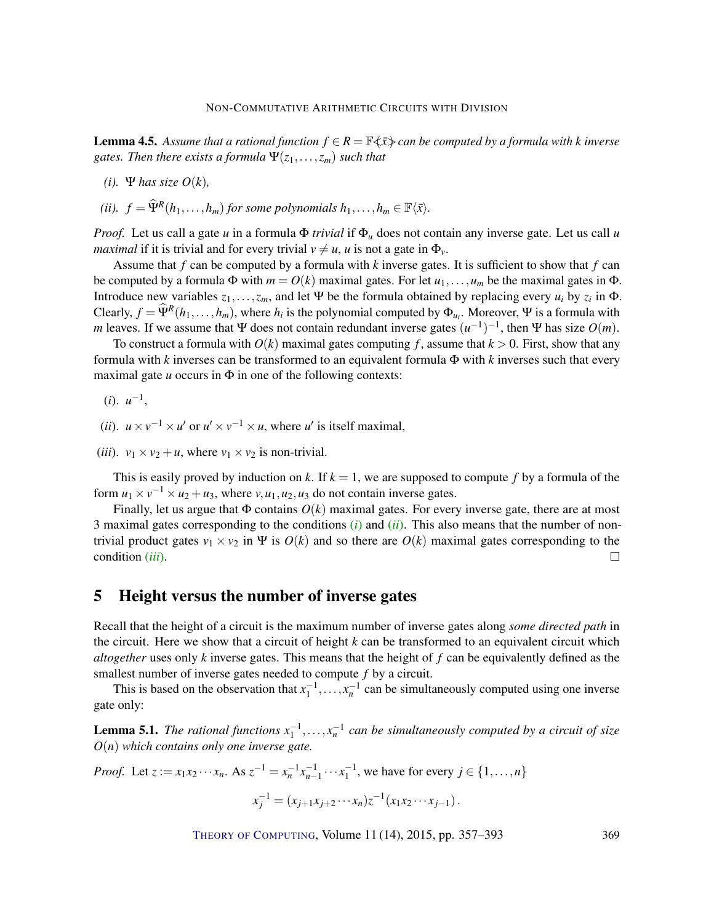<span id="page-12-1"></span>**Lemma 4.5.** Assume that a rational function  $f \in R = \mathbb{F}\langle \bar{x} \rangle$  can be computed by a formula with k inverse *gates. Then there exists a formula*  $\Psi(z_1,...,z_m)$  *such that* 

- *(i).* Ψ *has size O(k)*,
- *(ii).*  $f = \widehat{\Psi}^R(h_1, \ldots, h_m)$  *for some polynomials*  $h_1, \ldots, h_m \in \mathbb{F}\langle \bar{x} \rangle$ *.*

*Proof.* Let us call a gate *u* in a formula Φ *trivial* if Φ*<sup>u</sup>* does not contain any inverse gate. Let us call *u maximal* if it is trivial and for every trivial  $v \neq u$ , *u* is not a gate in  $\Phi_v$ .

Assume that *f* can be computed by a formula with *k* inverse gates. It is sufficient to show that *f* can be computed by a formula  $\Phi$  with  $m = O(k)$  maximal gates. For let  $u_1, \ldots, u_m$  be the maximal gates in  $\Phi$ . Introduce new variables  $z_1, \ldots, z_m$ , and let Ψ be the formula obtained by replacing every  $u_i$  by  $z_i$  in Φ. Clearly,  $f = \widehat{\Psi}^R(h_1, \ldots, h_m)$ , where  $h_i$  is the polynomial computed by  $\Phi_{u_i}$ . Moreover, Ψ is a formula with *m* leaves. If we assume that Ψ does not contain redundant inverse gates  $(u^{-1})^{-1}$ , then Ψ has size  $O(m)$ .

To construct a formula with  $O(k)$  maximal gates computing f, assume that  $k > 0$ . First, show that any formula with *k* inverses can be transformed to an equivalent formula Φ with *k* inverses such that every maximal gate  $u$  occurs in  $\Phi$  in one of the following contexts:

- <span id="page-12-2"></span> $(i)$ .  $u^{-1}$ ,
- <span id="page-12-3"></span>(*ii*).  $u \times v^{-1} \times u'$  or  $u' \times v^{-1} \times u$ , where  $u'$  is itself maximal,
- <span id="page-12-4"></span>(*iii*).  $v_1 \times v_2 + u$ , where  $v_1 \times v_2$  is non-trivial.

This is easily proved by induction on *k*. If  $k = 1$ , we are supposed to compute f by a formula of the form  $u_1 \times v^{-1} \times u_2 + u_3$ , where  $v, u_1, u_2, u_3$  do not contain inverse gates.

Finally, let us argue that  $\Phi$  contains  $O(k)$  maximal gates. For every inverse gate, there are at most 3 maximal gates corresponding to the conditions [\(](#page-12-2)*i*) and (*[ii](#page-12-3)*). This also means that the number of nontrivial product gates  $v_1 \times v_2$  in  $\Psi$  is  $O(k)$  and so there are  $O(k)$  maximal gates corresponding to the condition (*[iii](#page-12-4)*).  $\Box$ 

# <span id="page-12-0"></span>5 Height versus the number of inverse gates

Recall that the height of a circuit is the maximum number of inverse gates along *some directed path* in the circuit. Here we show that a circuit of height *k* can be transformed to an equivalent circuit which *altogether* uses only *k* inverse gates. This means that the height of *f* can be equivalently defined as the smallest number of inverse gates needed to compute *f* by a circuit.

This is based on the observation that  $x_1^{-1}, \ldots, x_n^{-1}$  can be simultaneously computed using one inverse gate only:

**Lemma 5.1.** The rational functions  $x_1^{-1},...,x_n^{-1}$  can be simultaneously computed by a circuit of size *O*(*n*) *which contains only one inverse gate.*

*Proof.* Let 
$$
z := x_1 x_2 \cdots x_n
$$
. As  $z^{-1} = x_n^{-1} x_{n-1}^{-1} \cdots x_1^{-1}$ , we have for every  $j \in \{1, ..., n\}$   

$$
x_j^{-1} = (x_{j+1} x_{j+2} \cdots x_n) z^{-1} (x_1 x_2 \cdots x_{j-1}).
$$

THEORY OF C[OMPUTING](http://dx.doi.org/10.4086/toc), Volume 11 (14), 2015, pp. 357–393 369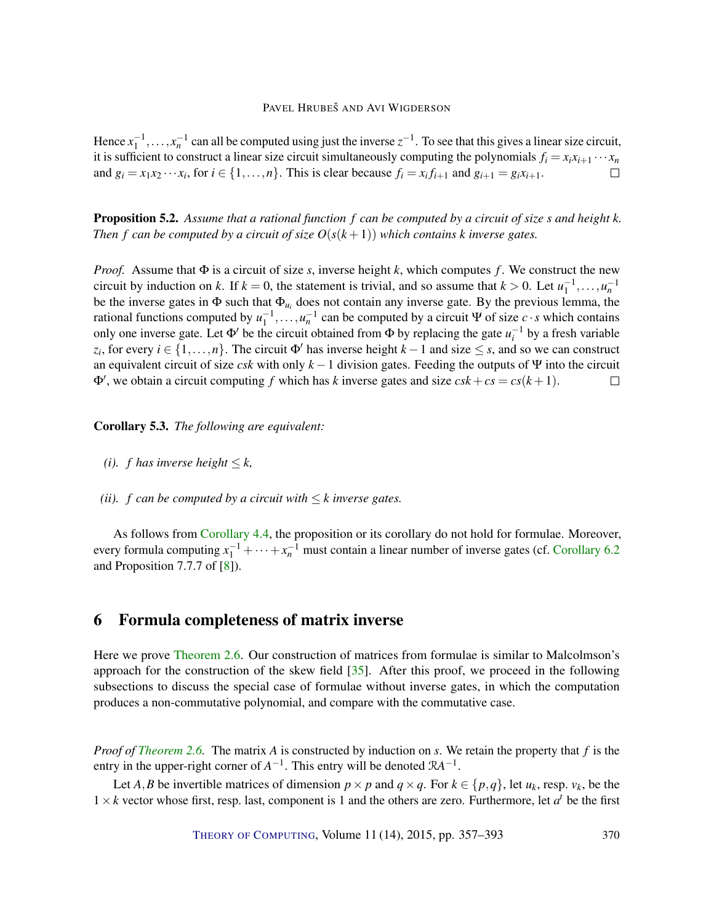<span id="page-13-3"></span>Hence  $x_1^{-1}, \ldots, x_n^{-1}$  can all be computed using just the inverse  $z^{-1}$ . To see that this gives a linear size circuit, it is sufficient to construct a linear size circuit simultaneously computing the polynomials  $f_i = x_i x_{i+1} \cdots x_n$ and  $g_i = x_1x_2 \cdots x_i$ , for  $i \in \{1, \ldots, n\}$ . This is clear because  $f_i = x_if_{i+1}$  and  $g_{i+1} = g_ix_{i+1}$ .  $\Box$ 

<span id="page-13-2"></span>Proposition 5.2. *Assume that a rational function f can be computed by a circuit of size s and height k. Then f can be computed by a circuit of size*  $O(s(k+1))$  *which contains k inverse gates.* 

*Proof.* Assume that  $\Phi$  is a circuit of size *s*, inverse height *k*, which computes *f*. We construct the new circuit by induction on *k*. If  $k = 0$ , the statement is trivial, and so assume that  $k > 0$ . Let  $u_1^{-1}, \ldots, u_n^{-1}$ be the inverse gates in  $\Phi$  such that  $\Phi_{u_i}$  does not contain any inverse gate. By the previous lemma, the rational functions computed by  $u_1^{-1}, \ldots, u_n^{-1}$  can be computed by a circuit Ψ of size *c* · *s* which contains only one inverse gate. Let  $\Phi'$  be the circuit obtained from  $\Phi$  by replacing the gate  $u_i^{-1}$  by a fresh variable  $z_i$ , for every  $i \in \{1, ..., n\}$ . The circuit  $\Phi'$  has inverse height  $k - 1$  and size  $\leq s$ , and so we can construct an equivalent circuit of size *csk* with only  $k - 1$  division gates. Feeding the outputs of Ψ into the circuit  $\Phi'$ , we obtain a circuit computing *f* which has *k* inverse gates and size  $csk + cs = cs(k + 1)$ .  $\Box$ 

#### <span id="page-13-1"></span>Corollary 5.3. *The following are equivalent:*

- *(i). f has inverse height*  $\leq k$ ,
- *(ii).*  $f$  can be computed by a circuit with  $\leq k$  inverse gates.

As follows from [Corollary](#page-11-0) [4.4,](#page-11-0) the proposition or its corollary do not hold for formulae. Moreover, every formula computing  $x_1^{-1} + \cdots + x_n^{-1}$  must contain a linear number of inverse gates (cf. [Corollary](#page-15-0) [6.2](#page-15-0)) and Proposition 7.7.7 of [\[8\]](#page-32-2)).

# <span id="page-13-0"></span>6 Formula completeness of matrix inverse

Here we prove [Theorem](#page-7-1) [2.6.](#page-7-1) Our construction of matrices from formulae is similar to Malcolmson's approach for the construction of the skew field [\[35\]](#page-34-6). After this proof, we proceed in the following subsections to discuss the special case of formulae without inverse gates, in which the computation produces a non-commutative polynomial, and compare with the commutative case.

*Proof of [Theorem](#page-7-1) [2.6.](#page-7-1)* The matrix *A* is constructed by induction on *s*. We retain the property that *f* is the entry in the upper-right corner of  $A^{-1}$ . This entry will be denoted  $RA^{-1}$ .

Let *A*, *B* be invertible matrices of dimension  $p \times p$  and  $q \times q$ . For  $k \in \{p,q\}$ , let  $u_k$ , resp.  $v_k$ , be the  $1 \times k$  vector whose first, resp. last, component is 1 and the others are zero. Furthermore, let  $a^t$  be the first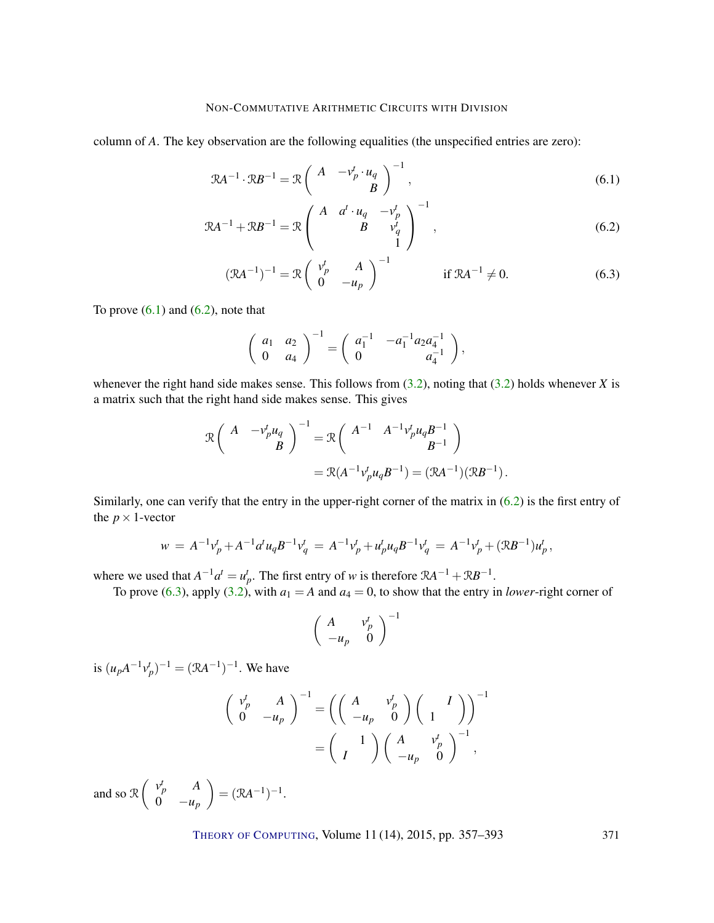column of *A*. The key observation are the following equalities (the unspecified entries are zero):

$$
\mathcal{R}A^{-1} \cdot \mathcal{R}B^{-1} = \mathcal{R} \begin{pmatrix} A & -v_p^t \cdot u_q \\ B & \end{pmatrix}^{-1},\tag{6.1}
$$

$$
\mathcal{R}A^{-1} + \mathcal{R}B^{-1} = \mathcal{R}\begin{pmatrix} A & a^t \cdot u_q & -v_p^t \\ B & v_q^t \\ 1 & 1 \end{pmatrix}^{-1},\tag{6.2}
$$

<span id="page-14-0"></span>
$$
(\mathcal{R}A^{-1})^{-1} = \mathcal{R} \begin{pmatrix} v_p^t & A \\ 0 & -u_p \end{pmatrix}^{-1} \qquad \text{if } \mathcal{R}A^{-1} \neq 0.
$$
 (6.3)

To prove  $(6.1)$  and  $(6.2)$ , note that

<span id="page-14-2"></span><span id="page-14-1"></span>
$$
\left(\begin{array}{cc} a_1 & a_2 \\ 0 & a_4 \end{array}\right)^{-1} = \left(\begin{array}{cc} a_1^{-1} & -a_1^{-1} a_2 a_4^{-1} \\ 0 & a_4^{-1} \end{array}\right),
$$

whenever the right hand side makes sense. This follows from  $(3.2)$ , noting that  $(3.2)$  holds whenever *X* is a matrix such that the right hand side makes sense. This gives

$$
\mathcal{R}\left(\begin{array}{cc}A & -\nu_p^t u_q \\ B\end{array}\right)^{-1} = \mathcal{R}\left(\begin{array}{cc}A^{-1} & A^{-1}\nu_p^t u_q B^{-1} \\ B^{-1}\end{array}\right)
$$

$$
= \mathcal{R}(A^{-1}\nu_p^t u_q B^{-1}) = (\mathcal{R}A^{-1})(\mathcal{R}B^{-1}).
$$

Similarly, one can verify that the entry in the upper-right corner of the matrix in [\(6.2\)](#page-14-1) is the first entry of the  $p \times 1$ -vector

$$
w = A^{-1}v_p^t + A^{-1}d^t u_q B^{-1}v_q^t = A^{-1}v_p^t + u_p^t u_q B^{-1}v_q^t = A^{-1}v_p^t + (\mathcal{R}B^{-1})u_p^t,
$$

where we used that  $A^{-1}a^t = u_p^t$ . The first entry of *w* is therefore  $RA^{-1} + RB^{-1}$ .

To prove [\(6.3\)](#page-14-2), apply [\(3.2\)](#page-9-1), with  $a_1 = A$  and  $a_4 = 0$ , to show that the entry in *lower*-right corner of

$$
\left(\begin{array}{cc}A&v_p^t\\-u_p&0\end{array}\right)^{-1}
$$

is  $(u_p A^{-1} v_p^t)^{-1} = (\mathcal{R}A^{-1})^{-1}$ . We have

$$
\begin{pmatrix}\n v_p^t & A \\
 0 & -u_p\n\end{pmatrix}^{-1} = \left( \begin{pmatrix}\n A & v_p^t \\
 -u_p & 0\n\end{pmatrix} \begin{pmatrix}\n I \\
 1\n\end{pmatrix} \right)^{-1} \\
= \begin{pmatrix}\n 1 \\
 I\n\end{pmatrix} \begin{pmatrix}\n A & v_p^t \\
 -u_p & 0\n\end{pmatrix}^{-1},
$$

and so  $\mathcal{R} \begin{pmatrix} v_p^t & A \\ 0 & v_p^t \end{pmatrix}$ 0  $-u_p$  $= (\mathcal{R}A^{-1})^{-1}.$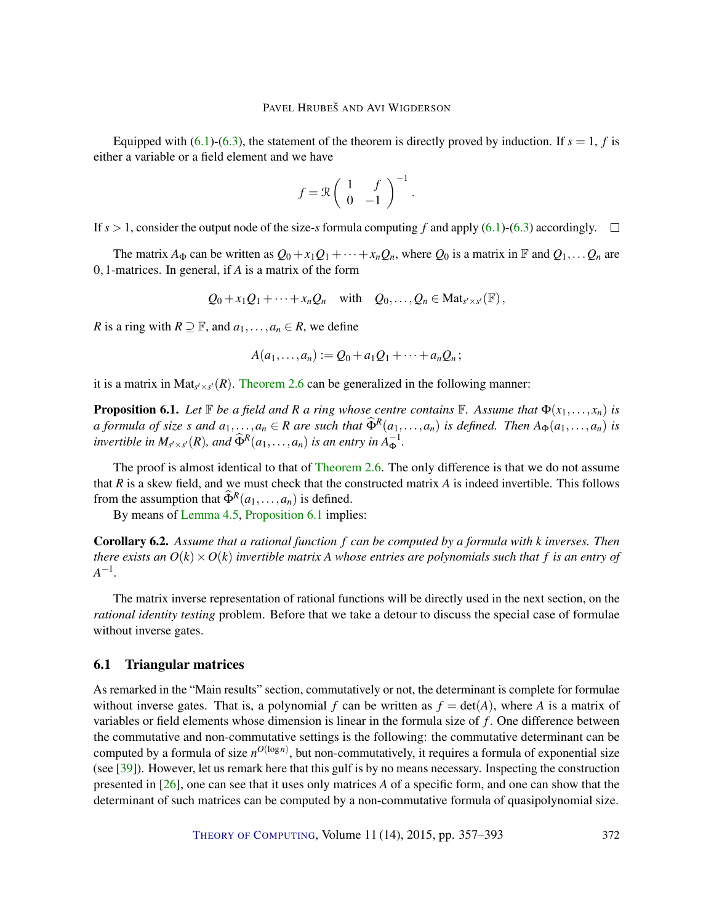<span id="page-15-2"></span>Equipped with  $(6.1)-(6.3)$  $(6.1)-(6.3)$  $(6.1)-(6.3)$ , the statement of the theorem is directly proved by induction. If  $s = 1$ , *f* is either a variable or a field element and we have

$$
f = \mathcal{R} \left( \begin{array}{cc} 1 & f \\ 0 & -1 \end{array} \right)^{-1}.
$$

If  $s > 1$ , consider the output node of the size-*s* formula computing f and apply [\(6.1\)](#page-14-0)-[\(6.3\)](#page-14-2) accordingly.  $\square$ 

The matrix  $A_{\Phi}$  can be written as  $Q_0 + x_1Q_1 + \cdots + x_nQ_n$ , where  $Q_0$  is a matrix in  $\mathbb F$  and  $Q_1, \ldots Q_n$  are 0,1-matrices. In general, if *A* is a matrix of the form

$$
Q_0 + x_1 Q_1 + \cdots + x_n Q_n
$$
 with  $Q_0, \ldots, Q_n \in \text{Mat}_{s' \times s'}(\mathbb{F}),$ 

*R* is a ring with  $R \supseteq F$ , and  $a_1, \ldots, a_n \in R$ , we define

$$
A(a_1,\ldots,a_n):=Q_0+a_1Q_1+\cdots+a_nQ_n;
$$

it is a matrix in  $Mat_{s' \times s'}(R)$ . [Theorem](#page-7-1) [2.6](#page-7-1) can be generalized in the following manner:

<span id="page-15-1"></span>**Proposition 6.1.** Let  $\mathbb{F}$  be a field and R a ring whose centre contains  $\mathbb{F}$ . Assume that  $\Phi(x_1,\ldots,x_n)$  is a formula of size s and  $a_1, ..., a_n \in R$  are such that  $\widehat{\Phi}^R(a_1, ..., a_n)$  is defined. Then  $A_{\Phi}(a_1, ..., a_n)$  is *invertible in*  $M_{s' \times s'}(R)$ *, and*  $\widehat{\Phi}^R(a_1, \ldots, a_n)$  *is an entry in*  $A_{\Phi}^{-1}$ *.* 

The proof is almost identical to that of [Theorem](#page-7-1) [2.6.](#page-7-1) The only difference is that we do not assume that *R* is a skew field, and we must check that the constructed matrix *A* is indeed invertible. This follows from the assumption that  $\widehat{\Phi}^R(a_1,...,a_n)$  is defined.

By means of [Lemma](#page-12-1) [4.5,](#page-12-1) [Proposition](#page-15-1) [6.1](#page-15-1) implies:

<span id="page-15-0"></span>Corollary 6.2. *Assume that a rational function f can be computed by a formula with k inverses. Then there exists an*  $O(k) \times O(k)$  *invertible matrix A whose entries are polynomials such that*  $f$  *is an entry of A*<sup>−1</sup>.

The matrix inverse representation of rational functions will be directly used in the next section, on the *rational identity testing* problem. Before that we take a detour to discuss the special case of formulae without inverse gates.

## 6.1 Triangular matrices

As remarked in the "Main results" section, commutatively or not, the determinant is complete for formulae without inverse gates. That is, a polynomial *f* can be written as  $f = det(A)$ , where *A* is a matrix of variables or field elements whose dimension is linear in the formula size of *f* . One difference between the commutative and non-commutative settings is the following: the commutative determinant can be computed by a formula of size  $n^{O(\log n)}$ , but non-commutatively, it requires a formula of exponential size (see [\[39\]](#page-35-2)). However, let us remark here that this gulf is by no means necessary. Inspecting the construction presented in [\[26\]](#page-34-4), one can see that it uses only matrices *A* of a specific form, and one can show that the determinant of such matrices can be computed by a non-commutative formula of quasipolynomial size.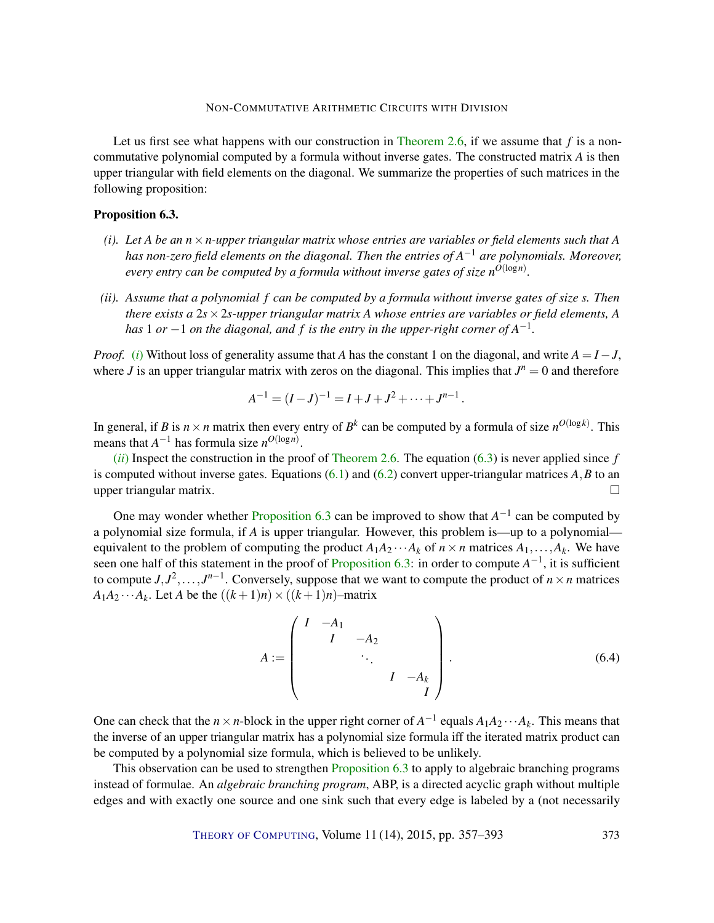Let us first see what happens with our construction in [Theorem](#page-7-1) [2.6,](#page-7-1) if we assume that *f* is a noncommutative polynomial computed by a formula without inverse gates. The constructed matrix *A* is then upper triangular with field elements on the diagonal. We summarize the properties of such matrices in the following proposition:

# <span id="page-16-2"></span>Proposition 6.3.

- <span id="page-16-0"></span>*(i).* Let A be an  $n \times n$ -upper triangular matrix whose entries are variables or field elements such that A *has non-zero field elements on the diagonal. Then the entries of A* <sup>−</sup><sup>1</sup> *are polynomials. Moreover, every entry can be computed by a formula without inverse gates of size nO*(log*n*) *.*
- <span id="page-16-1"></span>*(ii). Assume that a polynomial f can be computed by a formula without inverse gates of size s. Then there exists a* 2*s*×2*s-upper triangular matrix A whose entries are variables or field elements, A has* 1 *or* −1 *on the diagonal, and f is the entry in the upper-right corner of A*−<sup>1</sup> *.*

*Proof.* [\(](#page-16-0)*i*) Without loss of generality assume that *A* has the constant 1 on the diagonal, and write  $A = I - J$ , where *J* is an upper triangular matrix with zeros on the diagonal. This implies that  $J^n = 0$  and therefore

$$
A^{-1} = (I-J)^{-1} = I + J + J^2 + \dots + J^{n-1}.
$$

In general, if *B* is  $n \times n$  matrix then every entry of  $B^k$  can be computed by a formula of size  $n^{O(\log k)}$ . This means that  $A^{-1}$  has formula size  $n^{O(\log n)}$ .

 $(iii)$  $(iii)$  $(iii)$  Inspect the construction in the proof of [Theorem](#page-7-1) [2.6.](#page-7-1) The equation  $(6.3)$  is never applied since f is computed without inverse gates. Equations  $(6.1)$  and  $(6.2)$  convert upper-triangular matrices  $A, B$  to an upper triangular matrix.  $\Box$ 

One may wonder whether [Proposition](#page-16-2) [6.3](#page-16-2) can be improved to show that  $A^{-1}$  can be computed by a polynomial size formula, if *A* is upper triangular. However, this problem is—up to a polynomial equivalent to the problem of computing the product  $A_1A_2 \cdots A_k$  of  $n \times n$  matrices  $A_1, \ldots, A_k$ . We have seen one half of this statement in the proof of [Proposition](#page-16-2) [6.3:](#page-16-2) in order to compute *A*<sup>-1</sup>, it is sufficient to compute  $J, J^2, \ldots, J^{n-1}$ . Conversely, suppose that we want to compute the product of  $n \times n$  matrices  $A_1A_2 \cdots A_k$ . Let *A* be the  $((k+1)n) \times ((k+1)n)$ –matrix

<span id="page-16-3"></span>
$$
A := \begin{pmatrix} I & -A_1 & & & \\ & I & -A_2 & & \\ & & \ddots & & \\ & & & I & -A_k \\ & & & & I \end{pmatrix} . \tag{6.4}
$$

One can check that the *n* × *n*-block in the upper right corner of  $A^{-1}$  equals  $A_1A_2 \cdots A_k$ . This means that the inverse of an upper triangular matrix has a polynomial size formula iff the iterated matrix product can be computed by a polynomial size formula, which is believed to be unlikely.

This observation can be used to strengthen [Proposition](#page-16-2) [6.3](#page-16-2) to apply to algebraic branching programs instead of formulae. An *algebraic branching program*, ABP, is a directed acyclic graph without multiple edges and with exactly one source and one sink such that every edge is labeled by a (not necessarily

THEORY OF C[OMPUTING](http://dx.doi.org/10.4086/toc), Volume 11 (14), 2015, pp. 357–393 373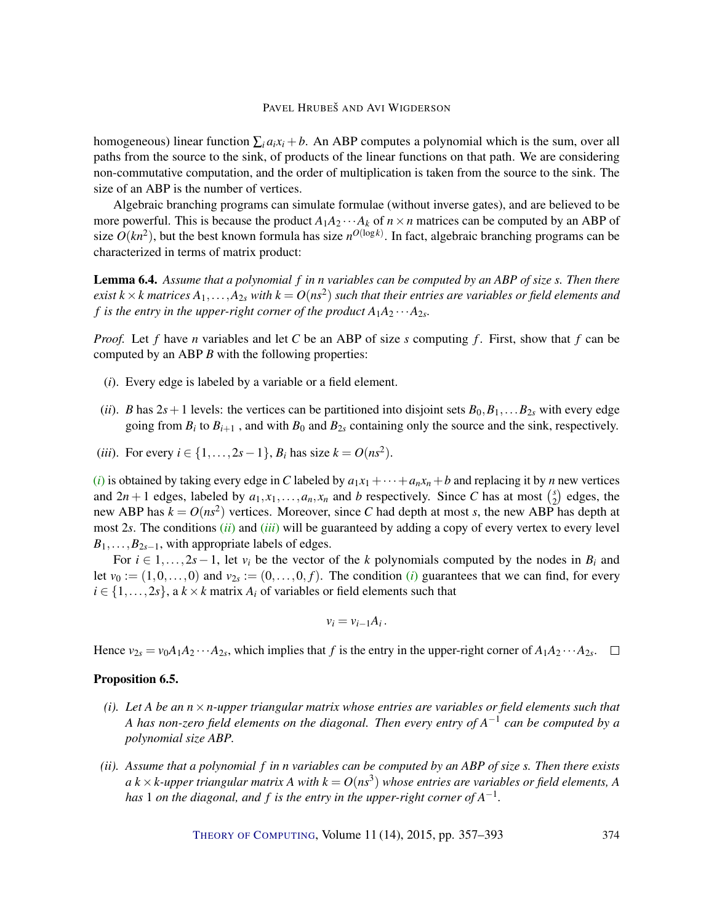homogeneous) linear function  $\sum_i a_i x_i + b$ . An ABP computes a polynomial which is the sum, over all paths from the source to the sink, of products of the linear functions on that path. We are considering non-commutative computation, and the order of multiplication is taken from the source to the sink. The size of an ABP is the number of vertices.

Algebraic branching programs can simulate formulae (without inverse gates), and are believed to be more powerful. This is because the product  $A_1A_2 \cdots A_k$  of  $n \times n$  matrices can be computed by an ABP of size  $O(kn^2)$ , but the best known formula has size  $n^{O(\log k)}$ . In fact, algebraic branching programs can be characterized in terms of matrix product:

Lemma 6.4. *Assume that a polynomial f in n variables can be computed by an ABP of size s. Then there*  $e$ xist  $k\times k$  matrices  $A_1,\ldots,A_{2s}$  with  $k=O(ns^2)$  such that their entries are variables or field elements and *f* is the entry in the upper-right corner of the product  $A_1A_2 \cdots A_{2s}$ .

*Proof.* Let *f* have *n* variables and let *C* be an ABP of size *s* computing *f* . First, show that *f* can be computed by an ABP *B* with the following properties:

- (*i*). Every edge is labeled by a variable or a field element.
- (*ii*). *B* has  $2s+1$  levels: the vertices can be partitioned into disjoint sets  $B_0, B_1, \ldots, B_{2s}$  with every edge going from  $B_i$  to  $B_{i+1}$ , and with  $B_0$  and  $B_{2s}$  containing only the source and the sink, respectively.
- <span id="page-17-0"></span>(*iii*). For every  $i \in \{1, ..., 2s - 1\}$ ,  $B_i$  has size  $k = O(n s^2)$ .

[\(](#page-16-0)*i*) is obtained by taking every edge in *C* labeled by  $a_1x_1 + \cdots + a_nx_n + b$  and replacing it by *n* new vertices and  $2n + 1$  edges, labeled by  $a_1, x_1, \ldots, a_n, x_n$  and *b* respectively. Since *C* has at most  $\binom{s}{2}$  $2^{\binom{s}{2}}$  edges, the new ABP has  $k = O(n s^2)$  vertices. Moreover, since C had depth at most *s*, the new ABP has depth at most 2*s*. The conditions (*[ii](#page-16-1)*) and (*[iii](#page-17-0)*) will be guaranteed by adding a copy of every vertex to every level  $B_1, \ldots, B_{2s-1}$ , with appropriate labels of edges.

For  $i \in 1, \ldots, 2s-1$ , let  $v_i$  be the vector of the *k* polynomials computed by the nodes in  $B_i$  and let  $v_0 := (1,0,\ldots,0)$  $v_0 := (1,0,\ldots,0)$  $v_0 := (1,0,\ldots,0)$  and  $v_{2s} := (0,\ldots,0,f)$ . The condition (*i*) guarantees that we can find, for every  $i \in \{1, \ldots, 2s\}$ , a  $k \times k$  matrix  $A_i$  of variables or field elements such that

$$
v_i = v_{i-1} A_i.
$$

Hence  $v_{2s} = v_0 A_1 A_2 \cdots A_{2s}$ , which implies that *f* is the entry in the upper-right corner of  $A_1 A_2 \cdots A_{2s}$ .

## <span id="page-17-1"></span>Proposition 6.5.

- *(i). Let A be an n*×*n-upper triangular matrix whose entries are variables or field elements such that A has non-zero field elements on the diagonal. Then every entry of A* −1 *can be computed by a polynomial size ABP.*
- *(ii). Assume that a polynomial f in n variables can be computed by an ABP of size s. Then there exists*  $a$   $k$   $\times$   $k$ -upper triangular matrix A with  $k$   $=$   $O(n s^3)$  whose entries are variables or field elements, A *has* 1 *on the diagonal, and f is the entry in the upper-right corner of A*−<sup>1</sup> *.*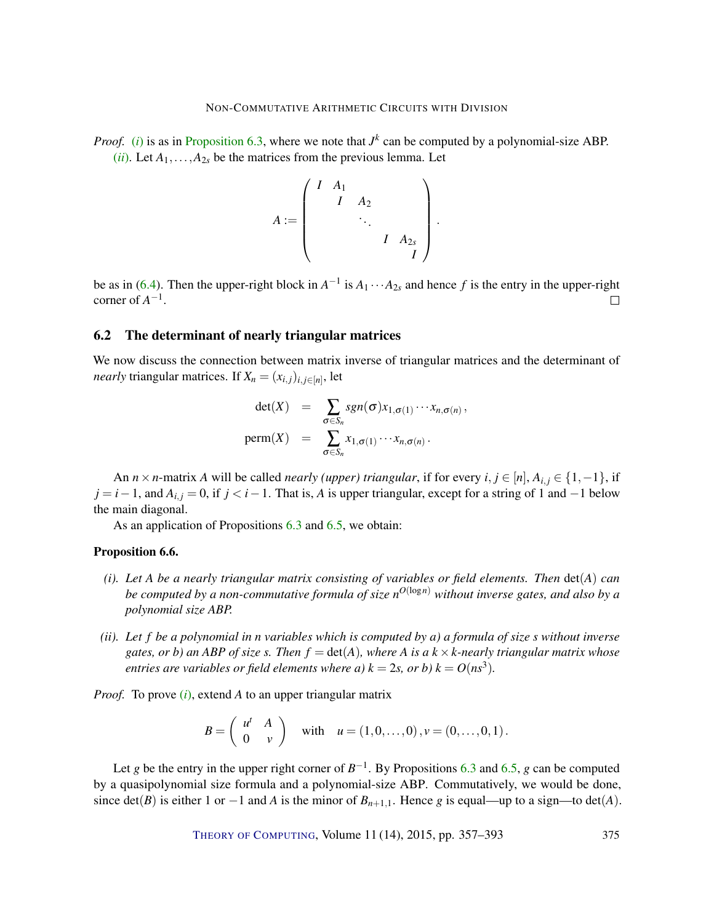*Proof.* [\(](#page-16-0)*i*) is as in [Proposition](#page-16-2) [6.3,](#page-16-2) where we note that  $J^k$  can be computed by a polynomial-size ABP. (*[ii](#page-16-1)*). Let  $A_1, \ldots, A_{2s}$  be the matrices from the previous lemma. Let

$$
A := \begin{pmatrix} I & A_1 & & & \\ & I & A_2 & & \\ & & \ddots & & \\ & & & I & A_{2s} \\ & & & & I \end{pmatrix}.
$$

be as in [\(6.4\)](#page-16-3). Then the upper-right block in  $A^{-1}$  is  $A_1 \cdots A_{2s}$  and hence f is the entry in the upper-right corner of  $A^{-1}$ .  $\Box$ 

## 6.2 The determinant of nearly triangular matrices

We now discuss the connection between matrix inverse of triangular matrices and the determinant of *nearly* triangular matrices. If  $X_n = (x_{i,j})_{i,j \in [n]}$ , let

$$
\det(X) = \sum_{\sigma \in S_n} sgn(\sigma) x_{1,\sigma(1)} \cdots x_{n,\sigma(n)},
$$
  
perm(X) = 
$$
\sum_{\sigma \in S_n} x_{1,\sigma(1)} \cdots x_{n,\sigma(n)}.
$$

An *n* × *n*-matrix *A* will be called *nearly (upper) triangular*, if for every  $i, j \in [n], A_{i,j} \in \{1, -1\}$ , if  $j = i - 1$ , and  $A_{i,j} = 0$ , if  $j < i - 1$ . That is, *A* is upper triangular, except for a string of 1 and  $-1$  below the main diagonal.

As an application of Propositions [6.3](#page-16-2) and [6.5,](#page-17-1) we obtain:

#### <span id="page-18-0"></span>Proposition 6.6.

- *(i). Let A be a nearly triangular matrix consisting of variables or field elements. Then* det(*A*) *can be computed by a non-commutative formula of size n <sup>O</sup>*(log*n*) *without inverse gates, and also by a polynomial size ABP.*
- *(ii). Let f be a polynomial in n variables which is computed by a) a formula of size s without inverse gates, or b) an ABP of size s. Then*  $f = det(A)$ *, where A is a*  $k \times k$ *-nearly triangular matrix whose entries are variables or field elements where a)*  $k = 2s$ *, or b)*  $k = O(ns^3)$ *.*

*Proof.* To prove (*i*[\),](#page-16-0) extend *A* to an upper triangular matrix

$$
B = \left(\begin{array}{cc} u^t & A \\ 0 & v \end{array}\right) \quad \text{with} \quad u = (1,0,\ldots,0), v = (0,\ldots,0,1).
$$

Let *g* be the entry in the upper right corner of  $B^{-1}$ . By Propositions [6.3](#page-16-2) and [6.5,](#page-17-1) *g* can be computed by a quasipolynomial size formula and a polynomial-size ABP. Commutatively, we would be done, since det(*B*) is either 1 or −1 and *A* is the minor of  $B_{n+1,1}$ . Hence *g* is equal—up to a sign—to det(*A*).

THEORY OF C[OMPUTING](http://dx.doi.org/10.4086/toc), Volume 11 (14), 2015, pp. 357–393 375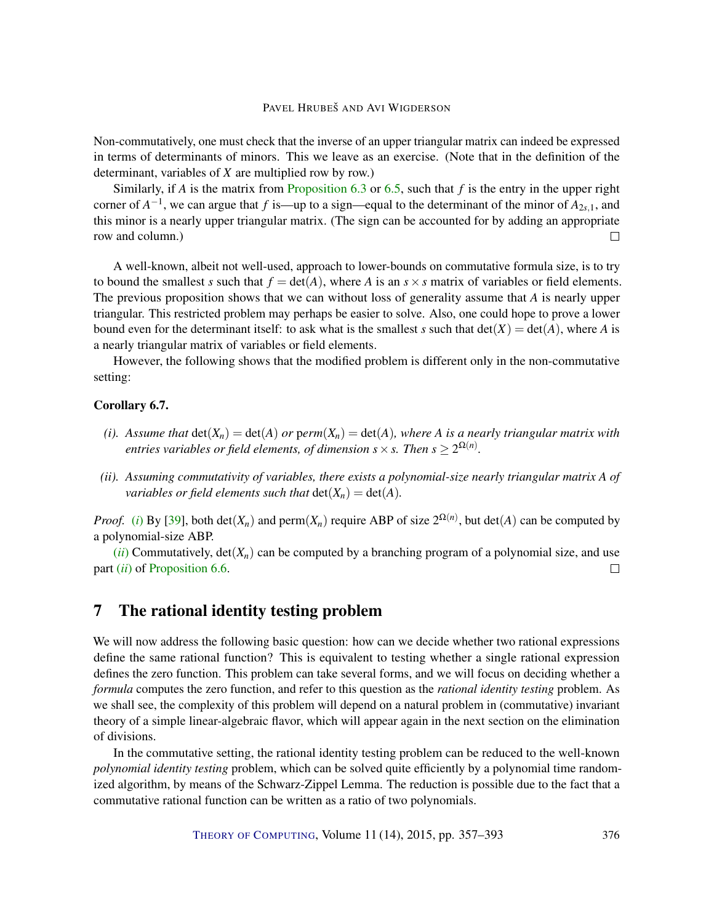<span id="page-19-1"></span>Non-commutatively, one must check that the inverse of an upper triangular matrix can indeed be expressed in terms of determinants of minors. This we leave as an exercise. (Note that in the definition of the determinant, variables of *X* are multiplied row by row.)

Similarly, if *A* is the matrix from [Proposition](#page-16-2) [6.3](#page-16-2) or [6.5,](#page-17-1) such that *f* is the entry in the upper right corner of  $A^{-1}$ , we can argue that *f* is—up to a sign—equal to the determinant of the minor of  $A_{2s,1}$ , and this minor is a nearly upper triangular matrix. (The sign can be accounted for by adding an appropriate row and column.)  $\Box$ 

A well-known, albeit not well-used, approach to lower-bounds on commutative formula size, is to try to bound the smallest *s* such that  $f = det(A)$ , where *A* is an  $s \times s$  matrix of variables or field elements. The previous proposition shows that we can without loss of generality assume that *A* is nearly upper triangular. This restricted problem may perhaps be easier to solve. Also, one could hope to prove a lower bound even for the determinant itself: to ask what is the smallest *s* such that  $det(X) = det(A)$ , where *A* is a nearly triangular matrix of variables or field elements.

However, the following shows that the modified problem is different only in the non-commutative setting:

#### Corollary 6.7.

- *(i).* Assume that  $det(X_n) = det(A)$  *or perm* $(X_n) = det(A)$ *, where A is a nearly triangular matrix with entries variables or field elements, of dimension s*  $\times$  *s. Then s*  $\geq 2^{\Omega(n)}$ *.*
- *(ii). Assuming commutativity of variables, there exists a polynomial-size nearly triangular matrix A of variables or field elements such that*  $det(X_n) = det(A)$ *.*

*Proof.* [\(](#page-16-0)*i*) By [\[39\]](#page-35-2), both det( $X_n$ ) and perm( $X_n$ ) require ABP of size  $2^{\Omega(n)}$ , but det(A) can be computed by a polynomial-size ABP.

 $(iii)$  $(iii)$  $(iii)$  Commutatively,  $det(X_n)$  can be computed by a branching program of a polynomial size, and use part (*[ii](#page-16-1)*) of [Proposition](#page-18-0) [6.6.](#page-18-0)  $\Box$ 

# <span id="page-19-0"></span>7 The rational identity testing problem

We will now address the following basic question: how can we decide whether two rational expressions define the same rational function? This is equivalent to testing whether a single rational expression defines the zero function. This problem can take several forms, and we will focus on deciding whether a *formula* computes the zero function, and refer to this question as the *rational identity testing* problem. As we shall see, the complexity of this problem will depend on a natural problem in (commutative) invariant theory of a simple linear-algebraic flavor, which will appear again in the next section on the elimination of divisions.

In the commutative setting, the rational identity testing problem can be reduced to the well-known *polynomial identity testing* problem, which can be solved quite efficiently by a polynomial time randomized algorithm, by means of the Schwarz-Zippel Lemma. The reduction is possible due to the fact that a commutative rational function can be written as a ratio of two polynomials.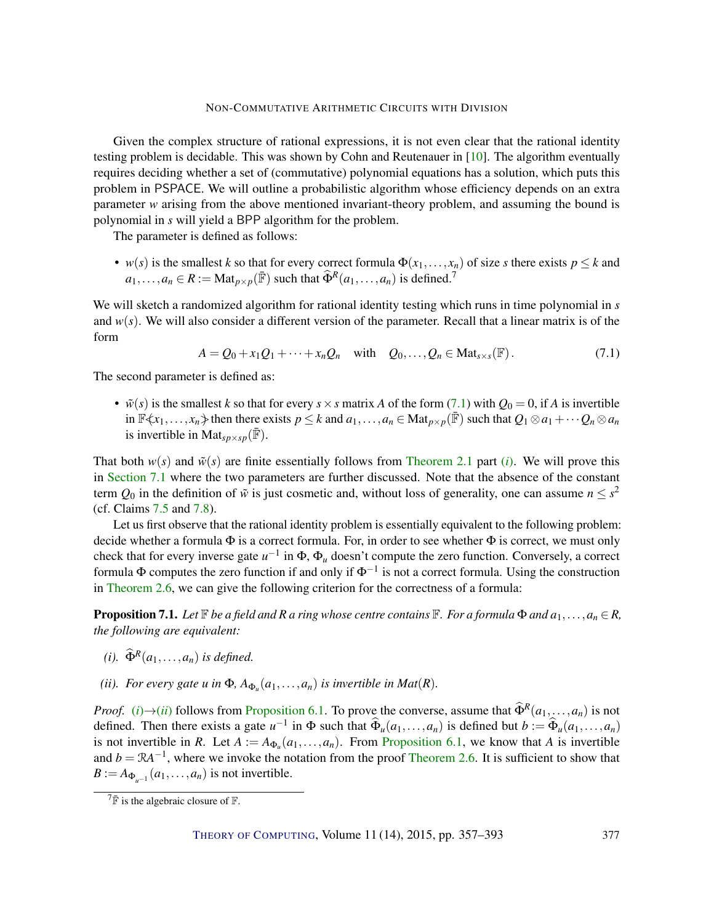<span id="page-20-4"></span>Given the complex structure of rational expressions, it is not even clear that the rational identity testing problem is decidable. This was shown by Cohn and Reutenauer in [\[10\]](#page-32-6). The algorithm eventually requires deciding whether a set of (commutative) polynomial equations has a solution, which puts this problem in PSPACE. We will outline a probabilistic algorithm whose efficiency depends on an extra parameter *w* arising from the above mentioned invariant-theory problem, and assuming the bound is polynomial in *s* will yield a BPP algorithm for the problem.

The parameter is defined as follows:

• *w*(*s*) is the smallest *k* so that for every correct formula  $\Phi(x_1,...,x_n)$  of size *s* there exists  $p \leq k$  and  $a_1, \ldots, a_n \in R := \text{Mat}_{p \times p}(\mathbb{F})$  such that  $\widehat{\Phi}^R(a_1, \ldots, a_n)$  is defined.<sup>7</sup>

We will sketch a randomized algorithm for rational identity testing which runs in time polynomial in *s* and  $w(s)$ . We will also consider a different version of the parameter. Recall that a linear matrix is of the form

<span id="page-20-0"></span>
$$
A = Q_0 + x_1 Q_1 + \dots + x_n Q_n \quad \text{with} \quad Q_0, \dots, Q_n \in \text{Mat}_{s \times s}(\mathbb{F}). \tag{7.1}
$$

The second parameter is defined as:

•  $\tilde{w}(s)$  is the smallest *k* so that for every  $s \times s$  matrix *A* of the form [\(7.1\)](#page-20-0) with  $Q_0 = 0$ , if *A* is invertible in  $\mathbb{F}\langle x_1,\ldots,x_n\rangle$  then there exists  $p \leq k$  and  $a_1,\ldots,a_n \in \text{Mat}_{p\times p}(\mathbb{F})$  such that  $Q_1 \otimes a_1 + \cdots + Q_n \otimes a_n$ is invertible in Mat<sub>sp×sp</sub>( $\bar{F}$ ).

That both  $w(s)$  and  $\tilde{w}(s)$  are finite essentially follows from [Theorem](#page-5-1) [2.1](#page-5-1) part *(i)*. We will prove this in [Section](#page-23-0) [7.1](#page-23-0) where the two parameters are further discussed. Note that the absence of the constant term  $Q_0$  in the definition of  $\tilde{w}$  is just cosmetic and, without loss of generality, one can assume  $n \leq s^2$ (cf. Claims [7.5](#page-22-0) and [7.8\)](#page-23-1).

Let us first observe that the rational identity problem is essentially equivalent to the following problem: decide whether a formula  $\Phi$  is a correct formula. For, in order to see whether  $\Phi$  is correct, we must only check that for every inverse gate *u*<sup>-1</sup> in Φ, Φ<sub>*u*</sub> doesn't compute the zero function. Conversely, a correct formula  $\Phi$  computes the zero function if and only if  $\Phi^{-1}$  is not a correct formula. Using the construction in [Theorem](#page-7-1) [2.6,](#page-7-1) we can give the following criterion for the correctness of a formula:

<span id="page-20-3"></span>**Proposition 7.1.** *Let*  $\mathbb{F}$  *be a field and*  $R$  *a ring whose centre contains*  $\mathbb{F}$ *. For a formula*  $\Phi$  *and*  $a_1, \ldots, a_n \in R$ , *the following are equivalent:*

- <span id="page-20-1"></span>*(i).*  $\widehat{\Phi}^R(a_1,\ldots,a_n)$  *is defined.*
- <span id="page-20-2"></span>*(ii). For every gate u in*  $\Phi$ ,  $A_{\Phi_u}(a_1,\ldots,a_n)$  *is invertible in Mat*(*R*).

*Proof.* [\(](#page-20-1)*i*)→(*[ii](#page-20-2)*) follows from [Proposition](#page-15-1) [6.1.](#page-15-1) To prove the converse, assume that  $\widehat{\Phi}^R(a_1,...,a_n)$  is not defined. Then there exists a gate  $u^{-1}$  in  $\Phi$  such that  $\widehat{\Phi}_u(a_1,\ldots,a_n)$  is defined but  $b := \widehat{\Phi}_u(a_1,\ldots,a_n)$ is not invertible in *R*. Let  $A := A_{\Phi_u}(a_1, \ldots, a_n)$ . From [Proposition](#page-15-1) [6.1,](#page-15-1) we know that *A* is invertible and  $b = \mathcal{R}A^{-1}$ , where we invoke the notation from the proof [Theorem](#page-7-1) [2.6.](#page-7-1) It is sufficient to show that  $B := A_{\Phi_{u^{-1}}}(a_1, \ldots, a_n)$  is not invertible.

 $7\overline{F}$  is the algebraic closure of  $\overline{F}$ .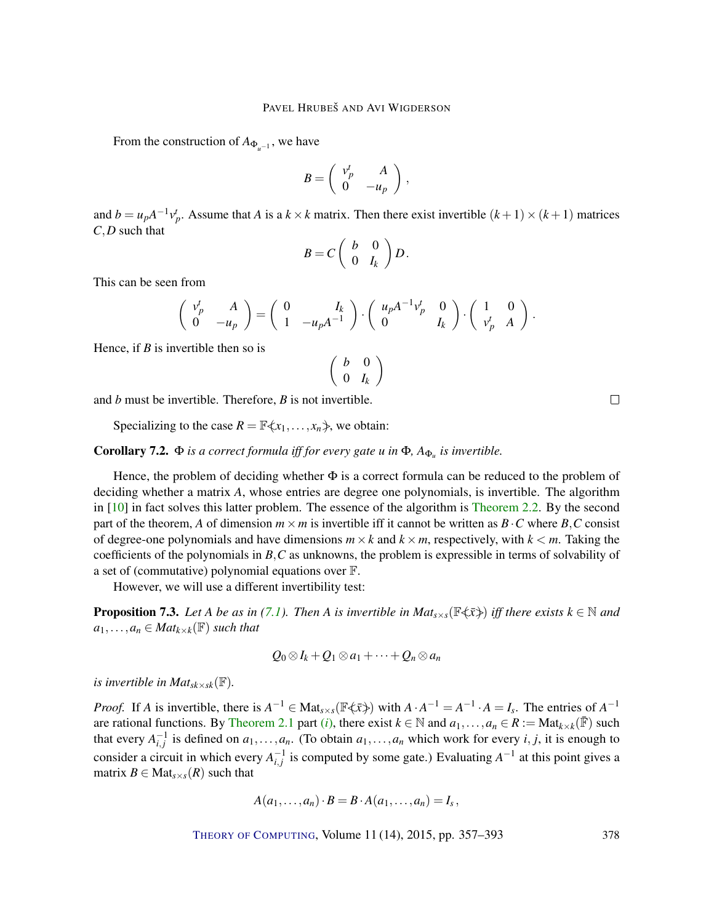<span id="page-21-1"></span>From the construction of  $A_{\Phi_{u^{-1}}}$ , we have

$$
B=\left(\begin{array}{cc} v_p^t & A \\ 0 & -u_p \end{array}\right)\,,
$$

and  $b = u_p A^{-1} v_p^t$ . Assume that *A* is a  $k \times k$  matrix. Then there exist invertible  $(k+1) \times (k+1)$  matrices *C*,*D* such that

$$
B=C\left(\begin{array}{cc}b&0\\0&I_k\end{array}\right)D.
$$

This can be seen from

$$
\left(\begin{array}{cc} v_p^t & A \\ 0 & -u_p \end{array}\right) = \left(\begin{array}{cc} 0 & I_k \\ 1 & -u_p A^{-1} \end{array}\right) \cdot \left(\begin{array}{cc} u_p A^{-1} v_p^t & 0 \\ 0 & I_k \end{array}\right) \cdot \left(\begin{array}{cc} 1 & 0 \\ v_p^t & A \end{array}\right).
$$

Hence, if *B* is invertible then so is

$$
\left(\begin{array}{cc}b&0\\0&I_k\end{array}\right)
$$

and *b* must be invertible. Therefore, *B* is not invertible.

Specializing to the case  $R = \mathbb{F}\langle x_1, \ldots, x_n \rangle$ , we obtain:

**Corollary 7.2.**  $\Phi$  *is a correct formula iff for every gate u in*  $\Phi$ *,*  $A_{\Phi_u}$  *is invertible.* 

Hence, the problem of deciding whether  $\Phi$  is a correct formula can be reduced to the problem of deciding whether a matrix *A*, whose entries are degree one polynomials, is invertible. The algorithm in [\[10\]](#page-32-6) in fact solves this latter problem. The essence of the algorithm is [Theorem](#page-6-2) [2.2.](#page-6-2) By the second part of the theorem, *A* of dimension  $m \times m$  is invertible iff it cannot be written as  $B \cdot C$  where  $B, C$  consist of degree-one polynomials and have dimensions  $m \times k$  and  $k \times m$ , respectively, with  $k \le m$ . Taking the coefficients of the polynomials in *B*,*C* as unknowns, the problem is expressible in terms of solvability of a set of (commutative) polynomial equations over F.

However, we will use a different invertibility test:

<span id="page-21-0"></span>**Proposition 7.3.** Let A be as in [\(7.1\)](#page-20-0). Then A is invertible in  $Mat_{s\times s}(\mathbb{F}\langle\bar{x}\rangle)$  iff there exists  $k \in \mathbb{N}$  and  $a_1, \ldots, a_n \in Mat_{k \times k}(\mathbb{F})$  *such that* 

$$
Q_0\otimes I_k+Q_1\otimes a_1+\cdots+Q_n\otimes a_n
$$

*is invertible in Mat*<sub>*sk*×*sk*</sub>( $\mathbb{F}$ )*.* 

*Proof.* If *A* is invertible, there is  $A^{-1} \in Mat_{s \times s}(\mathbb{F}\left\langle \bar{x}\right\rangle)$  with  $A \cdot A^{-1} = A^{-1} \cdot A = I_s$ . The entries of  $A^{-1}$ are rational functions. By [Theorem](#page-5-1) [2.1](#page-5-1) part (*i*[\),](#page-5-2) there exist  $k \in \mathbb{N}$  and  $a_1, \ldots, a_n \in R := \text{Mat}_{k \times k}(\overline{\mathbb{F}})$  such that every  $A_{i,j}^{-1}$  is defined on  $a_1, \ldots, a_n$ . (To obtain  $a_1, \ldots, a_n$  which work for every *i*, *j*, it is enough to consider a circuit in which every  $A_{i,j}^{-1}$  is computed by some gate.) Evaluating  $A^{-1}$  at this point gives a matrix  $B \in Mat_{s \times s}(R)$  such that

$$
A(a_1,\ldots,a_n)\cdot B=B\cdot A(a_1,\ldots,a_n)=I_s,
$$

THEORY OF C[OMPUTING](http://dx.doi.org/10.4086/toc), Volume 11 (14), 2015, pp. 357–393 378

 $\Box$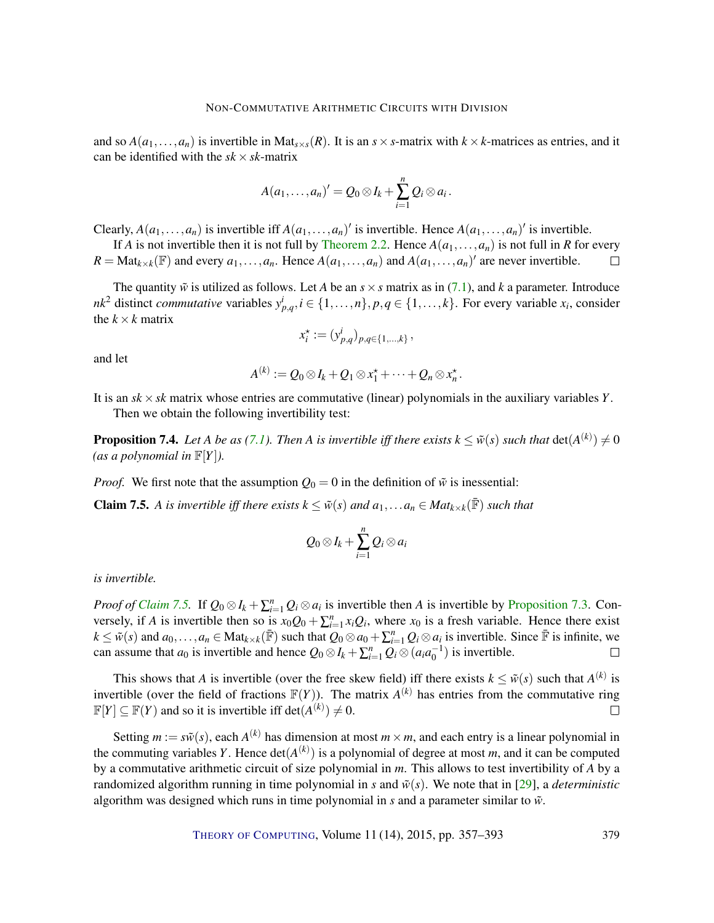<span id="page-22-1"></span>and so  $A(a_1,...,a_n)$  is invertible in Mat<sub>*s*×*s*</sub>( $R$ ). It is an  $s \times s$ -matrix with  $k \times k$ -matrices as entries, and it can be identified with the  $sk \times sk$ -matrix

$$
A(a_1,\ldots,a_n)'=Q_0\otimes I_k+\sum_{i=1}^n Q_i\otimes a_i.
$$

Clearly,  $A(a_1,...,a_n)$  is invertible iff  $A(a_1,...,a_n)'$  is invertible. Hence  $A(a_1,...,a_n)'$  is invertible.

If *A* is not invertible then it is not full by [Theorem](#page-6-2) [2.2.](#page-6-2) Hence  $A(a_1, \ldots, a_n)$  is not full in *R* for every  $R = Mat_{k \times k}(\mathbb{F})$  and every  $a_1, \ldots, a_n$ . Hence  $A(a_1, \ldots, a_n)$  and  $A(a_1, \ldots, a_n)'$  are never invertible.  $\Box$ 

The quantity  $\tilde{w}$  is utilized as follows. Let *A* be an  $s \times s$  matrix as in [\(7.1\)](#page-20-0), and *k* a parameter. Introduce *nk*<sup>2</sup> distinct *commutative* variables  $y_{p,q}^i$ ,  $i \in \{1, ..., n\}$ ,  $p, q \in \{1, ..., k\}$ . For every variable  $x_i$ , consider the  $k \times k$  matrix

$$
x_i^* := (y_{p,q}^i)_{p,q \in \{1,\ldots,k\}},
$$

and let

$$
A^{(k)} := Q_0 \otimes I_k + Q_1 \otimes x_1^* + \cdots + Q_n \otimes x_n^*.
$$

It is an *sk* ×*sk* matrix whose entries are commutative (linear) polynomials in the auxiliary variables *Y*. Then we obtain the following invertibility test:

**Proposition 7.4.** Let A be as [\(7.1\)](#page-20-0). Then A is invertible iff there exists  $k \leq \tilde{w}(s)$  such that  $det(A^{(k)}) \neq 0$ (*as a polynomial in*  $\mathbb{F}[Y]$ *)*.

*Proof.* We first note that the assumption  $Q_0 = 0$  in the definition of  $\tilde{w}$  is inessential:

<span id="page-22-0"></span>**Claim 7.5.** A is invertible iff there exists  $k \leq \tilde{w}(s)$  and  $a_1, \ldots, a_n \in Mat_{k \times k}(\bar{\mathbb{F}})$  such that

$$
Q_0\otimes I_k+\sum_{i=1}^n Q_i\otimes a_i
$$

*is invertible.*

*Proof of [Claim](#page-22-0)* [7.5.](#page-22-0) If  $Q_0 \otimes I_k + \sum_{i=1}^n Q_i \otimes a_i$  is invertible then *A* is invertible by [Proposition](#page-21-0) [7.3.](#page-21-0) Conversely, if *A* is invertible then so is  $x_0Q_0 + \sum_{i=1}^n x_iQ_i$ , where  $x_0$  is a fresh variable. Hence there exist  $k \leq \tilde{w}(s)$  and  $a_0, \ldots, a_n \in \text{Mat}_{k \times k}(\bar{\mathbb{F}})$  such that  $Q_0 \otimes a_0 + \sum_{i=1}^n Q_i \otimes a_i$  is invertible. Since  $\bar{\mathbb{F}}$  is infinite, we can assume that  $a_0$  is invertible and hence  $Q_0 \otimes I_k + \sum_{i=1}^n Q_i \otimes (a_i a_0^{-1})$  is invertible.  $\Box$ 

This shows that *A* is invertible (over the free skew field) iff there exists  $k \leq \tilde{w}(s)$  such that  $A^{(k)}$  is invertible (over the field of fractions  $F(Y)$ ). The matrix  $A^{(k)}$  has entries from the commutative ring  $\mathbb{F}[Y] \subseteq \mathbb{F}(Y)$  and so it is invertible iff  $\det(A^{(k)}) \neq 0$ .  $\Box$ 

Setting  $m := s\tilde{w}(s)$ , each  $A^{(k)}$  has dimension at most  $m \times m$ , and each entry is a linear polynomial in the commuting variables *Y*. Hence  $det(A^{(k)})$  is a polynomial of degree at most *m*, and it can be computed by a commutative arithmetic circuit of size polynomial in *m*. This allows to test invertibility of *A* by a randomized algorithm running in time polynomial in *s* and  $\tilde{w}(s)$ . We note that in [\[29\]](#page-34-5), a *deterministic* algorithm was designed which runs in time polynomial in  $s$  and a parameter similar to  $\tilde{w}$ .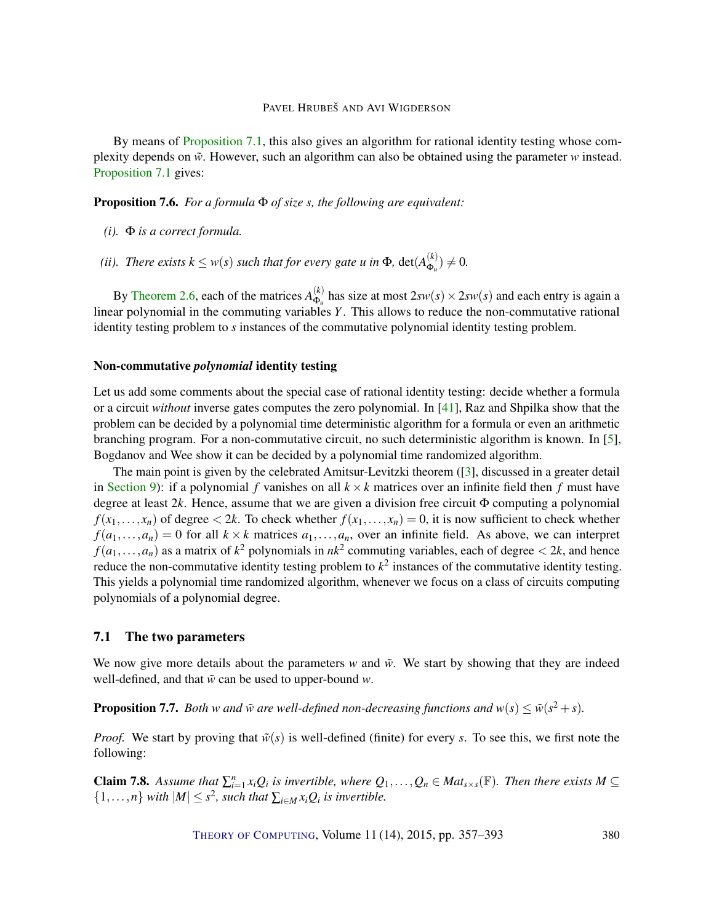<span id="page-23-4"></span>By means of [Proposition](#page-20-3) [7.1,](#page-20-3) this also gives an algorithm for rational identity testing whose complexity depends on  $\tilde{w}$ . However, such an algorithm can also be obtained using the parameter  $w$  instead. [Proposition](#page-20-3) [7.1](#page-20-3) gives:

<span id="page-23-2"></span>Proposition 7.6. *For a formula* Φ *of size s, the following are equivalent:*

- *(i).* Φ *is a correct formula.*
- *(ii). There exists*  $k \leq w(s)$  *such that for every gate u in*  $\Phi$ , det $(A_{\Phi_n}^{(k)})$  $\phi_u^{(\kappa)}$ )  $\neq 0$ .

By [Theorem](#page-7-1) [2.6,](#page-7-1) each of the matrices  $A_{\Phi}^{(k)}$  $\Phi_{\mu}^{(k)}$  has size at most  $2sw(s) \times 2sw(s)$  and each entry is again a linear polynomial in the commuting variables *Y*. This allows to reduce the non-commutative rational identity testing problem to *s* instances of the commutative polynomial identity testing problem.

# Non-commutative *polynomial* identity testing

Let us add some comments about the special case of rational identity testing: decide whether a formula or a circuit *without* inverse gates computes the zero polynomial. In [\[41\]](#page-35-7), Raz and Shpilka show that the problem can be decided by a polynomial time deterministic algorithm for a formula or even an arithmetic branching program. For a non-commutative circuit, no such deterministic algorithm is known. In [\[5\]](#page-32-7), Bogdanov and Wee show it can be decided by a polynomial time randomized algorithm.

The main point is given by the celebrated Amitsur-Levitzki theorem ([\[3\]](#page-32-8), discussed in a greater detail in [Section](#page-28-0) [9\)](#page-28-0): if a polynomial *f* vanishes on all  $k \times k$  matrices over an infinite field then *f* must have degree at least 2*k*. Hence, assume that we are given a division free circuit Φ computing a polynomial  $f(x_1,...,x_n)$  of degree  $\lt 2k$ . To check whether  $f(x_1,...,x_n) = 0$ , it is now sufficient to check whether  $f(a_1,...,a_n) = 0$  for all  $k \times k$  matrices  $a_1,...,a_n$ , over an infinite field. As above, we can interpret  $f(a_1,...,a_n)$  as a matrix of  $k^2$  polynomials in  $nk^2$  commuting variables, each of degree  $\lt 2k$ , and hence reduce the non-commutative identity testing problem to  $k^2$  instances of the commutative identity testing. This yields a polynomial time randomized algorithm, whenever we focus on a class of circuits computing polynomials of a polynomial degree.

# <span id="page-23-0"></span>7.1 The two parameters

We now give more details about the parameters  $w$  and  $\tilde{w}$ . We start by showing that they are indeed well-defined, and that ˜*w* can be used to upper-bound *w*.

<span id="page-23-3"></span>**Proposition 7.7.** *Both w and*  $\tilde{w}$  are well-defined non-decreasing functions and  $w(s) \le \tilde{w}(s^2 + s)$ .

*Proof.* We start by proving that  $\tilde{w}(s)$  is well-defined (finite) for every *s*. To see this, we first note the following:

<span id="page-23-1"></span>**Claim 7.8.** Assume that  $\sum_{i=1}^{n} x_i Q_i$  is invertible, where  $Q_1, \ldots, Q_n \in Mat_{s \times s}(\mathbb{F})$ . Then there exists  $M \subseteq$  $\{1,\ldots,n\}$  *with*  $|M| \leq s^2$ , *such that*  $\sum_{i \in M} x_i Q_i$  *is invertible.*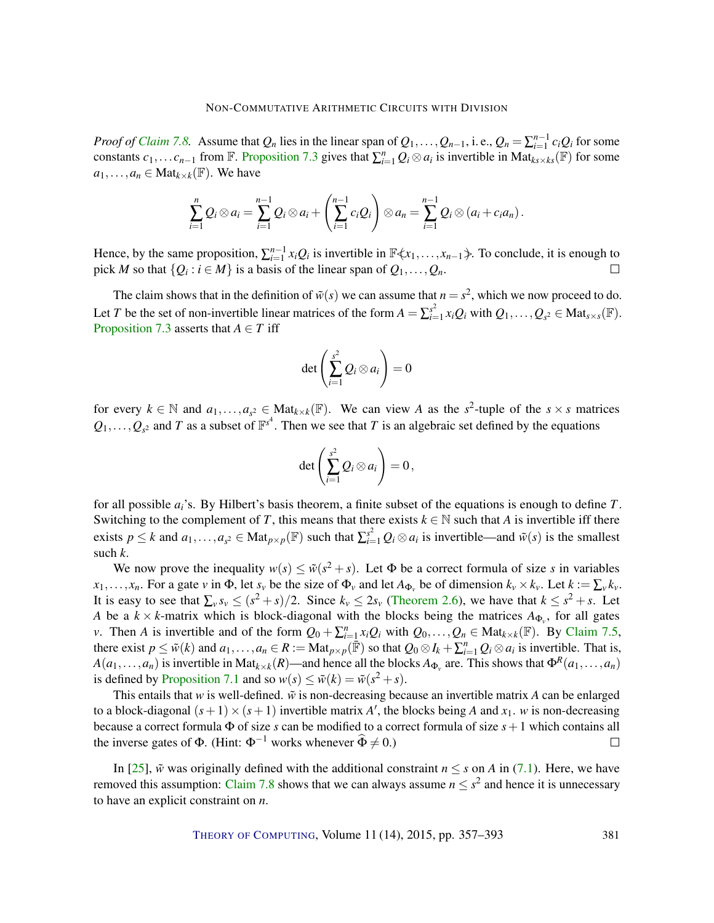<span id="page-24-0"></span>*Proof of [Claim](#page-23-1)* [7.8.](#page-23-1) Assume that  $Q_n$  lies in the linear span of  $Q_1, \ldots, Q_{n-1}$ , i.e.,  $Q_n = \sum_{i=1}^{n-1} c_i Q_i$  for some constants  $c_1, \ldots c_{n-1}$  from  $\mathbb F$ . [Proposition](#page-21-0) [7.3](#page-21-0) gives that  $\sum_{i=1}^n Q_i \otimes a_i$  is invertible in Mat $k_s \times k_s(\mathbb F)$  for some  $a_1, \ldots, a_n \in \text{Mat}_{k \times k}(\mathbb{F})$ . We have

$$
\sum_{i=1}^n Q_i \otimes a_i = \sum_{i=1}^{n-1} Q_i \otimes a_i + \left(\sum_{i=1}^{n-1} c_i Q_i\right) \otimes a_n = \sum_{i=1}^{n-1} Q_i \otimes (a_i + c_i a_n).
$$

Hence, by the same proposition,  $\sum_{i=1}^{n-1} x_i Q_i$  is invertible in  $\mathbb{F}\langle x_1,\ldots,x_{n-1}\rangle$ . To conclude, it is enough to pick *M* so that  $\{Q_i : i \in M\}$  is a basis of the linear span of  $Q_1, \ldots, Q_n$ .  $\Box$ 

The claim shows that in the definition of  $\tilde{w}(s)$  we can assume that  $n = s^2$ , which we now proceed to do. Let *T* be the set of non-invertible linear matrices of the form  $A = \sum_{i=1}^{s^2} A_i$  $\sum_{i=1}^{s^2} x_i Q_i$  with  $Q_1, \ldots, Q_{s^2} \in \text{Mat}_{s \times s}(\mathbb{F}).$ [Proposition](#page-21-0) [7.3](#page-21-0) asserts that  $A \in T$  iff

$$
\det\left(\sum_{i=1}^{s^2} Q_i\otimes a_i\right)=0
$$

for every  $k \in \mathbb{N}$  and  $a_1, \ldots, a_{s^2} \in \text{Mat}_{k \times k}(\mathbb{F})$ . We can view *A* as the  $s^2$ -tuple of the  $s \times s$  matrices  $Q_1, \ldots, Q_{s^2}$  and *T* as a subset of  $\mathbb{F}^{s^4}$ . Then we see that *T* is an algebraic set defined by the equations

$$
\det\left(\sum_{i=1}^{s^2} Q_i\otimes a_i\right)=0,
$$

for all possible *ai*'s. By Hilbert's basis theorem, a finite subset of the equations is enough to define *T*. Switching to the complement of *T*, this means that there exists  $k \in \mathbb{N}$  such that *A* is invertible iff there exists  $p \le k$  and  $a_1, \ldots, a_{s^2} \in \text{Mat}_{p \times p}(\mathbb{F})$  such that  $\sum_{i=1}^{s^2} Q_i \otimes a_i$  is invertible—and  $\tilde{w}(s)$  is the smallest such *k*.

We now prove the inequality  $w(s) \leq \tilde{w}(s^2 + s)$ . Let  $\Phi$  be a correct formula of size *s* in variables  $x_1, \ldots, x_n$ . For a gate v in  $\Phi$ , let  $s_\nu$  be the size of  $\Phi_\nu$  and let  $A_{\Phi_\nu}$  be of dimension  $k_\nu \times k_\nu$ . Let  $k := \sum_\nu k_\nu$ . It is easy to see that  $\sum_{v} s_v \le (s^2 + s)/2$ . Since  $k_v \le 2s_v$  [\(Theorem](#page-7-1) [2.6\)](#page-7-1), we have that  $k \le s^2 + s$ . Let *A* be a  $k \times k$ -matrix which is block-diagonal with the blocks being the matrices  $A_{\Phi_{\nu}}$ , for all gates *v*. Then *A* is invertible and of the form  $Q_0 + \sum_{i=1}^n x_i Q_i$  with  $Q_0, \ldots, Q_n \in \text{Mat}_{k \times k}(\mathbb{F})$ . By [Claim](#page-22-0) [7.5,](#page-22-0) there exist  $p \leq \tilde{w}(k)$  and  $a_1, \ldots, a_n \in R := \text{Mat}_{p \times p}(\mathbb{F})$  so that  $Q_0 \otimes I_k + \sum_{i=1}^n Q_i \otimes a_i$  is invertible. That is,  $A(a_1,...,a_n)$  is invertible in Mat $_{k\times k}(R)$ —and hence all the blocks  $A_{\Phi_v}$  are. This shows that  $\Phi^R(a_1,...,a_n)$ is defined by [Proposition](#page-20-3) [7.1](#page-20-3) and so  $w(s) \le \tilde{w}(k) = \tilde{w}(s^2 + s)$ .

This entails that *w* is well-defined.  $\tilde{w}$  is non-decreasing because an invertible matrix *A* can be enlarged to a block-diagonal  $(s+1) \times (s+1)$  invertible matrix *A'*, the blocks being *A* and  $x_1$ . *w* is non-decreasing because a correct formula Φ of size *s* can be modified to a correct formula of size *s*+1 which contains all the inverse gates of  $\Phi$ . (Hint:  $\Phi^{-1}$  works whenever  $\widehat{\Phi} \neq 0$ .)  $\Box$ 

In [\[25\]](#page-34-0),  $\tilde{w}$  was originally defined with the additional constraint  $n \leq s$  on *A* in [\(7.1\)](#page-20-0). Here, we have removed this assumption: [Claim](#page-23-1) [7.8](#page-23-1) shows that we can always assume  $n \leq s^2$  and hence it is unnecessary to have an explicit constraint on *n*.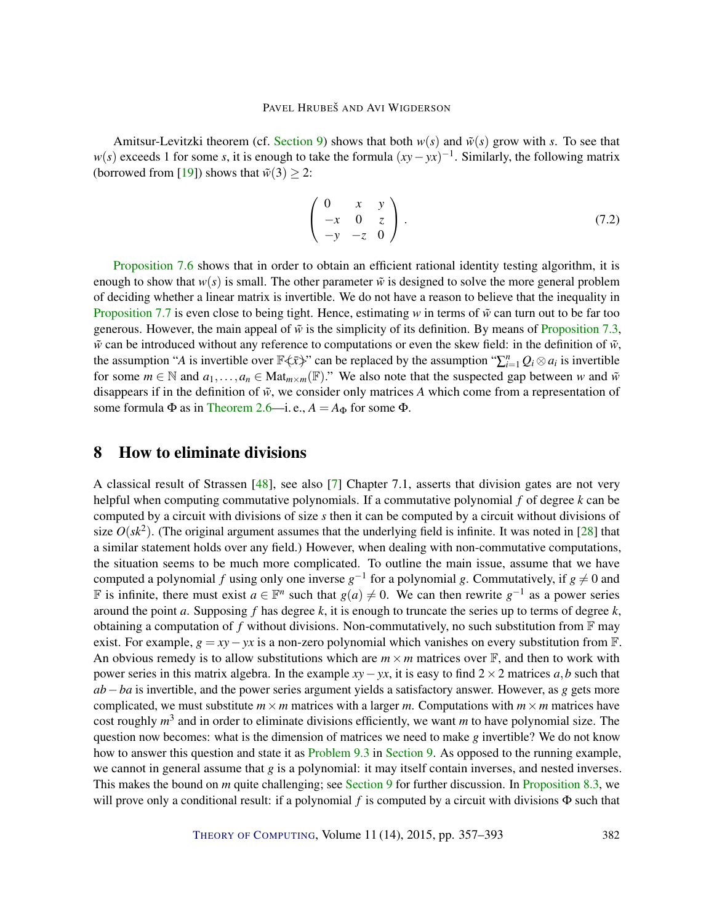<span id="page-25-2"></span>Amitsur-Levitzki theorem (cf. [Section](#page-28-0) [9\)](#page-28-0) shows that both  $w(s)$  and  $\tilde{w}(s)$  grow with *s*. To see that *w*(*s*) exceeds 1 for some *s*, it is enough to take the formula  $(xy - yx)^{-1}$ . Similarly, the following matrix (borrowed from [\[19\]](#page-33-3)) shows that  $\tilde{w}(3) \geq 2$ :

<span id="page-25-1"></span>
$$
\left(\begin{array}{ccc} 0 & x & y \\ -x & 0 & z \\ -y & -z & 0 \end{array}\right).
$$
\n(7.2)

[Proposition](#page-23-2) [7.6](#page-23-2) shows that in order to obtain an efficient rational identity testing algorithm, it is enough to show that  $w(s)$  is small. The other parameter  $\tilde{w}$  is designed to solve the more general problem of deciding whether a linear matrix is invertible. We do not have a reason to believe that the inequality in [Proposition](#page-23-3) [7.7](#page-23-3) is even close to being tight. Hence, estimating *w* in terms of  $\tilde{w}$  can turn out to be far too generous. However, the main appeal of  $\tilde{w}$  is the simplicity of its definition. By means of [Proposition](#page-21-0) [7.3,](#page-21-0)  $\tilde{w}$  can be introduced without any reference to computations or even the skew field: in the definition of  $\tilde{w}$ , the assumption "*A* is invertible over  $\mathbb{F}\left\langle \xi\right\rangle$ " can be replaced by the assumption " $\sum_{i=1}^{n}Q_i\otimes a_i$  is invertible for some  $m \in \mathbb{N}$  and  $a_1, \ldots, a_n \in \text{Mat}_{m \times m}(\mathbb{F})$ ." We also note that the suspected gap between *w* and  $\tilde{w}$ disappears if in the definition of  $\tilde{w}$ , we consider only matrices A which come from a representation of some formula  $\Phi$  as in [Theorem](#page-7-1) [2.6—](#page-7-1)i. e.,  $A = A_{\Phi}$  for some  $\Phi$ .

# <span id="page-25-0"></span>8 How to eliminate divisions

A classical result of Strassen [\[48\]](#page-35-5), see also [\[7\]](#page-32-0) Chapter 7.1, asserts that division gates are not very helpful when computing commutative polynomials. If a commutative polynomial *f* of degree *k* can be computed by a circuit with divisions of size *s* then it can be computed by a circuit without divisions of size  $O(sk^2)$ . (The original argument assumes that the underlying field is infinite. It was noted in [\[28\]](#page-34-7) that a similar statement holds over any field.) However, when dealing with non-commutative computations, the situation seems to be much more complicated. To outline the main issue, assume that we have computed a polynomial *f* using only one inverse  $g^{-1}$  for a polynomial *g*. Commutatively, if  $g \neq 0$  and F is infinite, there must exist  $a \in \mathbb{F}^n$  such that  $g(a) \neq 0$ . We can then rewrite  $g^{-1}$  as a power series around the point *a*. Supposing *f* has degree *k*, it is enough to truncate the series up to terms of degree *k*, obtaining a computation of f without divisions. Non-commutatively, no such substitution from  $\mathbb{F}$  may exist. For example,  $g = xy - yx$  is a non-zero polynomial which vanishes on every substitution from  $\mathbb{F}$ . An obvious remedy is to allow substitutions which are  $m \times m$  matrices over  $\mathbb{F}$ , and then to work with power series in this matrix algebra. In the example  $xy - yx$ , it is easy to find  $2 \times 2$  matrices *a*,*b* such that *ab*−*ba* is invertible, and the power series argument yields a satisfactory answer. However, as *g* gets more complicated, we must substitute  $m \times m$  matrices with a larger *m*. Computations with  $m \times m$  matrices have cost roughly *m* 3 and in order to eliminate divisions efficiently, we want *m* to have polynomial size. The question now becomes: what is the dimension of matrices we need to make *g* invertible? We do not know how to answer this question and state it as [Problem](#page-29-2) [9.3](#page-29-2) in [Section](#page-28-0) [9.](#page-28-0) As opposed to the running example, we cannot in general assume that *g* is a polynomial: it may itself contain inverses, and nested inverses. This makes the bound on *m* quite challenging; see [Section](#page-28-0) [9](#page-28-0) for further discussion. In [Proposition](#page-27-0) [8.3,](#page-27-0) we will prove only a conditional result: if a polynomial *f* is computed by a circuit with divisions  $\Phi$  such that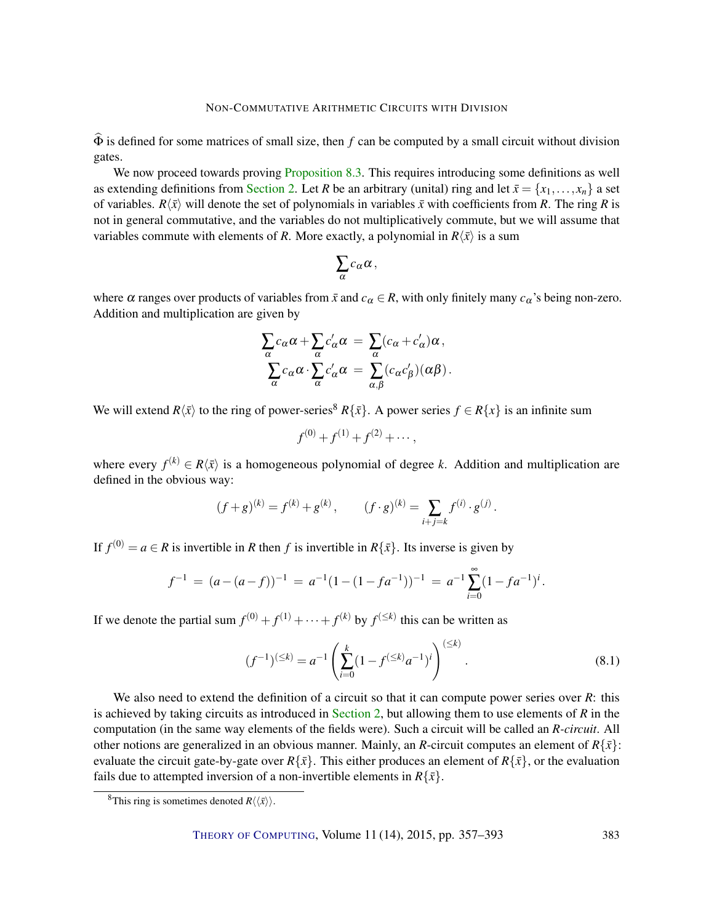$\widehat{\Phi}$  is defined for some matrices of small size, then *f* can be computed by a small circuit without division gates.

We now proceed towards proving [Proposition](#page-27-0) [8.3.](#page-27-0) This requires introducing some definitions as well as extending definitions from [Section](#page-4-0) [2.](#page-4-0) Let *R* be an arbitrary (unital) ring and let  $\bar{x} = \{x_1, \ldots, x_n\}$  a set of variables.  $R\langle \bar{x} \rangle$  will denote the set of polynomials in variables  $\bar{x}$  with coefficients from *R*. The ring *R* is not in general commutative, and the variables do not multiplicatively commute, but we will assume that variables commute with elements of *R*. More exactly, a polynomial in  $R\langle \bar{x} \rangle$  is a sum

$$
\sum_{\alpha} c_{\alpha} \alpha \,,
$$

where  $\alpha$  ranges over products of variables from  $\bar{x}$  and  $c_{\alpha} \in R$ , with only finitely many  $c_{\alpha}$ 's being non-zero. Addition and multiplication are given by

$$
\sum_{\alpha} c_{\alpha} \alpha + \sum_{\alpha} c'_{\alpha} \alpha = \sum_{\alpha} (c_{\alpha} + c'_{\alpha}) \alpha ,
$$

$$
\sum_{\alpha} c_{\alpha} \alpha \cdot \sum_{\alpha} c'_{\alpha} \alpha = \sum_{\alpha, \beta} (c_{\alpha} c'_{\beta}) (\alpha \beta) .
$$

We will extend  $R\langle \bar{x} \rangle$  to the ring of power-series<sup>8</sup>  $R\{\bar{x}\}\)$ . A power series  $f \in R\{x\}$  is an infinite sum

$$
f^{(0)} + f^{(1)} + f^{(2)} + \cdots,
$$

where every  $f^{(k)} \in R\langle \bar{x} \rangle$  is a homogeneous polynomial of degree *k*. Addition and multiplication are defined in the obvious way:

$$
(f+g)^{(k)} = f^{(k)} + g^{(k)},
$$
  $(f \cdot g)^{(k)} = \sum_{i+j=k} f^{(i)} \cdot g^{(j)}.$ 

If  $f^{(0)} = a \in R$  is invertible in R then f is invertible in  $R\{\bar{x}\}\)$ . Its inverse is given by

$$
f^{-1} = (a - (a - f))^{-1} = a^{-1} (1 - (1 - fa^{-1}))^{-1} = a^{-1} \sum_{i=0}^{\infty} (1 - fa^{-1})^{i}.
$$

If we denote the partial sum  $f^{(0)} + f^{(1)} + \cdots + f^{(k)}$  by  $f^{(\leq k)}$  this can be written as

<span id="page-26-0"></span>
$$
(f^{-1})^{(\leq k)} = a^{-1} \left( \sum_{i=0}^{k} (1 - f^{(\leq k)} a^{-1})^i \right)^{(\leq k)}.
$$
\n(8.1)

We also need to extend the definition of a circuit so that it can compute power series over *R*: this is achieved by taking circuits as introduced in [Section](#page-4-0) [2,](#page-4-0) but allowing them to use elements of *R* in the computation (in the same way elements of the fields were). Such a circuit will be called an *R-circuit*. All other notions are generalized in an obvious manner. Mainly, an *R*-circuit computes an element of  $R\{\bar{x}\}\$ : evaluate the circuit gate-by-gate over  $R\{\bar{x}\}\$ . This either produces an element of  $R\{\bar{x}\}\$ , or the evaluation fails due to attempted inversion of a non-invertible elements in  $R\{\bar{x}\}.$ 

<sup>&</sup>lt;sup>8</sup>This ring is sometimes denoted  $R\langle\langle \bar{x} \rangle\rangle$ .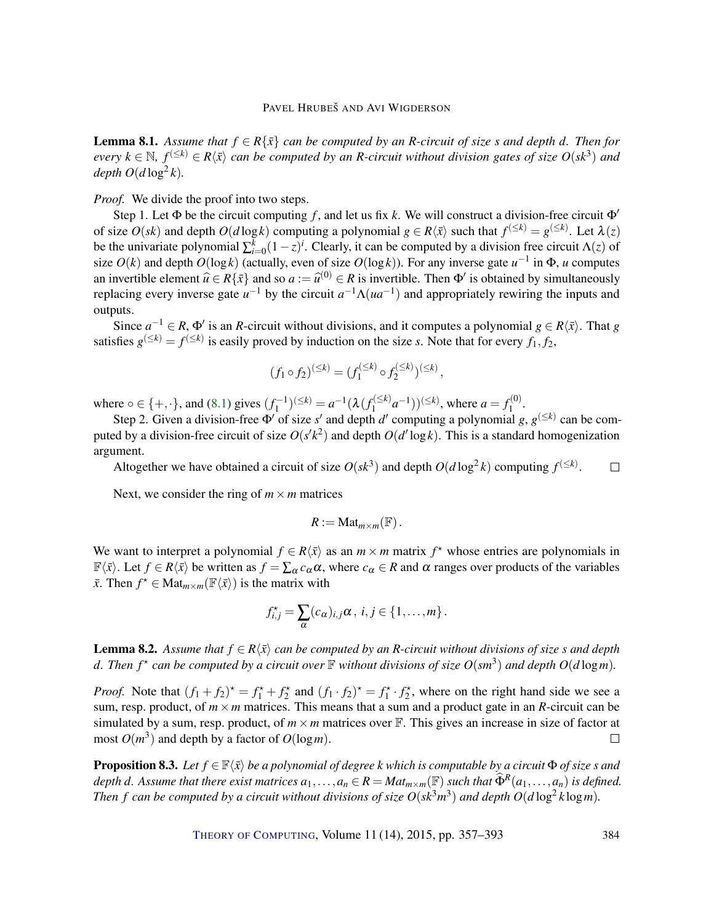<span id="page-27-1"></span>**Lemma 8.1.** *Assume that*  $f \in R\{\bar{x}\}$  *can be computed by an R-circuit of size s and depth d. Then for*  $e$ *very*  $k \in \mathbb{N}$ ,  $f^{(\leq k)} \in R\langle \bar{x} \rangle$  *can be computed by an R-circuit without division gates of size*  $O(sk^3)$  *and*  $depth O(d \log^2 k).$ 

*Proof.* We divide the proof into two steps.

Step 1. Let  $\Phi$  be the circuit computing f, and let us fix k. We will construct a division-free circuit  $\Phi'$ of size  $O(sk)$  and depth  $O(d \log k)$  computing a polynomial  $g \in R\langle \bar{x} \rangle$  such that  $f^{(\leq k)} = g^{(\leq k)}$ . Let  $\lambda(z)$ be the univariate polynomial  $\sum_{i=0}^{k} (1-z)^i$ . Clearly, it can be computed by a division free circuit  $\Lambda(z)$  of size  $O(k)$  and depth  $O(\log k)$  (actually, even of size  $O(\log k)$ ). For any inverse gate  $u^{-1}$  in  $\Phi$ , *u* computes an invertible element  $\hat{u} \in R\{\bar{x}\}$  and so  $a := \hat{u}^{(0)} \in R$  is invertible. Then  $\Phi'$  is obtained by simultaneously replacing every inverse gate  $u^{-1}$  by the circuit  $a^{-1}\Lambda(ua^{-1})$  and appropriately rewiring the inputs and outputs.

Since  $a^{-1} \in R$ ,  $\Phi'$  is an *R*-circuit without divisions, and it computes a polynomial  $g \in R\langle \bar{x} \rangle$ . That *g* satisfies  $g^{(\leq k)} = f^{(\leq k)}$  is easily proved by induction on the size *s*. Note that for every  $f_1, f_2$ ,

$$
(f_1 \circ f_2)^{(\leq k)} = (f_1^{(\leq k)} \circ f_2^{(\leq k)})^{(\leq k)},
$$

where  $o \in \{+, \cdot\}$ , and [\(8.1\)](#page-26-0) gives  $(f_1^{-1})^{(\leq k)} = a^{-1}(\lambda(f_1^{(\leq k)}))$  $f_1^{(\leq k)} a^{-1})^{(\leq k)}$ , where  $a = f_1^{(0)}$  $\frac{1}{1}$ .

Step 2. Given a division-free  $\Phi'$  of size *s'* and depth *d'* computing a polynomial *g*,  $g^{(\leq k)}$  can be computed by a division-free circuit of size  $O(s'k^2)$  and depth  $O(d' \log k)$ . This is a standard homogenization argument.

Altogether we have obtained a circuit of size  $O(sk^3)$  and depth  $O(d \log^2 k)$  computing  $f^{(\leq k)}$ .  $\Box$ 

Next, we consider the ring of  $m \times m$  matrices

$$
R:=\mathrm{Mat}_{m\times m}(\mathbb{F})\,.
$$

We want to interpret a polynomial  $f \in R\langle \bar{x} \rangle$  as an  $m \times m$  matrix  $f^*$  whose entries are polynomials in  $\mathbb{F}\langle \bar{x} \rangle$ . Let  $f \in R\langle \bar{x} \rangle$  be written as  $f = \sum_{\alpha} c_{\alpha} \alpha$ , where  $c_{\alpha} \in R$  and  $\alpha$  ranges over products of the variables  $\bar{x}$ . Then  $f^* \in Mat_{m \times m}(\mathbb{F}\langle \bar{x} \rangle)$  is the matrix with

$$
f_{i,j}^{\star} = \sum_{\alpha} (c_{\alpha})_{i,j} \alpha, \ i,j \in \{1,\ldots,m\}.
$$

<span id="page-27-2"></span>**Lemma 8.2.** Assume that  $f \in R\langle \bar{x} \rangle$  can be computed by an *R*-circuit without divisions of size *s* and depth d. Then  $f^*$  can be computed by a circuit over  $\mathbb F$  without divisions of size  $O(sm^3)$  and depth  $O(d \log m)$ .

*Proof.* Note that  $(f_1 + f_2)^* = f_1^* + f_2^*$  and  $(f_1 \cdot f_2)^* = f_1^* \cdot f_2^*$ , where on the right hand side we see a sum, resp. product, of  $m \times m$  matrices. This means that a sum and a product gate in an *R*-circuit can be simulated by a sum, resp. product, of  $m \times m$  matrices over  $\mathbb{F}$ . This gives an increase in size of factor at most  $O(m^3)$  and depth by a factor of  $O(\log m)$ .  $\Box$ 

<span id="page-27-0"></span>**Proposition 8.3.** Let  $f \in \mathbb{F}\langle \bar{x} \rangle$  be a polynomial of degree k which is computable by a circuit  $\Phi$  of size *s* and *depth d.* Assume that there exist matrices  $a_1, \ldots, a_n \in R = Mat_{m \times m}(\mathbb{F})$  such that  $\widehat{\Phi}^R(a_1, \ldots, a_n)$  is defined. *Then f can be computed by a circuit without divisions of size*  $O(sk^3m^3)$  *and depth*  $O(d \log^2 k \log m)$ *.* 

THEORY OF C[OMPUTING](http://dx.doi.org/10.4086/toc), Volume 11 (14), 2015, pp. 357–393 384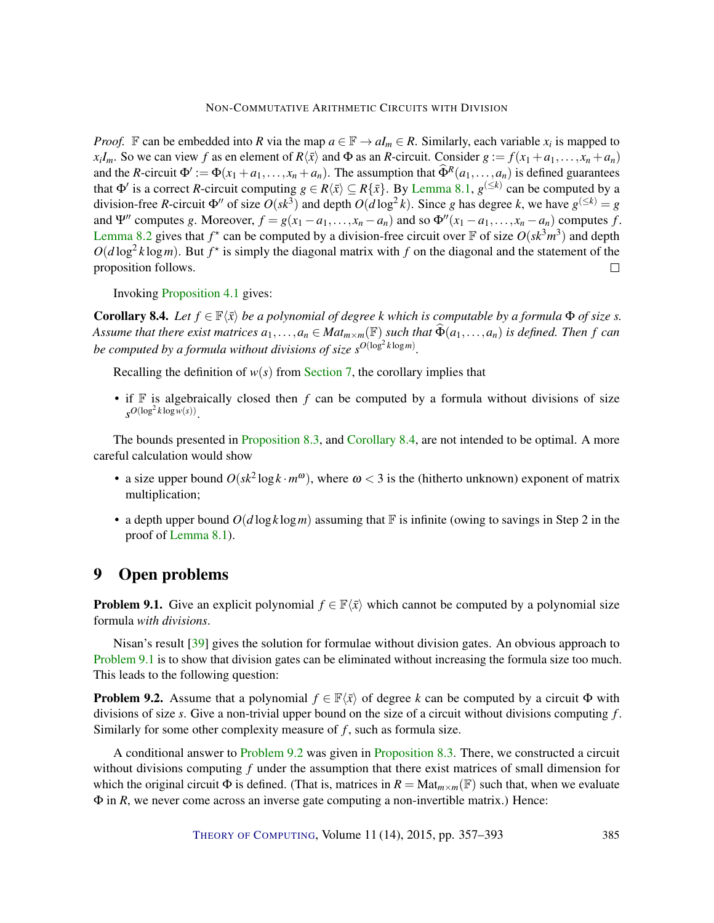<span id="page-28-4"></span>*Proof.* F can be embedded into *R* via the map  $a \in \mathbb{F} \to aI_m \in R$ . Similarly, each variable  $x_i$  is mapped to *x*<sub>*i*</sub>*Im*. So we can view *f* as en element of  $R\langle \bar{x} \rangle$  and  $\Phi$  as an *R*-circuit. Consider  $g := f(x_1 + a_1, \ldots, x_n + a_n)$ and the *R*-circuit  $\Phi' := \Phi(x_1 + a_1, \ldots, x_n + a_n)$ . The assumption that  $\widehat{\Phi}^R(a_1, \ldots, a_n)$  is defined guarantees that  $\Phi'$  is a correct *R*-circuit computing  $g \in R\langle \bar{x} \rangle \subseteq R\{\bar{x}\}\$ . By [Lemma](#page-27-1) [8.1,](#page-27-1)  $g^{(\leq k)}$  can be computed by a division-free *R*-circuit  $\Phi''$  of size  $O(sk^3)$  and depth  $O(d \log^2 k)$ . Since *g* has degree *k*, we have  $g^{(\leq k)} = g$ and  $\Psi''$  computes *g*. Moreover,  $f = g(x_1 - a_1, \ldots, x_n - a_n)$  and so  $\Phi''(x_1 - a_1, \ldots, x_n - a_n)$  computes *f*. [Lemma](#page-27-2) [8.2](#page-27-2) gives that  $f^*$  can be computed by a division-free circuit over  $\mathbb F$  of size  $O(sk^3m^3)$  and depth  $O(d \log^2 k \log m)$ . But  $f^*$  is simply the diagonal matrix with f on the diagonal and the statement of the proposition follows.  $\Box$ 

Invoking [Proposition](#page-10-0) [4.1](#page-10-0) gives:

<span id="page-28-1"></span>**Corollary 8.4.** *Let*  $f \in \mathbb{F}\langle \bar{x} \rangle$  *be a polynomial of degree k which is computable by a formula*  $\Phi$  *of size s. Assume that there exist matrices*  $a_1, \ldots, a_n \in Mat_{m \times m}(\mathbb{F})$  *such that*  $\widetilde{\Phi}(a_1, \ldots, a_n)$  *is defined. Then f can be computed by a formula without divisions of size*  $s^{O(\log^2 k \log m)}$ *.* 

Recalling the definition of  $w(s)$  from [Section](#page-19-0) [7,](#page-19-0) the corollary implies that

• if  $\mathbb F$  is algebraically closed then *f* can be computed by a formula without divisions of size  $s^{O(\log^2 k \log w(s))}$ .

The bounds presented in [Proposition](#page-27-0) [8.3,](#page-27-0) and [Corollary](#page-28-1) [8.4,](#page-28-1) are not intended to be optimal. A more careful calculation would show

- a size upper bound  $O(sk^2 \log k \cdot m^\omega)$ , where  $\omega < 3$  is the (hitherto unknown) exponent of matrix multiplication;
- a depth upper bound  $O(d \log k \log m)$  assuming that F is infinite (owing to savings in Step 2 in the proof of [Lemma](#page-27-1) [8.1\)](#page-27-1).

# <span id="page-28-0"></span>9 Open problems

<span id="page-28-2"></span>**Problem 9.1.** Give an explicit polynomial  $f \in \mathbb{F}\langle \bar{x} \rangle$  which cannot be computed by a polynomial size formula *with divisions*.

Nisan's result [\[39\]](#page-35-2) gives the solution for formulae without division gates. An obvious approach to [Problem](#page-28-2) [9.1](#page-28-2) is to show that division gates can be eliminated without increasing the formula size too much. This leads to the following question:

<span id="page-28-3"></span>**Problem 9.2.** Assume that a polynomial  $f \in \mathbb{F}\langle \bar{x} \rangle$  of degree *k* can be computed by a circuit Φ with divisions of size *s*. Give a non-trivial upper bound on the size of a circuit without divisions computing *f* . Similarly for some other complexity measure of *f*, such as formula size.

A conditional answer to [Problem](#page-28-3) [9.2](#page-28-3) was given in [Proposition](#page-27-0) [8.3.](#page-27-0) There, we constructed a circuit without divisions computing *f* under the assumption that there exist matrices of small dimension for which the original circuit  $\Phi$  is defined. (That is, matrices in  $R = Mat_{m \times m}(\mathbb{F})$  such that, when we evaluate Φ in *R*, we never come across an inverse gate computing a non-invertible matrix.) Hence: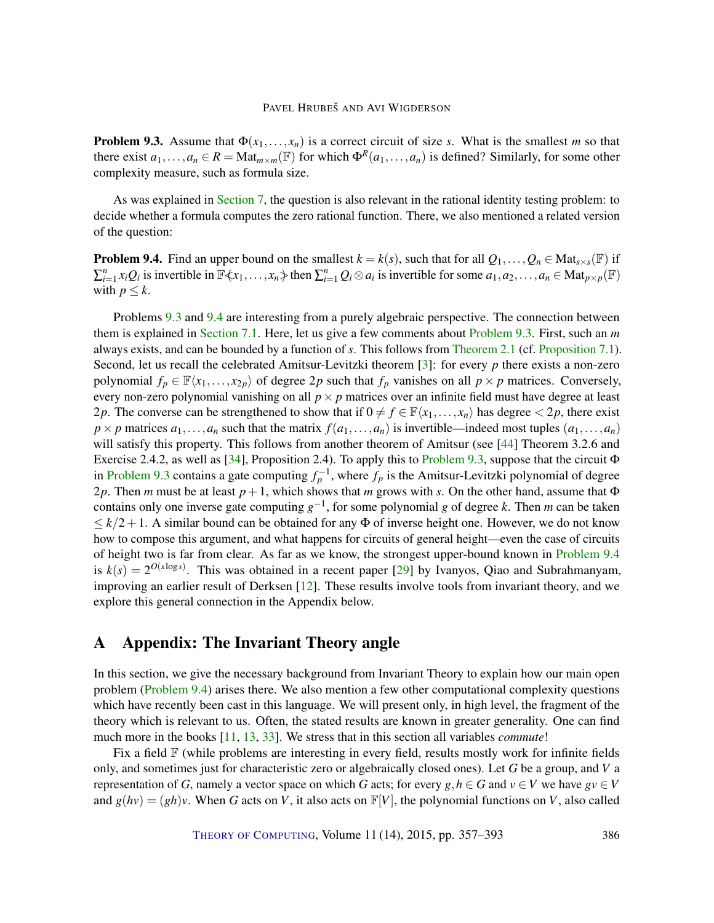<span id="page-29-3"></span><span id="page-29-2"></span>**Problem 9.3.** Assume that  $\Phi(x_1,...,x_n)$  is a correct circuit of size *s*. What is the smallest *m* so that there exist  $a_1, \ldots, a_n \in R = \text{Mat}_{m \times m}(\mathbb{F})$  for which  $\Phi^R(a_1, \ldots, a_n)$  is defined? Similarly, for some other complexity measure, such as formula size.

As was explained in [Section](#page-19-0) [7,](#page-19-0) the question is also relevant in the rational identity testing problem: to decide whether a formula computes the zero rational function. There, we also mentioned a related version of the question:

<span id="page-29-1"></span>**Problem 9.4.** Find an upper bound on the smallest  $k = k(s)$ , such that for all  $Q_1, \ldots, Q_n \in \text{Mat}_{s \times s}(\mathbb{F})$  if  $\sum_{i=1}^n x_i Q_i$  is invertible in  $\mathbb{F}\langle x_1,\ldots,x_n\rangle$  then  $\sum_{i=1}^n Q_i \otimes a_i$  is invertible for some  $a_1,a_2,\ldots,a_n \in \text{Mat}_{p\times p}(\mathbb{F})$ with  $p \leq k$ .

Problems [9.3](#page-29-2) and [9.4](#page-29-1) are interesting from a purely algebraic perspective. The connection between them is explained in [Section](#page-23-0) [7.1.](#page-23-0) Here, let us give a few comments about [Problem](#page-29-2) [9.3.](#page-29-2) First, such an *m* always exists, and can be bounded by a function of *s*. This follows from [Theorem](#page-5-1) [2.1](#page-5-1) (cf. [Proposition](#page-23-0) [7.1\)](#page-23-0). Second, let us recall the celebrated Amitsur-Levitzki theorem [\[3\]](#page-32-8): for every *p* there exists a non-zero polynomial  $f_p \in \mathbb{F}\langle x_1,\ldots,x_{2p}\rangle$  of degree 2*p* such that  $f_p$  vanishes on all  $p \times p$  matrices. Conversely, every non-zero polynomial vanishing on all  $p \times p$  matrices over an infinite field must have degree at least 2*p*. The converse can be strengthened to show that if  $0 \neq f \in \mathbb{F}\langle x_1,...,x_n \rangle$  has degree  $\lt 2p$ , there exist  $p \times p$  matrices  $a_1, \ldots, a_n$  such that the matrix  $f(a_1, \ldots, a_n)$  is invertible—indeed most tuples  $(a_1, \ldots, a_n)$ will satisfy this property. This follows from another theorem of Amitsur (see [\[44\]](#page-35-8) Theorem 3.2.6 and Exercise 2.4.2, as well as [\[34\]](#page-34-8), Proposition 2.4). To apply this to [Problem](#page-29-2) [9.3,](#page-29-2) suppose that the circuit Φ in [Problem](#page-29-2) [9.3](#page-29-2) contains a gate computing  $f_p^{-1}$ , where  $f_p$  is the Amitsur-Levitzki polynomial of degree 2*p*. Then *m* must be at least *p*+1, which shows that *m* grows with *s*. On the other hand, assume that Φ contains only one inverse gate computing  $g^{-1}$ , for some polynomial *g* of degree *k*. Then *m* can be taken  $\leq k/2+1$ . A similar bound can be obtained for any  $\Phi$  of inverse height one. However, we do not know how to compose this argument, and what happens for circuits of general height—even the case of circuits of height two is far from clear. As far as we know, the strongest upper-bound known in [Problem](#page-29-1) [9.4](#page-29-1) is  $k(s) = 2^{O(s \log s)}$ . This was obtained in a recent paper [\[29\]](#page-34-5) by Ivanyos, Qiao and Subrahmanyam, improving an earlier result of Derksen [\[12\]](#page-33-4). These results involve tools from invariant theory, and we explore this general connection in the Appendix below.

# <span id="page-29-0"></span>A Appendix: The Invariant Theory angle

In this section, we give the necessary background from Invariant Theory to explain how our main open problem [\(Problem](#page-29-1) [9.4\)](#page-29-1) arises there. We also mention a few other computational complexity questions which have recently been cast in this language. We will present only, in high level, the fragment of the theory which is relevant to us. Often, the stated results are known in greater generality. One can find much more in the books [\[11,](#page-33-5) [13,](#page-33-6) [33\]](#page-34-9). We stress that in this section all variables *commute*!

Fix a field  $\mathbb F$  (while problems are interesting in every field, results mostly work for infinite fields only, and sometimes just for characteristic zero or algebraically closed ones). Let *G* be a group, and *V* a representation of *G*, namely a vector space on which *G* acts; for every *g*,  $h \in G$  and  $v \in V$  we have  $gv \in V$ and  $g(hv) = (gh)v$ . When *G* acts on *V*, it also acts on  $\mathbb{F}[V]$ , the polynomial functions on *V*, also called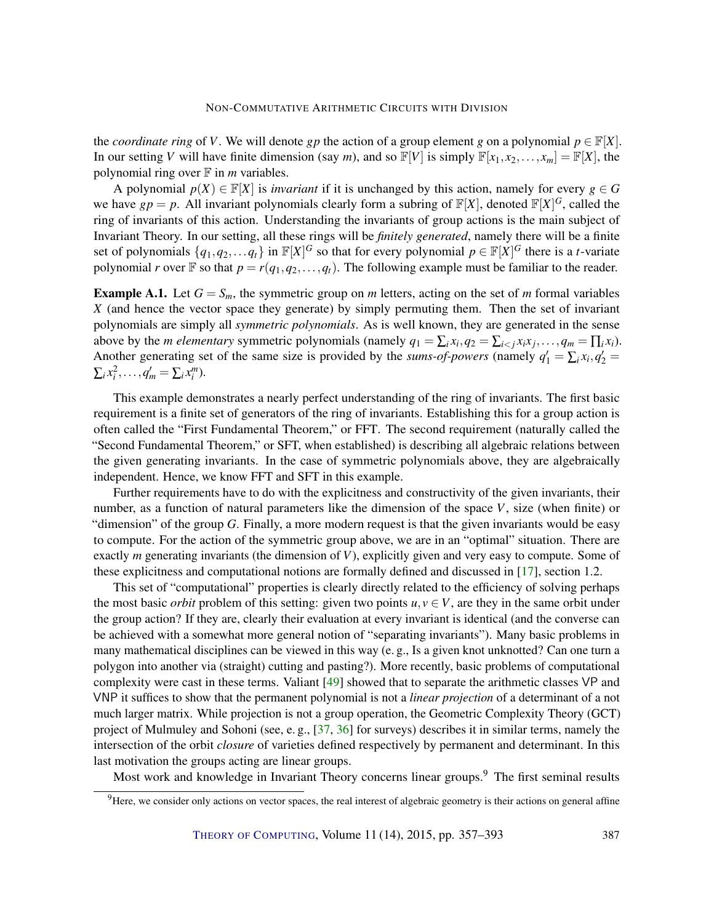<span id="page-30-0"></span>the *coordinate ring* of *V*. We will denote *gp* the action of a group element *g* on a polynomial  $p \in \mathbb{F}[X]$ . In our setting *V* will have finite dimension (say *m*), and so  $\mathbb{F}[V]$  is simply  $\mathbb{F}[x_1, x_2, \dots, x_m] = \mathbb{F}[X]$ , the polynomial ring over  $\mathbb F$  in *m* variables.

A polynomial  $p(X) \in \mathbb{F}[X]$  is *invariant* if it is unchanged by this action, namely for every  $g \in G$ we have  $gp = p$ . All invariant polynomials clearly form a subring of  $\mathbb{F}[X]$ , denoted  $\mathbb{F}[X]^G$ , called the ring of invariants of this action. Understanding the invariants of group actions is the main subject of Invariant Theory. In our setting, all these rings will be *finitely generated*, namely there will be a finite set of polynomials  $\{q_1, q_2, \ldots q_t\}$  in  $\mathbb{F}[X]^G$  so that for every polynomial  $p \in \mathbb{F}[X]^G$  there is a *t*-variate polynomial *r* over  $\mathbb{F}$  so that  $p = r(q_1, q_2, \ldots, q_t)$ . The following example must be familiar to the reader.

**Example A.1.** Let  $G = S_m$ , the symmetric group on *m* letters, acting on the set of *m* formal variables *X* (and hence the vector space they generate) by simply permuting them. Then the set of invariant polynomials are simply all *symmetric polynomials*. As is well known, they are generated in the sense above by the *m elementary* symmetric polynomials (namely  $q_1 = \sum_i x_i, q_2 = \sum_{i < j} x_i x_j, \dots, q_m = \prod_i x_i$ ). Another generating set of the same size is provided by the *sums-of-powers* (namely  $q'_1 = \sum_i x_i, q'_2 =$  $\sum_i x_i^2, \ldots, q_m' = \sum_i x_i^m$ .

This example demonstrates a nearly perfect understanding of the ring of invariants. The first basic requirement is a finite set of generators of the ring of invariants. Establishing this for a group action is often called the "First Fundamental Theorem," or FFT. The second requirement (naturally called the "Second Fundamental Theorem," or SFT, when established) is describing all algebraic relations between the given generating invariants. In the case of symmetric polynomials above, they are algebraically independent. Hence, we know FFT and SFT in this example.

Further requirements have to do with the explicitness and constructivity of the given invariants, their number, as a function of natural parameters like the dimension of the space *V*, size (when finite) or "dimension" of the group *G*. Finally, a more modern request is that the given invariants would be easy to compute. For the action of the symmetric group above, we are in an "optimal" situation. There are exactly *m* generating invariants (the dimension of *V*), explicitly given and very easy to compute. Some of these explicitness and computational notions are formally defined and discussed in [\[17\]](#page-33-7), section 1.2.

This set of "computational" properties is clearly directly related to the efficiency of solving perhaps the most basic *orbit* problem of this setting: given two points  $u, v \in V$ , are they in the same orbit under the group action? If they are, clearly their evaluation at every invariant is identical (and the converse can be achieved with a somewhat more general notion of "separating invariants"). Many basic problems in many mathematical disciplines can be viewed in this way (e. g., Is a given knot unknotted? Can one turn a polygon into another via (straight) cutting and pasting?). More recently, basic problems of computational complexity were cast in these terms. Valiant [\[49\]](#page-35-3) showed that to separate the arithmetic classes VP and VNP it suffices to show that the permanent polynomial is not a *linear projection* of a determinant of a not much larger matrix. While projection is not a group operation, the Geometric Complexity Theory (GCT) project of Mulmuley and Sohoni (see, e. g., [\[37,](#page-34-10) [36\]](#page-34-11) for surveys) describes it in similar terms, namely the intersection of the orbit *closure* of varieties defined respectively by permanent and determinant. In this last motivation the groups acting are linear groups.

Most work and knowledge in Invariant Theory concerns linear groups.<sup>9</sup> The first seminal results

 $9$ Here, we consider only actions on vector spaces, the real interest of algebraic geometry is their actions on general affine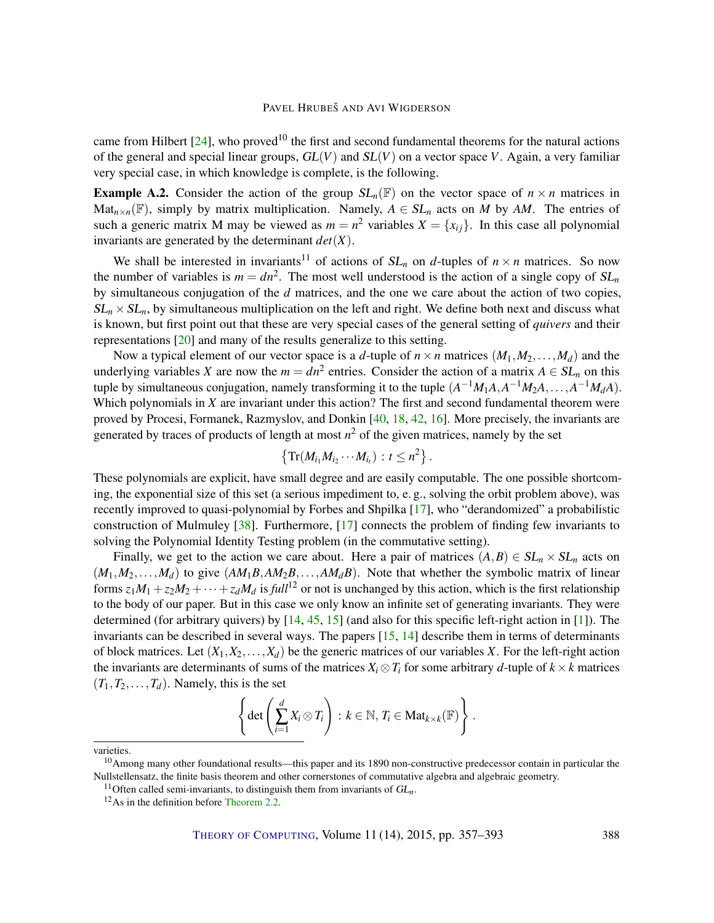<span id="page-31-0"></span>came from Hilbert  $[24]$ , who proved<sup>10</sup> the first and second fundamental theorems for the natural actions of the general and special linear groups,  $GL(V)$  and  $SL(V)$  on a vector space V. Again, a very familiar very special case, in which knowledge is complete, is the following.

**Example A.2.** Consider the action of the group  $SL_n(\mathbb{F})$  on the vector space of  $n \times n$  matrices in Mat<sub>n×n</sub>(F), simply by matrix multiplication. Namely,  $A \in SL_n$  acts on *M* by *AM*. The entries of such a generic matrix M may be viewed as  $m = n^2$  variables  $X = \{x_{ij}\}\$ . In this case all polynomial invariants are generated by the determinant  $det(X)$ .

We shall be interested in invariants<sup>11</sup> of actions of  $SL_n$  on *d*-tuples of  $n \times n$  matrices. So now the number of variables is  $m = dn^2$ . The most well understood is the action of a single copy of  $SL_n$ by simultaneous conjugation of the *d* matrices, and the one we care about the action of two copies,  $SL_n \times SL_n$ , by simultaneous multiplication on the left and right. We define both next and discuss what is known, but first point out that these are very special cases of the general setting of *quivers* and their representations [\[20\]](#page-33-9) and many of the results generalize to this setting.

Now a typical element of our vector space is a *d*-tuple of  $n \times n$  matrices  $(M_1, M_2, \ldots, M_d)$  and the underlying variables *X* are now the  $m = dn^2$  entries. Consider the action of a matrix  $A \in SL_n$  on this tuple by simultaneous conjugation, namely transforming it to the tuple  $(A^{-1}M_1A, A^{-1}M_2A, \ldots, A^{-1}M_dA)$ . Which polynomials in *X* are invariant under this action? The first and second fundamental theorem were proved by Procesi, Formanek, Razmyslov, and Donkin [\[40,](#page-35-9) [18,](#page-33-10) [42,](#page-35-10) [16\]](#page-33-11). More precisely, the invariants are generated by traces of products of length at most  $n^2$  of the given matrices, namely by the set

$$
\left\{\operatorname{Tr}(M_{i_1}M_{i_2}\cdots M_{i_t}) : t\leq n^2\right\}.
$$

These polynomials are explicit, have small degree and are easily computable. The one possible shortcoming, the exponential size of this set (a serious impediment to, e. g., solving the orbit problem above), was recently improved to quasi-polynomial by Forbes and Shpilka [\[17\]](#page-33-7), who "derandomized" a probabilistic construction of Mulmuley [\[38\]](#page-34-12). Furthermore, [\[17\]](#page-33-7) connects the problem of finding few invariants to solving the Polynomial Identity Testing problem (in the commutative setting).

Finally, we get to the action we care about. Here a pair of matrices  $(A, B) \in SL_n \times SL_n$  acts on  $(M_1, M_2, \ldots, M_d)$  to give  $(AM_1B, AM_2B, \ldots, AM_dB)$ . Note that whether the symbolic matrix of linear forms  $z_1M_1 + z_2M_2 + \cdots + z_dM_d$  is *full*<sup>12</sup> or not is unchanged by this action, which is the first relationship to the body of our paper. But in this case we only know an infinite set of generating invariants. They were determined (for arbitrary quivers) by [\[14,](#page-33-12) [45,](#page-35-11) [15\]](#page-33-13) (and also for this specific left-right action in [\[1\]](#page-32-9)). The invariants can be described in several ways. The papers [\[15,](#page-33-13) [14\]](#page-33-12) describe them in terms of determinants of block matrices. Let  $(X_1, X_2, \ldots, X_d)$  be the generic matrices of our variables *X*. For the left-right action the invariants are determinants of sums of the matrices  $X_i \otimes T_i$  for some arbitrary *d*-tuple of  $k \times k$  matrices  $(T_1, T_2, \ldots, T_d)$ . Namely, this is the set

$$
\left\{\det\left(\sum_{i=1}^d X_i\otimes T_i\right)\colon k\in\mathbb{N},\, T_i\in\mathrm{Mat}_{k\times k}(\mathbb{F})\right\}.
$$

varieties.

 $10$ Among many other foundational results—this paper and its 1890 non-constructive predecessor contain in particular the Nullstellensatz, the finite basis theorem and other cornerstones of commutative algebra and algebraic geometry.

<sup>&</sup>lt;sup>11</sup>Often called semi-invariants, to distinguish them from invariants of  $GL_n$ .

<sup>&</sup>lt;sup>12</sup>As in the definition before [Theorem](#page-6-2) [2.2.](#page-6-2)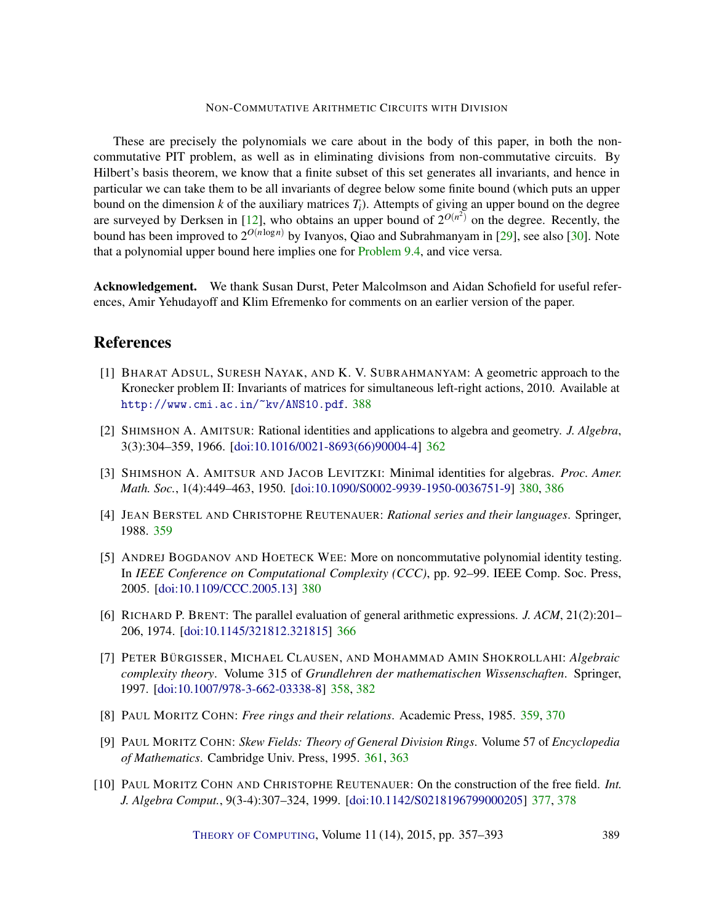<span id="page-32-10"></span>These are precisely the polynomials we care about in the body of this paper, in both the noncommutative PIT problem, as well as in eliminating divisions from non-commutative circuits. By Hilbert's basis theorem, we know that a finite subset of this set generates all invariants, and hence in particular we can take them to be all invariants of degree below some finite bound (which puts an upper bound on the dimension  $k$  of the auxiliary matrices  $T_i$ ). Attempts of giving an upper bound on the degree are surveyed by Derksen in [\[12\]](#page-33-4), who obtains an upper bound of  $2^{O(n^2)}$  on the degree. Recently, the bound has been improved to 2 *<sup>O</sup>*(*n*log*n*) by Ivanyos, Qiao and Subrahmanyam in [\[29\]](#page-34-5), see also [\[30\]](#page-34-13). Note that a polynomial upper bound here implies one for [Problem](#page-29-1) [9.4,](#page-29-1) and vice versa.

Acknowledgement. We thank Susan Durst, Peter Malcolmson and Aidan Schofield for useful references, Amir Yehudayoff and Klim Efremenko for comments on an earlier version of the paper.

# References

- <span id="page-32-9"></span>[1] BHARAT ADSUL, SURESH NAYAK, AND K. V. SUBRAHMANYAM: A geometric approach to the Kronecker problem II: Invariants of matrices for simultaneous left-right actions, 2010. Available at <http://www.cmi.ac.in/~kv/ANS10.pdf>. [388](#page-31-0)
- <span id="page-32-4"></span>[2] SHIMSHON A. AMITSUR: Rational identities and applications to algebra and geometry. *J. Algebra*, 3(3):304–359, 1966. [\[doi:10.1016/0021-8693\(66\)90004-4\]](http://dx.doi.org/10.1016/0021-8693(66)90004-4) [362](#page-5-3)
- <span id="page-32-8"></span>[3] SHIMSHON A. AMITSUR AND JACOB LEVITZKI: Minimal identities for algebras. *Proc. Amer. Math. Soc.*, 1(4):449–463, 1950. [\[doi:10.1090/S0002-9939-1950-0036751-9\]](http://dx.doi.org/10.1090/S0002-9939-1950-0036751-9) [380,](#page-23-4) [386](#page-29-3)
- <span id="page-32-1"></span>[4] JEAN BERSTEL AND CHRISTOPHE REUTENAUER: *Rational series and their languages*. Springer, 1988. [359](#page-2-0)
- <span id="page-32-7"></span>[5] ANDREJ BOGDANOV AND HOETECK WEE: More on noncommutative polynomial identity testing. In *IEEE Conference on Computational Complexity (CCC)*, pp. 92–99. IEEE Comp. Soc. Press, 2005. [\[doi:10.1109/CCC.2005.13\]](http://dx.doi.org/10.1109/CCC.2005.13) [380](#page-23-4)
- <span id="page-32-5"></span>[6] RICHARD P. BRENT: The parallel evaluation of general arithmetic expressions. *J. ACM*, 21(2):201– 206, 1974. [\[doi:10.1145/321812.321815\]](http://dx.doi.org/10.1145/321812.321815) [366](#page-9-2)
- <span id="page-32-0"></span>[7] PETER BÜRGISSER, MICHAEL CLAUSEN, AND MOHAMMAD AMIN SHOKROLLAHI: *Algebraic complexity theory*. Volume 315 of *Grundlehren der mathematischen Wissenschaften*. Springer, 1997. [\[doi:10.1007/978-3-662-03338-8\]](http://dx.doi.org/10.1007/978-3-662-03338-8) [358,](#page-1-0) [382](#page-25-2)
- <span id="page-32-2"></span>[8] PAUL MORITZ COHN: *Free rings and their relations*. Academic Press, 1985. [359,](#page-2-0) [370](#page-13-3)
- <span id="page-32-3"></span>[9] PAUL MORITZ COHN: *Skew Fields: Theory of General Division Rings*. Volume 57 of *Encyclopedia of Mathematics*. Cambridge Univ. Press, 1995. [361,](#page-4-1) [363](#page-6-3)
- <span id="page-32-6"></span>[10] PAUL MORITZ COHN AND CHRISTOPHE REUTENAUER: On the construction of the free field. *Int. J. Algebra Comput.*, 9(3-4):307–324, 1999. [\[doi:10.1142/S0218196799000205\]](http://dx.doi.org/10.1142/S0218196799000205) [377,](#page-20-4) [378](#page-21-1)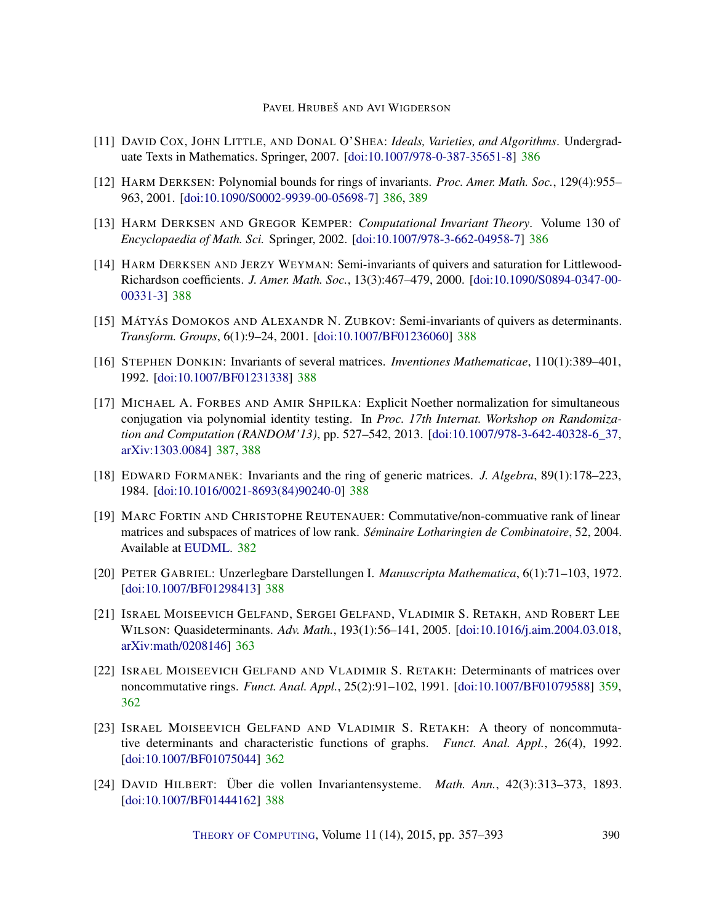- <span id="page-33-5"></span>[11] DAVID COX, JOHN LITTLE, AND DONAL O'SHEA: *Ideals, Varieties, and Algorithms*. Undergraduate Texts in Mathematics. Springer, 2007. [\[doi:10.1007/978-0-387-35651-8\]](http://dx.doi.org/10.1007/978-0-387-35651-8) [386](#page-29-3)
- <span id="page-33-4"></span>[12] HARM DERKSEN: Polynomial bounds for rings of invariants. *Proc. Amer. Math. Soc.*, 129(4):955– 963, 2001. [\[doi:10.1090/S0002-9939-00-05698-7\]](http://dx.doi.org/10.1090/S0002-9939-00-05698-7) [386,](#page-29-3) [389](#page-32-10)
- <span id="page-33-6"></span>[13] HARM DERKSEN AND GREGOR KEMPER: *Computational Invariant Theory*. Volume 130 of *Encyclopaedia of Math. Sci.* Springer, 2002. [\[doi:10.1007/978-3-662-04958-7\]](http://dx.doi.org/10.1007/978-3-662-04958-7) [386](#page-29-3)
- <span id="page-33-12"></span>[14] HARM DERKSEN AND JERZY WEYMAN: Semi-invariants of quivers and saturation for Littlewood-Richardson coefficients. *J. Amer. Math. Soc.*, 13(3):467–479, 2000. [\[doi:10.1090/S0894-0347-00-](http://dx.doi.org/10.1090/S0894-0347-00-00331-3) [00331-3\]](http://dx.doi.org/10.1090/S0894-0347-00-00331-3) [388](#page-31-0)
- <span id="page-33-13"></span>[15] MÁTYÁS DOMOKOS AND ALEXANDR N. ZUBKOV: Semi-invariants of quivers as determinants. *Transform. Groups*, 6(1):9–24, 2001. [\[doi:10.1007/BF01236060\]](http://dx.doi.org/10.1007/BF01236060) [388](#page-31-0)
- <span id="page-33-11"></span>[16] STEPHEN DONKIN: Invariants of several matrices. *Inventiones Mathematicae*, 110(1):389–401, 1992. [\[doi:10.1007/BF01231338\]](http://dx.doi.org/10.1007/BF01231338) [388](#page-31-0)
- <span id="page-33-7"></span>[17] MICHAEL A. FORBES AND AMIR SHPILKA: Explicit Noether normalization for simultaneous conjugation via polynomial identity testing. In *Proc. 17th Internat. Workshop on Randomization and Computation (RANDOM'13)*, pp. 527–542, 2013. [\[doi:10.1007/978-3-642-40328-6\\_37,](http://dx.doi.org/10.1007/978-3-642-40328-6_37) [arXiv:1303.0084\]](http://arxiv.org/abs/1303.0084) [387,](#page-30-0) [388](#page-31-0)
- <span id="page-33-10"></span>[18] EDWARD FORMANEK: Invariants and the ring of generic matrices. *J. Algebra*, 89(1):178–223, 1984. [\[doi:10.1016/0021-8693\(84\)90240-0\]](http://dx.doi.org/10.1016/0021-8693(84)90240-0) [388](#page-31-0)
- <span id="page-33-3"></span>[19] MARC FORTIN AND CHRISTOPHE REUTENAUER: Commutative/non-commuative rank of linear matrices and subspaces of matrices of low rank. *Séminaire Lotharingien de Combinatoire*, 52, 2004. Available at [EUDML.](https://eudml.org/doc/125000) [382](#page-25-2)
- <span id="page-33-9"></span>[20] PETER GABRIEL: Unzerlegbare Darstellungen I. *Manuscripta Mathematica*, 6(1):71–103, 1972. [\[doi:10.1007/BF01298413\]](http://dx.doi.org/10.1007/BF01298413) [388](#page-31-0)
- <span id="page-33-2"></span>[21] ISRAEL MOISEEVICH GELFAND, SERGEI GELFAND, VLADIMIR S. RETAKH, AND ROBERT LEE WILSON: Quasideterminants. *Adv. Math.*, 193(1):56–141, 2005. [\[doi:10.1016/j.aim.2004.03.018,](http://dx.doi.org/10.1016/j.aim.2004.03.018) [arXiv:math/0208146\]](http://arxiv.org/abs/math/0208146) [363](#page-6-3)
- <span id="page-33-0"></span>[22] ISRAEL MOISEEVICH GELFAND AND VLADIMIR S. RETAKH: Determinants of matrices over noncommutative rings. *Funct. Anal. Appl.*, 25(2):91–102, 1991. [\[doi:10.1007/BF01079588\]](http://dx.doi.org/10.1007/BF01079588) [359,](#page-2-0) [362](#page-5-3)
- <span id="page-33-1"></span>[23] ISRAEL MOISEEVICH GELFAND AND VLADIMIR S. RETAKH: A theory of noncommutative determinants and characteristic functions of graphs. *Funct. Anal. Appl.*, 26(4), 1992. [\[doi:10.1007/BF01075044\]](http://dx.doi.org/10.1007/BF01075044) [362](#page-5-3)
- <span id="page-33-8"></span>[24] DAVID HILBERT: Über die vollen Invariantensysteme. *Math. Ann.*, 42(3):313–373, 1893. [\[doi:10.1007/BF01444162\]](http://dx.doi.org/10.1007/BF01444162) [388](#page-31-0)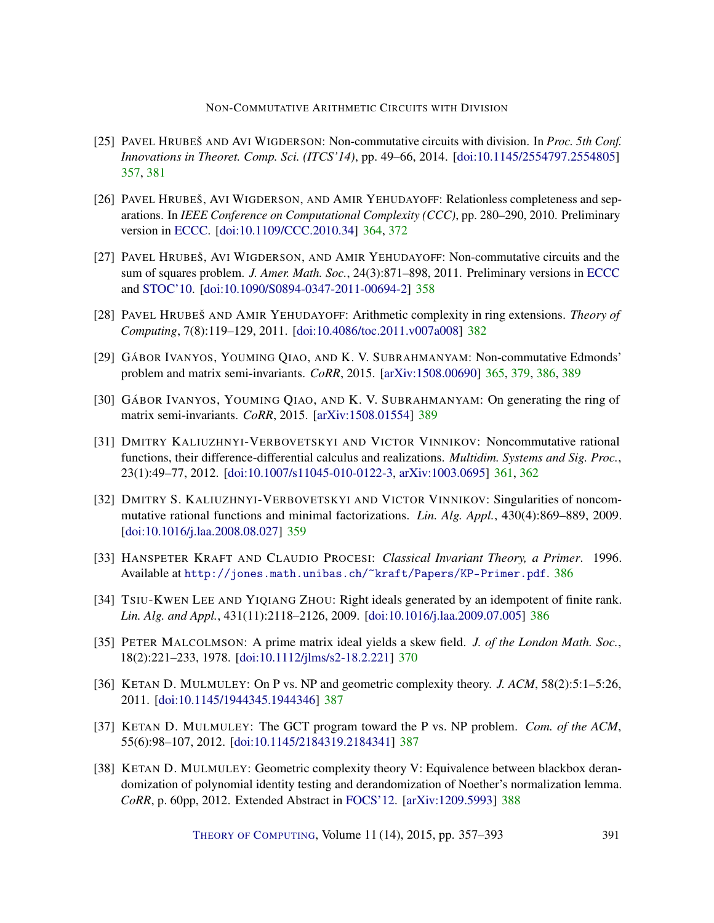- <span id="page-34-0"></span>[25] PAVEL HRUBEŠ AND AVI WIGDERSON: Non-commutative circuits with division. In *Proc. 5th Conf. Innovations in Theoret. Comp. Sci. (ITCS'14)*, pp. 49–66, 2014. [\[doi:10.1145/2554797.2554805\]](http://dx.doi.org/10.1145/2554797.2554805) [357,](#page-0-0) [381](#page-24-0)
- <span id="page-34-4"></span>[26] PAVEL HRUBEŠ, AVI WIGDERSON, AND AMIR YEHUDAYOFF: Relationless completeness and separations. In *IEEE Conference on Computational Complexity (CCC)*, pp. 280–290, 2010. Preliminary version in [ECCC.](http://eccc.hpi-web.de/report/2010/040/) [\[doi:10.1109/CCC.2010.34\]](http://dx.doi.org/10.1109/CCC.2010.34) [364,](#page-7-2) [372](#page-15-2)
- <span id="page-34-1"></span>[27] PAVEL HRUBEŠ, AVI WIGDERSON, AND AMIR YEHUDAYOFF: Non-commutative circuits and the sum of squares problem. *J. Amer. Math. Soc.*, 24(3):871–898, 2011. Preliminary versions in [ECCC](http://eccc.hpi-web.de/report/2010/021/) and [STOC'10.](http://dx.doi.org/10.1145/1806689.1806781) [\[doi:10.1090/S0894-0347-2011-00694-2\]](http://dx.doi.org/10.1090/S0894-0347-2011-00694-2) [358](#page-1-0)
- <span id="page-34-7"></span>[28] PAVEL HRUBEŠ AND AMIR YEHUDAYOFF: Arithmetic complexity in ring extensions. *Theory of Computing*, 7(8):119–129, 2011. [\[doi:10.4086/toc.2011.v007a008\]](http://dx.doi.org/10.4086/toc.2011.v007a008) [382](#page-25-2)
- <span id="page-34-5"></span>[29] GÁBOR IVANYOS, YOUMING QIAO, AND K. V. SUBRAHMANYAM: Non-commutative Edmonds' problem and matrix semi-invariants. *CoRR*, 2015. [\[arXiv:1508.00690\]](http://arxiv.org/abs/1508.00690) [365,](#page-8-2) [379,](#page-22-1) [386,](#page-29-3) [389](#page-32-10)
- <span id="page-34-13"></span>[30] GÁBOR IVANYOS, YOUMING QIAO, AND K. V. SUBRAHMANYAM: On generating the ring of matrix semi-invariants. *CoRR*, 2015. [\[arXiv:1508.01554\]](http://arxiv.org/abs/1508.01554) [389](#page-32-10)
- <span id="page-34-3"></span>[31] DMITRY KALIUZHNYI-VERBOVETSKYI AND VICTOR VINNIKOV: Noncommutative rational functions, their difference-differential calculus and realizations. *Multidim. Systems and Sig. Proc.*, 23(1):49–77, 2012. [\[doi:10.1007/s11045-010-0122-3,](http://dx.doi.org/10.1007/s11045-010-0122-3) [arXiv:1003.0695\]](http://arxiv.org/abs/1003.0695) [361,](#page-4-1) [362](#page-5-3)
- <span id="page-34-2"></span>[32] DMITRY S. KALIUZHNYI-VERBOVETSKYI AND VICTOR VINNIKOV: Singularities of noncommutative rational functions and minimal factorizations. *Lin. Alg. Appl.*, 430(4):869–889, 2009. [\[doi:10.1016/j.laa.2008.08.027\]](http://dx.doi.org/10.1016/j.laa.2008.08.027) [359](#page-2-0)
- <span id="page-34-9"></span>[33] HANSPETER KRAFT AND CLAUDIO PROCESI: *Classical Invariant Theory, a Primer*. 1996. Available at <http://jones.math.unibas.ch/~kraft/Papers/KP-Primer.pdf>. [386](#page-29-3)
- <span id="page-34-8"></span>[34] TSIU-KWEN LEE AND YIQIANG ZHOU: Right ideals generated by an idempotent of finite rank. *Lin. Alg. and Appl.*, 431(11):2118–2126, 2009. [\[doi:10.1016/j.laa.2009.07.005\]](http://dx.doi.org/10.1016/j.laa.2009.07.005) [386](#page-29-3)
- <span id="page-34-6"></span>[35] PETER MALCOLMSON: A prime matrix ideal yields a skew field. *J. of the London Math. Soc.*, 18(2):221–233, 1978. [\[doi:10.1112/jlms/s2-18.2.221\]](http://dx.doi.org/10.1112/jlms/s2-18.2.221) [370](#page-13-3)
- <span id="page-34-11"></span>[36] KETAN D. MULMULEY: On P vs. NP and geometric complexity theory. *J. ACM*, 58(2):5:1–5:26, 2011. [\[doi:10.1145/1944345.1944346\]](http://dx.doi.org/10.1145/1944345.1944346) [387](#page-30-0)
- <span id="page-34-10"></span>[37] KETAN D. MULMULEY: The GCT program toward the P vs. NP problem. *Com. of the ACM*, 55(6):98–107, 2012. [\[doi:10.1145/2184319.2184341\]](http://dx.doi.org/10.1145/2184319.2184341) [387](#page-30-0)
- <span id="page-34-12"></span>[38] KETAN D. MULMULEY: Geometric complexity theory V: Equivalence between blackbox derandomization of polynomial identity testing and derandomization of Noether's normalization lemma. *CoRR*, p. 60pp, 2012. Extended Abstract in [FOCS'12.](http://dx.doi.org/10.1109/FOCS.2012.15) [\[arXiv:1209.5993\]](http://arxiv.org/abs/1209.5993) [388](#page-31-0)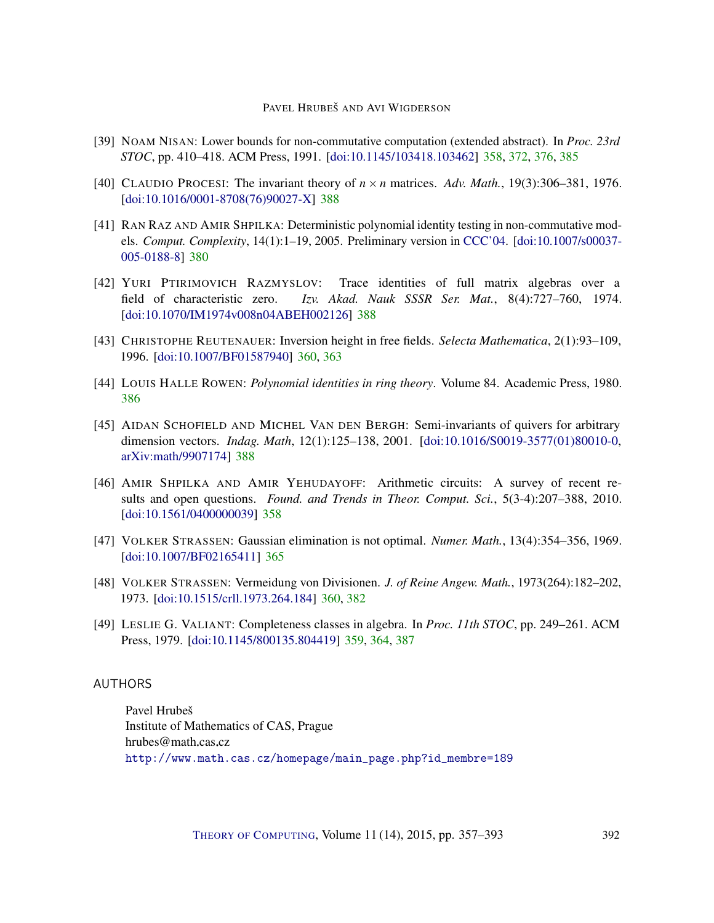- <span id="page-35-2"></span>[39] NOAM NISAN: Lower bounds for non-commutative computation (extended abstract). In *Proc. 23rd STOC*, pp. 410–418. ACM Press, 1991. [\[doi:10.1145/103418.103462\]](http://dx.doi.org/10.1145/103418.103462) [358,](#page-1-0) [372,](#page-15-2) [376,](#page-19-1) [385](#page-28-4)
- <span id="page-35-9"></span>[40] CLAUDIO PROCESI: The invariant theory of  $n \times n$  matrices. Adv. Math., 19(3):306–381, 1976. [\[doi:10.1016/0001-8708\(76\)90027-X\]](http://dx.doi.org/10.1016/0001-8708(76)90027-X) [388](#page-31-0)
- <span id="page-35-7"></span>[41] RAN RAZ AND AMIR SHPILKA: Deterministic polynomial identity testing in non-commutative models. *Comput. Complexity*, 14(1):1–19, 2005. Preliminary version in [CCC'04.](http://dx.doi.org/10.1109/CCC.2004.1313845) [\[doi:10.1007/s00037-](http://dx.doi.org/10.1007/s00037-005-0188-8) [005-0188-8\]](http://dx.doi.org/10.1007/s00037-005-0188-8) [380](#page-23-4)
- <span id="page-35-10"></span>[42] YURI PTIRIMOVICH RAZMYSLOV: Trace identities of full matrix algebras over a field of characteristic zero. *Izv. Akad. Nauk SSSR Ser. Mat.*, 8(4):727–760, 1974. [\[doi:10.1070/IM1974v008n04ABEH002126\]](http://dx.doi.org/10.1070/IM1974v008n04ABEH002126) [388](#page-31-0)
- <span id="page-35-4"></span>[43] CHRISTOPHE REUTENAUER: Inversion height in free fields. *Selecta Mathematica*, 2(1):93–109, 1996. [\[doi:10.1007/BF01587940\]](http://dx.doi.org/10.1007/BF01587940) [360,](#page-3-0) [363](#page-6-3)
- <span id="page-35-8"></span>[44] LOUIS HALLE ROWEN: *Polynomial identities in ring theory*. Volume 84. Academic Press, 1980. [386](#page-29-3)
- <span id="page-35-11"></span>[45] AIDAN SCHOFIELD AND MICHEL VAN DEN BERGH: Semi-invariants of quivers for arbitrary dimension vectors. *Indag. Math*, 12(1):125–138, 2001. [\[doi:10.1016/S0019-3577\(01\)80010-0,](http://dx.doi.org/10.1016/S0019-3577(01)80010-0) [arXiv:math/9907174\]](http://arxiv.org/abs/math/9907174) [388](#page-31-0)
- <span id="page-35-1"></span>[46] AMIR SHPILKA AND AMIR YEHUDAYOFF: Arithmetic circuits: A survey of recent results and open questions. *Found. and Trends in Theor. Comput. Sci.*, 5(3-4):207–388, 2010. [\[doi:10.1561/0400000039\]](http://dx.doi.org/10.1561/0400000039) [358](#page-1-0)
- <span id="page-35-6"></span>[47] VOLKER STRASSEN: Gaussian elimination is not optimal. *Numer. Math.*, 13(4):354–356, 1969. [\[doi:10.1007/BF02165411\]](http://dx.doi.org/10.1007/BF02165411) [365](#page-8-2)
- <span id="page-35-5"></span>[48] VOLKER STRASSEN: Vermeidung von Divisionen. *J. of Reine Angew. Math.*, 1973(264):182–202, 1973. [\[doi:10.1515/crll.1973.264.184\]](http://dx.doi.org/10.1515/crll.1973.264.184) [360,](#page-3-0) [382](#page-25-2)
- <span id="page-35-3"></span>[49] LESLIE G. VALIANT: Completeness classes in algebra. In *Proc. 11th STOC*, pp. 249–261. ACM Press, 1979. [\[doi:10.1145/800135.804419\]](http://dx.doi.org/10.1145/800135.804419) [359,](#page-2-0) [364,](#page-7-2) [387](#page-30-0)

## <span id="page-35-0"></span>AUTHORS

Pavel Hrubeš Institute of Mathematics of CAS, Prague  $hrubes@math.cas.cz$ [http://www.math.cas.cz/homepage/main\\_page.php?id\\_membre=189](http://www.math.cas.cz/homepage/main_page.php?id_membre=189)